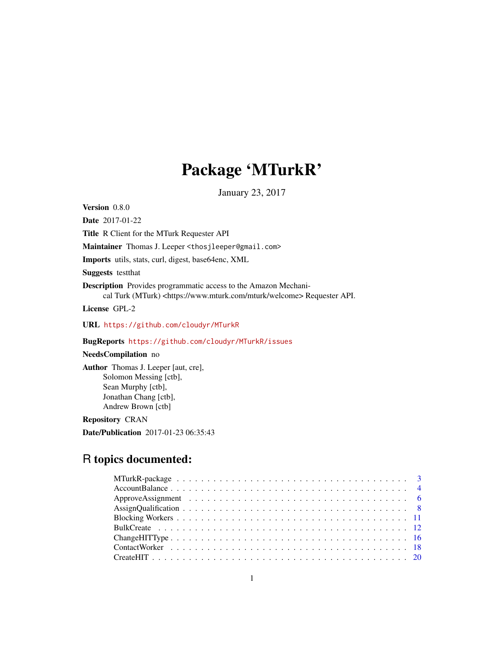# Package 'MTurkR'

January 23, 2017

Version 0.8.0

Date 2017-01-22

Title R Client for the MTurk Requester API

Maintainer Thomas J. Leeper <thosjleeper@gmail.com>

Imports utils, stats, curl, digest, base64enc, XML

Suggests testthat

Description Provides programmatic access to the Amazon Mechanical Turk (MTurk) <https://www.mturk.com/mturk/welcome>Requester API.

License GPL-2

URL <https://github.com/cloudyr/MTurkR>

BugReports <https://github.com/cloudyr/MTurkR/issues>

### NeedsCompilation no

Author Thomas J. Leeper [aut, cre], Solomon Messing [ctb], Sean Murphy [ctb], Jonathan Chang [ctb], Andrew Brown [ctb]

Repository CRAN

Date/Publication 2017-01-23 06:35:43

## R topics documented: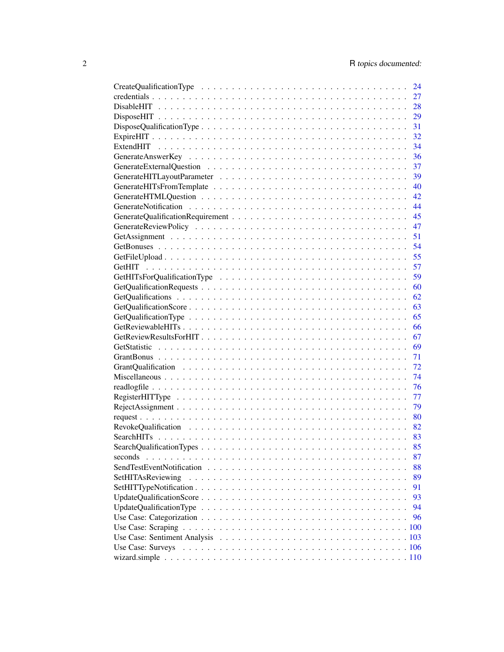|                   | 24 |
|-------------------|----|
|                   | 27 |
|                   | 28 |
|                   | 29 |
|                   | 31 |
|                   | 32 |
|                   | 34 |
|                   | 36 |
|                   | 37 |
|                   | 39 |
|                   | 40 |
|                   | 42 |
|                   | 44 |
|                   | 45 |
|                   | 47 |
|                   | 51 |
|                   | 54 |
|                   | 55 |
|                   | 57 |
|                   | 59 |
|                   | 60 |
|                   | 62 |
|                   | 63 |
|                   | 65 |
|                   | 66 |
|                   | 67 |
|                   | 69 |
|                   | 71 |
|                   | 72 |
|                   | 74 |
|                   | 76 |
|                   |    |
|                   | 77 |
|                   | 79 |
|                   | 80 |
|                   | 82 |
|                   | 83 |
|                   | 85 |
| seconds           | 87 |
|                   | 88 |
| SetHITAsReviewing | 89 |
|                   | 91 |
|                   | 93 |
|                   | 94 |
|                   | 96 |
|                   |    |
|                   |    |
|                   |    |
|                   |    |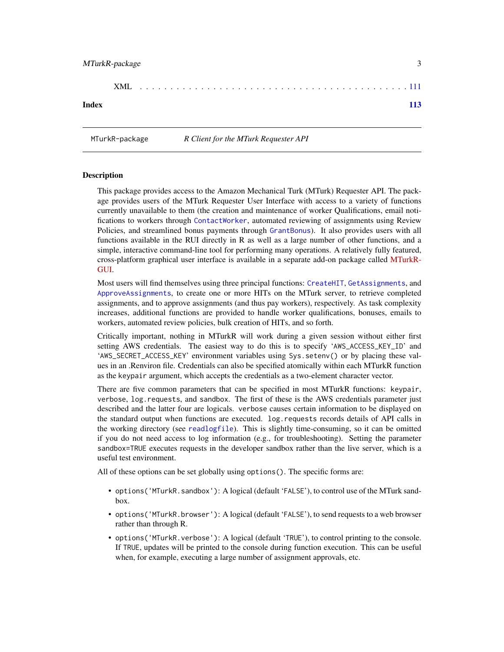<span id="page-2-0"></span>

|       | XML |  |  |  |  |  |  |  |  |  |  |  |  |  |  |  |  |  |  |
|-------|-----|--|--|--|--|--|--|--|--|--|--|--|--|--|--|--|--|--|--|
| Index |     |  |  |  |  |  |  |  |  |  |  |  |  |  |  |  |  |  |  |

MTurkR-package *R Client for the MTurk Requester API*

### Description

This package provides access to the Amazon Mechanical Turk (MTurk) Requester API. The package provides users of the MTurk Requester User Interface with access to a variety of functions currently unavailable to them (the creation and maintenance of worker Qualifications, email notifications to workers through [ContactWorker](#page-17-1), automated reviewing of assignments using Review Policies, and streamlined bonus payments through [GrantBonus](#page-70-1)). It also provides users with all functions available in the RUI directly in R as well as a large number of other functions, and a simple, interactive command-line tool for performing many operations. A relatively fully featured, cross-platform graphical user interface is available in a separate add-on package called [MTurkR-](https://cran.r-project.org/package=MTurkRGUI)[GUI.](https://cran.r-project.org/package=MTurkRGUI)

Most users will find themselves using three principal functions: [CreateHIT](#page-19-1), [GetAssignments](#page-50-1), and [ApproveAssignments](#page-5-1), to create one or more HITs on the MTurk server, to retrieve completed assignments, and to approve assignments (and thus pay workers), respectively. As task complexity increases, additional functions are provided to handle worker qualifications, bonuses, emails to workers, automated review policies, bulk creation of HITs, and so forth.

Critically important, nothing in MTurkR will work during a given session without either first setting AWS credentials. The easiest way to do this is to specify 'AWS\_ACCESS\_KEY\_ID' and 'AWS\_SECRET\_ACCESS\_KEY' environment variables using Sys.setenv() or by placing these values in an .Renviron file. Credentials can also be specified atomically within each MTurkR function as the keypair argument, which accepts the credentials as a two-element character vector.

There are five common parameters that can be specified in most MTurkR functions: keypair, verbose, log.requests, and sandbox. The first of these is the AWS credentials parameter just described and the latter four are logicals. verbose causes certain information to be displayed on the standard output when functions are executed. log.requests records details of API calls in the working directory (see [readlogfile](#page-75-1)). This is slightly time-consuming, so it can be omitted if you do not need access to log information (e.g., for troubleshooting). Setting the parameter sandbox=TRUE executes requests in the developer sandbox rather than the live server, which is a useful test environment.

All of these options can be set globally using options(). The specific forms are:

- options('MTurkR.sandbox'): A logical (default 'FALSE'), to control use of the MTurk sandbox.
- options('MTurkR.browser'): A logical (default 'FALSE'), to send requests to a web browser rather than through R.
- options('MTurkR.verbose'): A logical (default 'TRUE'), to control printing to the console. If TRUE, updates will be printed to the console during function execution. This can be useful when, for example, executing a large number of assignment approvals, etc.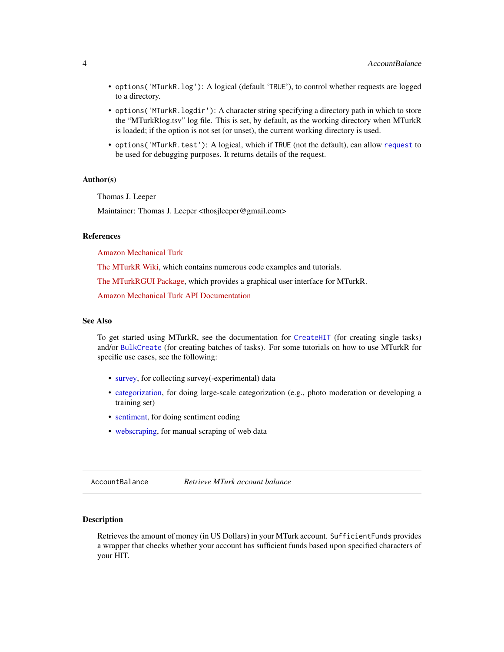- <span id="page-3-0"></span>• options('MTurkR.log'): A logical (default 'TRUE'), to control whether requests are logged to a directory.
- options('MTurkR.logdir'): A character string specifying a directory path in which to store the "MTurkRlog.tsv" log file. This is set, by default, as the working directory when MTurkR is loaded; if the option is not set (or unset), the current working directory is used.
- options('MTurkR.test'): A logical, which if TRUE (not the default), can allow [request](#page-79-1) to be used for debugging purposes. It returns details of the request.

#### Author(s)

Thomas J. Leeper

Maintainer: Thomas J. Leeper <thosjleeper@gmail.com>

#### References

[Amazon Mechanical Turk](http://www.mturk.com)

[The MTurkR Wiki,](https://github.com/leeper/MTurkR/wiki) which contains numerous code examples and tutorials.

[The MTurkRGUI Package,](https://cran.r-project.org/package=MTurkRGUI) which provides a graphical user interface for MTurkR.

[Amazon Mechanical Turk API Documentation](http://aws.amazon.com/documentation/mturk/)

### See Also

To get started using MTurkR, see the documentation for [CreateHIT](#page-19-1) (for creating single tasks) and/or [BulkCreate](#page-11-1) (for creating batches of tasks). For some tutorials on how to use MTurkR for specific use cases, see the following:

- [survey,](#page-105-1) for collecting survey(-experimental) data
- [categorization,](#page-95-1) for doing large-scale categorization (e.g., photo moderation or developing a training set)
- [sentiment,](#page-102-1) for doing sentiment coding
- [webscraping,](#page-99-1) for manual scraping of web data

AccountBalance *Retrieve MTurk account balance*

#### Description

Retrieves the amount of money (in US Dollars) in your MTurk account. SufficientFunds provides a wrapper that checks whether your account has sufficient funds based upon specified characters of your HIT.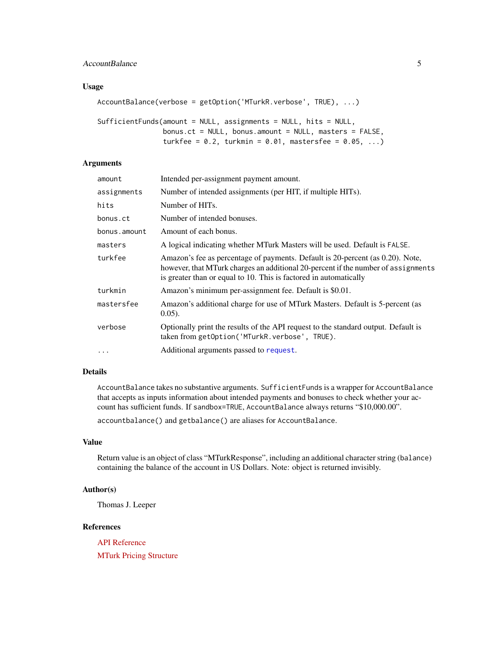### AccountBalance 5

### Usage

```
AccountBalance(verbose = getOption('MTurkR.verbose', TRUE), ...)
```

```
SufficientFunds(amount = NULL, assignments = NULL, hits = NULL,
               bonus.ct = NULL, bonus.amount = NULL, masters = FALSE,
                turkfee = 0.2, turkmin = 0.01, mastersfee = 0.05, ...)
```
### Arguments

| amount       | Intended per-assignment payment amount.                                                                                                                                                                                                  |
|--------------|------------------------------------------------------------------------------------------------------------------------------------------------------------------------------------------------------------------------------------------|
| assignments  | Number of intended assignments (per HIT, if multiple HITs).                                                                                                                                                                              |
| hits         | Number of HITs.                                                                                                                                                                                                                          |
| bonus.ct     | Number of intended bonuses.                                                                                                                                                                                                              |
| bonus.amount | Amount of each bonus.                                                                                                                                                                                                                    |
| masters      | A logical indicating whether MTurk Masters will be used. Default is FALSE.                                                                                                                                                               |
| turkfee      | Amazon's fee as percentage of payments. Default is 20-percent (as 0.20). Note,<br>however, that MTurk charges an additional 20-percent if the number of assignments<br>is greater than or equal to 10. This is factored in automatically |
| turkmin      | Amazon's minimum per-assignment fee. Default is \$0.01.                                                                                                                                                                                  |
| mastersfee   | Amazon's additional charge for use of MTurk Masters. Default is 5-percent (as<br>$0.05$ ).                                                                                                                                               |
| verbose      | Optionally print the results of the API request to the standard output. Default is<br>taken from getOption('MTurkR.verbose', TRUE).                                                                                                      |
| $\cdots$     | Additional arguments passed to request.                                                                                                                                                                                                  |

### Details

AccountBalance takes no substantive arguments. SufficientFunds is a wrapper for AccountBalance that accepts as inputs information about intended payments and bonuses to check whether your account has sufficient funds. If sandbox=TRUE, AccountBalance always returns "\$10,000.00".

accountbalance() and getbalance() are aliases for AccountBalance.

#### Value

Return value is an object of class "MTurkResponse", including an additional character string (balance) containing the balance of the account in US Dollars. Note: object is returned invisibly.

### Author(s)

Thomas J. Leeper

### References

[API Reference](http://docs.amazonwebservices.com/AWSMechTurk/latest/AWSMturkAPI/ApiReference_GetAccountBalanceOperation.html) [MTurk Pricing Structure](https://requester.mturk.com/pricing)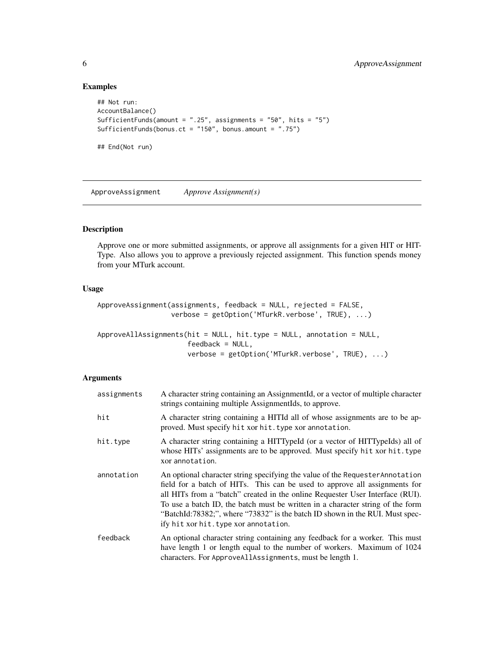### Examples

```
## Not run:
AccountBalance()
SufficientFunds(amount = ".25", assignments = "50", hits = "5")
SufficientFunds(bonus.ct = "150", bonus.amount = ".75")
## End(Not run)
```
ApproveAssignment *Approve Assignment(s)*

### <span id="page-5-1"></span>Description

Approve one or more submitted assignments, or approve all assignments for a given HIT or HIT-Type. Also allows you to approve a previously rejected assignment. This function spends money from your MTurk account.

#### Usage

```
ApproveAssignment(assignments, feedback = NULL, rejected = FALSE,
                  verbose = getOption('MTurkR.verbose', TRUE), ...)
```

```
ApproveAllAssignments(hit = NULL, hit.type = NULL, annotation = NULL,
                     feedback = NULL,verbose = getOption('MTurkR.verbose', TRUE), ...)
```
#### Arguments

| assignments | A character string containing an AssignmentId, or a vector of multiple character<br>strings containing multiple AssignmentIds, to approve.                                                                                                                                                                                                                                                                                                              |
|-------------|---------------------------------------------------------------------------------------------------------------------------------------------------------------------------------------------------------------------------------------------------------------------------------------------------------------------------------------------------------------------------------------------------------------------------------------------------------|
| hit         | A character string containing a HITId all of whose assignments are to be ap-<br>proved. Must specify hit xor hit. type xor annotation.                                                                                                                                                                                                                                                                                                                  |
| hit.type    | A character string containing a HITTypeId (or a vector of HITTypeIds) all of<br>whose HITs' assignments are to be approved. Must specify hit xor hit. type<br>xor annotation.                                                                                                                                                                                                                                                                           |
| annotation  | An optional character string specifying the value of the Requester Annotation<br>field for a batch of HITs. This can be used to approve all assignments for<br>all HITs from a "batch" created in the online Requester User Interface (RUI).<br>To use a batch ID, the batch must be written in a character string of the form<br>"BatchId:78382;", where "73832" is the batch ID shown in the RUI. Must spec-<br>ify hit xor hit. type xor annotation. |
| feedback    | An optional character string containing any feedback for a worker. This must<br>have length 1 or length equal to the number of workers. Maximum of 1024<br>characters. For ApproveAllAssignments, must be length 1.                                                                                                                                                                                                                                     |

<span id="page-5-0"></span>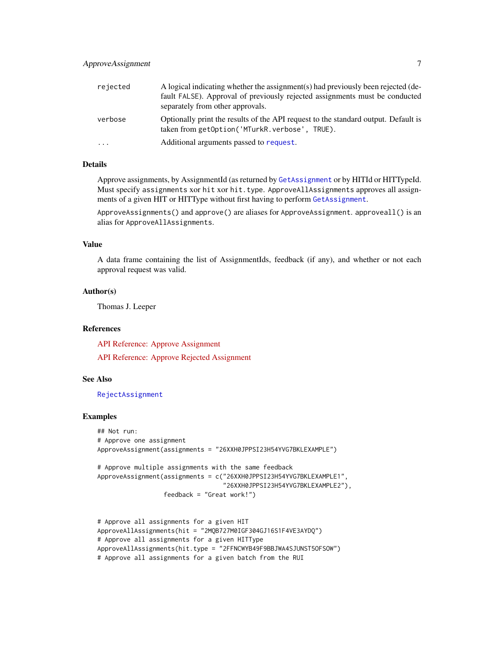| rejected                | A logical indicating whether the assignment(s) had previously been rejected (de-<br>fault FALSE). Approval of previously rejected assignments must be conducted<br>separately from other approvals. |
|-------------------------|-----------------------------------------------------------------------------------------------------------------------------------------------------------------------------------------------------|
| verbose                 | Optionally print the results of the API request to the standard output. Default is<br>taken from getOption('MTurkR.verbose', TRUE).                                                                 |
| $\cdot$ $\cdot$ $\cdot$ | Additional arguments passed to request.                                                                                                                                                             |

### Details

Approve assignments, by AssignmentId (as returned by [GetAssignment](#page-50-2) or by HITId or HITTypeId. Must specify assignments xor hit xor hit.type. ApproveAllAssignments approves all assignments of a given HIT or HITType without first having to perform [GetAssignment](#page-50-2).

ApproveAssignments() and approve() are aliases for ApproveAssignment. approveall() is an alias for ApproveAllAssignments.

### Value

A data frame containing the list of AssignmentIds, feedback (if any), and whether or not each approval request was valid.

#### Author(s)

Thomas J. Leeper

#### References

[API Reference: Approve Assignment](http://docs.amazonwebservices.com/AWSMechTurk/latest/AWSMturkAPI/ApiReference_ApproveAssignmentOperation.html) [API Reference: Approve Rejected Assignment](http://docs.amazonwebservices.com/AWSMechTurk/latest/AWSMturkAPI/ApiReference_ApproveRejectedAssignmentOperation.html)

#### See Also

[RejectAssignment](#page-78-1)

### Examples

```
## Not run:
# Approve one assignment
ApproveAssignment(assignments = "26XXH0JPPSI23H54YVG7BKLEXAMPLE")
# Approve multiple assignments with the same feedback
ApproveAssignment(assignments = c("26XXH0JPPSI23H54YVG7BKLEXAMPLE1",
                                  "26XXH0JPPSI23H54YVG7BKLEXAMPLE2"),
                  feedback = "Great work!")
# Approve all assignments for a given HIT
ApproveAllAssignments(hit = "2MQB727M0IGF304GJ16S1F4VE3AYDQ")
# Approve all assignments for a given HITType
```

```
ApproveAllAssignments(hit.type = "2FFNCWYB49F9BBJWA4SJUNST5OFSOW")
```

```
# Approve all assignments for a given batch from the RUI
```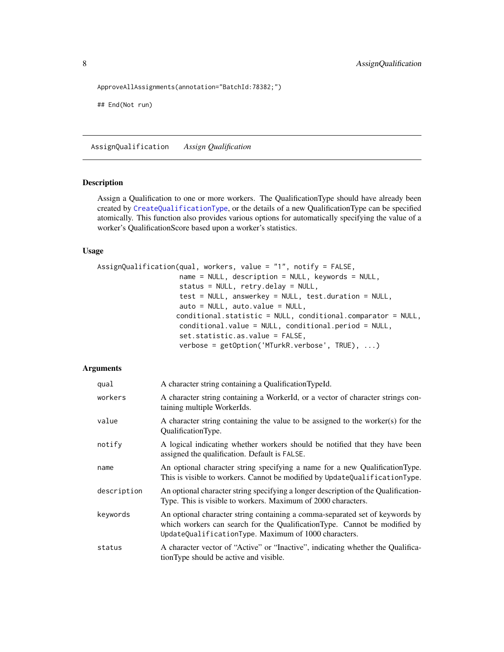```
ApproveAllAssignments(annotation="BatchId:78382;")
```
## End(Not run)

<span id="page-7-1"></span>AssignQualification *Assign Qualification*

#### Description

Assign a Qualification to one or more workers. The QualificationType should have already been created by [CreateQualificationType](#page-23-1), or the details of a new QualificationType can be specified atomically. This function also provides various options for automatically specifying the value of a worker's QualificationScore based upon a worker's statistics.

### Usage

```
AssignQualification(qual, workers, value = "1", notify = FALSE,
                    name = NULL, description = NULL, keywords = NULL,
                    status = NULL, retry.delay = NULL,
                    test = NULL, answerkey = NULL, test.duration = NULL,
                    auto = NULL, auto.value = NULL,
                   conditional.statistic = NULL, conditional.comparator = NULL,
                    conditional.value = NULL, conditional.period = NULL,
                    set.statistic.as.value = FALSE,
                    verbose = getOption('MTurkR.verbose', TRUE), ...)
```
### Arguments

| qual        | A character string containing a QualificationTypeId.                                                                                                                                                              |
|-------------|-------------------------------------------------------------------------------------------------------------------------------------------------------------------------------------------------------------------|
| workers     | A character string containing a WorkerId, or a vector of character strings con-<br>taining multiple WorkerIds.                                                                                                    |
| value       | A character string containing the value to be assigned to the worker(s) for the<br>QualificationType.                                                                                                             |
| notify      | A logical indicating whether workers should be notified that they have been<br>assigned the qualification. Default is FALSE.                                                                                      |
| name        | An optional character string specifying a name for a new Qualification Type.<br>This is visible to workers. Cannot be modified by UpdateQualificationType.                                                        |
| description | An optional character string specifying a longer description of the Qualification-<br>Type. This is visible to workers. Maximum of 2000 characters.                                                               |
| keywords    | An optional character string containing a comma-separated set of keywords by<br>which workers can search for the QualificationType. Cannot be modified by<br>UpdateQualificationType. Maximum of 1000 characters. |
| status      | A character vector of "Active" or "Inactive", indicating whether the Qualifica-<br>tionType should be active and visible.                                                                                         |

<span id="page-7-0"></span>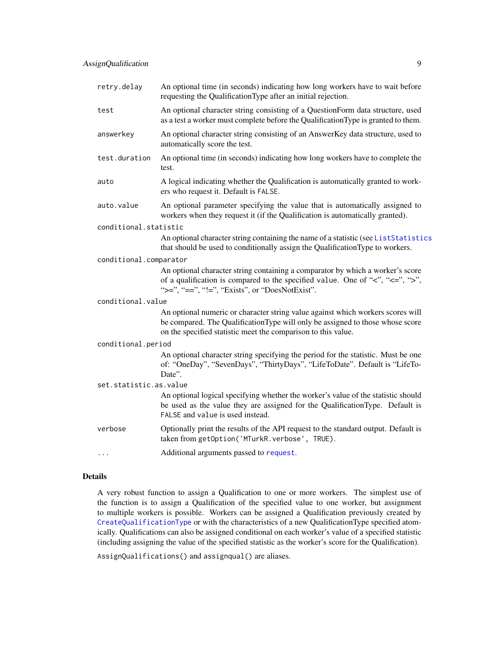| retry.delay            | An optional time (in seconds) indicating how long workers have to wait before<br>requesting the QualificationType after an initial rejection.                                                                                        |
|------------------------|--------------------------------------------------------------------------------------------------------------------------------------------------------------------------------------------------------------------------------------|
| test                   | An optional character string consisting of a QuestionForm data structure, used<br>as a test a worker must complete before the Qualification Type is granted to them.                                                                 |
| answerkey              | An optional character string consisting of an AnswerKey data structure, used to<br>automatically score the test.                                                                                                                     |
| test.duration          | An optional time (in seconds) indicating how long workers have to complete the<br>test.                                                                                                                                              |
| auto                   | A logical indicating whether the Qualification is automatically granted to work-<br>ers who request it. Default is FALSE.                                                                                                            |
| auto.value             | An optional parameter specifying the value that is automatically assigned to<br>workers when they request it (if the Qualification is automatically granted).                                                                        |
| conditional.statistic  |                                                                                                                                                                                                                                      |
|                        | An optional character string containing the name of a statistic (see ListStatistics<br>that should be used to conditionally assign the QualificationType to workers.                                                                 |
| conditional.comparator |                                                                                                                                                                                                                                      |
|                        | An optional character string containing a comparator by which a worker's score<br>of a qualification is compared to the specified value. One of " $\lt$ ", " $\lt =$ ", " $\gt$ ",<br>">=", "==", "!=", "Exists", or "DoesNotExist". |
| conditional.value      |                                                                                                                                                                                                                                      |
|                        | An optional numeric or character string value against which workers scores will<br>be compared. The QualificationType will only be assigned to those whose score<br>on the specified statistic meet the comparison to this value.    |
| conditional.period     |                                                                                                                                                                                                                                      |
|                        | An optional character string specifying the period for the statistic. Must be one<br>of: "OneDay", "SevenDays", "ThirtyDays", "LifeToDate". Default is "LifeTo-<br>Date".                                                            |
| set.statistic.as.value |                                                                                                                                                                                                                                      |
|                        | An optional logical specifying whether the worker's value of the statistic should<br>be used as the value they are assigned for the QualificationType. Default is<br>FALSE and value is used instead.                                |
| verbose                | Optionally print the results of the API request to the standard output. Default is<br>taken from getOption('MTurkR.verbose', TRUE).                                                                                                  |
| .                      | Additional arguments passed to request.                                                                                                                                                                                              |

### Details

A very robust function to assign a Qualification to one or more workers. The simplest use of the function is to assign a Qualification of the specified value to one worker, but assignment to multiple workers is possible. Workers can be assigned a Qualification previously created by [CreateQualificationType](#page-23-1) or with the characteristics of a new QualificationType specified atomically. Qualifications can also be assigned conditional on each worker's value of a specified statistic (including assigning the value of the specified statistic as the worker's score for the Qualification).

AssignQualifications() and assignqual() are aliases.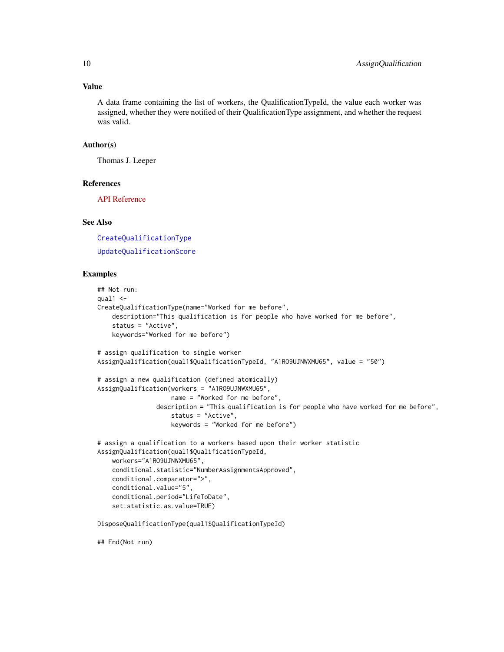### Value

A data frame containing the list of workers, the QualificationTypeId, the value each worker was assigned, whether they were notified of their QualificationType assignment, and whether the request was valid.

### Author(s)

Thomas J. Leeper

### References

[API Reference](http://docs.amazonwebservices.com/AWSMechTurk/latest/AWSMturkAPI/ApiReference_AssignQualificationOperation.html)

### See Also

[CreateQualificationType](#page-23-1)

[UpdateQualificationScore](#page-92-1)

### Examples

```
## Not run:
qual1 < -CreateQualificationType(name="Worked for me before",
    description="This qualification is for people who have worked for me before",
    status = "Active",
   keywords="Worked for me before")
# assign qualification to single worker
AssignQualification(qual1$QualificationTypeId, "A1RO9UJNWXMU65", value = "50")
# assign a new qualification (defined atomically)
AssignQualification(workers = "A1RO9UJNWXMU65",
                    name = "Worked for me before",
                description = "This qualification is for people who have worked for me before",
                    status = "Active",
                    keywords = "Worked for me before")
# assign a qualification to a workers based upon their worker statistic
AssignQualification(qual1$QualificationTypeId,
   workers="A1RO9UJNWXMU65",
    conditional.statistic="NumberAssignmentsApproved",
   conditional.comparator=">",
   conditional.value="5",
    conditional.period="LifeToDate",
   set.statistic.as.value=TRUE)
DisposeQualificationType(qual1$QualificationTypeId)
```
## End(Not run)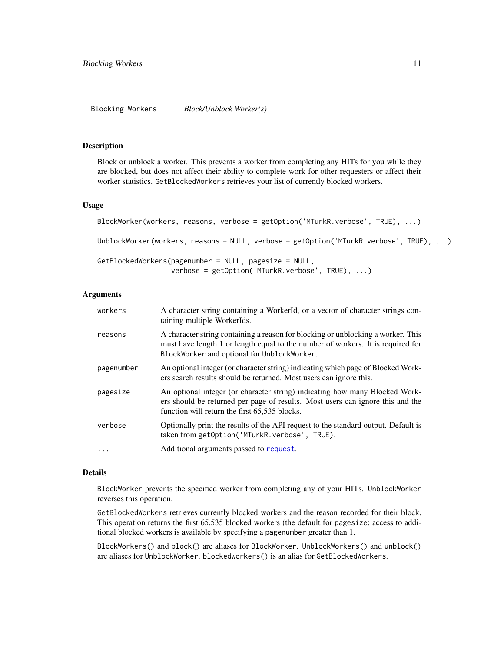#### <span id="page-10-0"></span>**Description**

Block or unblock a worker. This prevents a worker from completing any HITs for you while they are blocked, but does not affect their ability to complete work for other requesters or affect their worker statistics. GetBlockedWorkers retrieves your list of currently blocked workers.

#### Usage

```
BlockWorker(workers, reasons, verbose = getOption('MTurkR.verbose', TRUE), ...)
UnblockWorker(workers, reasons = NULL, verbose = getOption('MTurkR.verbose', TRUE), ...)
GetBlockedWorkers(pagenumber = NULL, pagesize = NULL,
                  verbose = getOption('MTurkR.verbose', TRUE), ...)
```
### Arguments

| workers    | A character string containing a WorkerId, or a vector of character strings con-<br>taining multiple WorkerIds.                                                                                                     |
|------------|--------------------------------------------------------------------------------------------------------------------------------------------------------------------------------------------------------------------|
| reasons    | A character string containing a reason for blocking or unblocking a worker. This<br>must have length 1 or length equal to the number of workers. It is required for<br>BlockWorker and optional for UnblockWorker. |
| pagenumber | An optional integer (or character string) indicating which page of Blocked Work-<br>ers search results should be returned. Most users can ignore this.                                                             |
| pagesize   | An optional integer (or character string) indicating how many Blocked Work-<br>ers should be returned per page of results. Most users can ignore this and the<br>function will return the first 65,535 blocks.     |
| verbose    | Optionally print the results of the API request to the standard output. Default is<br>taken from getOption('MTurkR.verbose', TRUE).                                                                                |
| $\cdots$   | Additional arguments passed to request.                                                                                                                                                                            |

#### Details

BlockWorker prevents the specified worker from completing any of your HITs. UnblockWorker reverses this operation.

GetBlockedWorkers retrieves currently blocked workers and the reason recorded for their block. This operation returns the first 65,535 blocked workers (the default for pagesize; access to additional blocked workers is available by specifying a pagenumber greater than 1.

BlockWorkers() and block() are aliases for BlockWorker. UnblockWorkers() and unblock() are aliases for UnblockWorker. blockedworkers() is an alias for GetBlockedWorkers.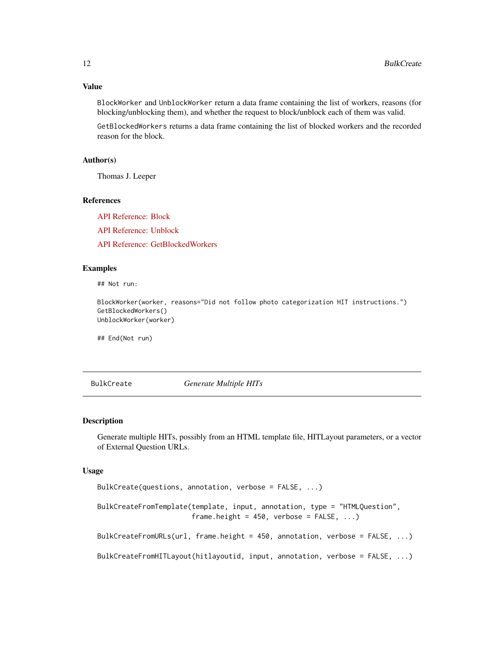<span id="page-11-0"></span>BlockWorker and UnblockWorker return a data frame containing the list of workers, reasons (for blocking/unblocking them), and whether the request to block/unblock each of them was valid.

GetBlockedWorkers returns a data frame containing the list of blocked workers and the recorded reason for the block.

#### Author(s)

Thomas J. Leeper

### References

[API Reference: Block](http://docs.amazonwebservices.com/AWSMechTurk/latest/AWSMturkAPI/ApiReference_BlockWorkerOperation.html)

[API Reference: Unblock](http://docs.amazonwebservices.com/AWSMechTurk/latest/AWSMturkAPI/ApiReference_UnblockWorkerOperation.html)

[API Reference: GetBlockedWorkers](http://docs.amazonwebservices.com/AWSMechTurk/latest/AWSMturkAPI/ApiReference_GetBlockedWorkersOperation.html)

### Examples

## Not run:

BlockWorker(worker, reasons="Did not follow photo categorization HIT instructions.") GetBlockedWorkers() UnblockWorker(worker)

## End(Not run)

<span id="page-11-1"></span>BulkCreate *Generate Multiple HITs*

### Description

Generate multiple HITs, possibly from an HTML template file, HITLayout parameters, or a vector of External Question URLs.

#### Usage

```
BulkCreate(questions, annotation, verbose = FALSE, ...)
BulkCreateFromTemplate(template, input, annotation, type = "HTMLQuestion",
                       frame.height = 450, verbose = FALSE, ...)BulkCreateFromURLs(url, frame.height = 450, annotation, verbose = FALSE, ...)
BulkCreateFromHITLayout(hitlayoutid, input, annotation, verbose = FALSE, ...)
```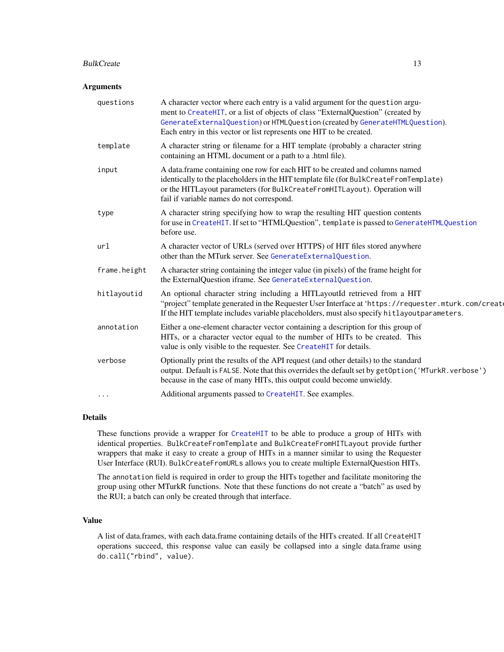#### BulkCreate 23 and 23 and 23 and 23 and 23 and 23 and 23 and 23 and 23 and 23 and 23 and 23 and 23 and 23 and 23 and 23 and 23 and 23 and 23 and 23 and 23 and 23 and 23 and 23 and 23 and 23 and 23 and 23 and 23 and 23 and 2

#### **Arguments**

| questions    | A character vector where each entry is a valid argument for the question argu-<br>ment to CreateHIT, or a list of objects of class "ExternalQuestion" (created by<br>GenerateExternalQuestion) or HTMLQuestion (created by GenerateHTMLQuestion).<br>Each entry in this vector or list represents one HIT to be created. |
|--------------|--------------------------------------------------------------------------------------------------------------------------------------------------------------------------------------------------------------------------------------------------------------------------------------------------------------------------|
| template     | A character string or filename for a HIT template (probably a character string<br>containing an HTML document or a path to a .html file).                                                                                                                                                                                |
| input        | A data frame containing one row for each HIT to be created and columns named<br>identically to the placeholders in the HIT template file (for BulkCreateFromTemplate)<br>or the HITLayout parameters (for BulkCreateFromHITLayout). Operation will<br>fail if variable names do not correspond.                          |
| type         | A character string specifying how to wrap the resulting HIT question contents<br>for use in CreateHIT. If set to "HTMLQuestion", template is passed to GenerateHTMLQuestion<br>before use.                                                                                                                               |
| url          | A character vector of URLs (served over HTTPS) of HIT files stored anywhere<br>other than the MTurk server. See GenerateExternalQuestion.                                                                                                                                                                                |
| frame.height | A character string containing the integer value (in pixels) of the frame height for<br>the ExternalQuestion iframe. See GenerateExternalQuestion.                                                                                                                                                                        |
| hitlayoutid  | An optional character string including a HITLayoutId retrieved from a HIT<br>"project" template generated in the Requester User Interface at 'https://requester.mturk.com/creat<br>If the HIT template includes variable placeholders, must also specify hitlayoutparameters.                                            |
| annotation   | Either a one-element character vector containing a description for this group of<br>HITs, or a character vector equal to the number of HITs to be created. This<br>value is only visible to the requester. See CreateHIT for details.                                                                                    |
| verbose      | Optionally print the results of the API request (and other details) to the standard<br>output. Default is FALSE. Note that this overrides the default set by getOption ('MTurkR. verbose')<br>because in the case of many HITs, this output could become unwieldy.                                                       |
| $\cdots$     | Additional arguments passed to CreateHIT. See examples.                                                                                                                                                                                                                                                                  |

### Details

These functions provide a wrapper for [CreateHIT](#page-19-1) to be able to produce a group of HITs with identical properties. BulkCreateFromTemplate and BulkCreateFromHITLayout provide further wrappers that make it easy to create a group of HITs in a manner similar to using the Requester User Interface (RUI). BulkCreateFromURLs allows you to create multiple ExternalQuestion HITs.

The annotation field is required in order to group the HITs together and facilitate monitoring the group using other MTurkR functions. Note that these functions do not create a "batch" as used by the RUI; a batch can only be created through that interface.

### Value

A list of data.frames, with each data.frame containing details of the HITs created. If all CreateHIT operations succeed, this response value can easily be collapsed into a single data.frame using do.call("rbind", value).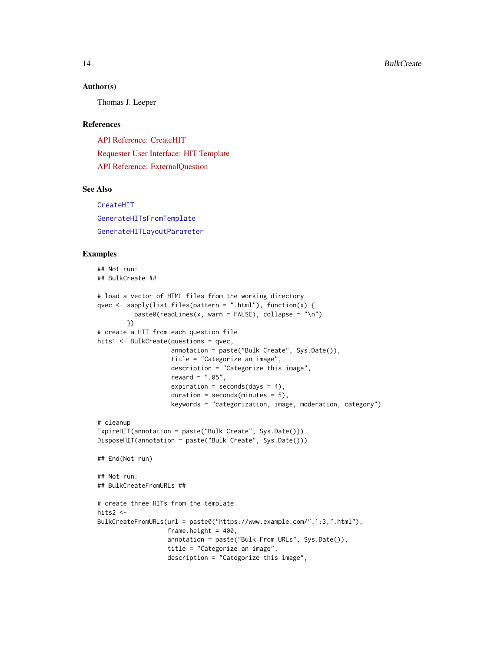#### Author(s)

Thomas J. Leeper

#### References

[API Reference: CreateHIT](http://docs.amazonwebservices.com/AWSMechTurk/latest/AWSMturkAPI/ApiReference_CreateHITOperation.html) [Requester User Interface: HIT Template](http://docs.amazonwebservices.com/AWSMechTurk/latest/RequesterUI/CreatingaHITTemplate.html) [API Reference: ExternalQuestion](http://docs.amazonwebservices.com/AWSMechTurk/latest/AWSMturkAPI/ApiReference_ExternalQuestionArticle.html)

### See Also

[CreateHIT](#page-19-1) [GenerateHITsFromTemplate](#page-39-1) [GenerateHITLayoutParameter](#page-38-1)

### Examples

```
## Not run:
## BulkCreate ##
# load a vector of HTML files from the working directory
qvec <- sapply(list.files(pattern = ".html"), function(x) {
          past@(readLines(x, warn = FALSE), collapse = "\\n")})
# create a HIT from each question file
hits1 <- BulkCreate(questions = qvec,
                    annotation = paste("Bulk Create", Sys.Date()),
                    title = "Categorize an image",
                    description = "Categorize this image",
                    reward = ".05",
                    expiration = seconds(days = 4),
                    duration = seconds(minutes = 5),
                    keywords = "categorization, image, moderation, category")
# cleanup
ExpireHIT(annotation = paste("Bulk Create", Sys.Date()))
DisposeHIT(annotation = paste("Bulk Create", Sys.Date()))
## End(Not run)
## Not run:
## BulkCreateFromURLs ##
# create three HITs from the template
hits2 <-
BulkCreateFromURLs(url = paste0("https://www.example.com/",1:3,".html"),
                   frame.height = 400,
                   annotation = paste("Bulk From URLs", Sys.Date()),
                   title = "Categorize an image",
                   description = "Categorize this image",
```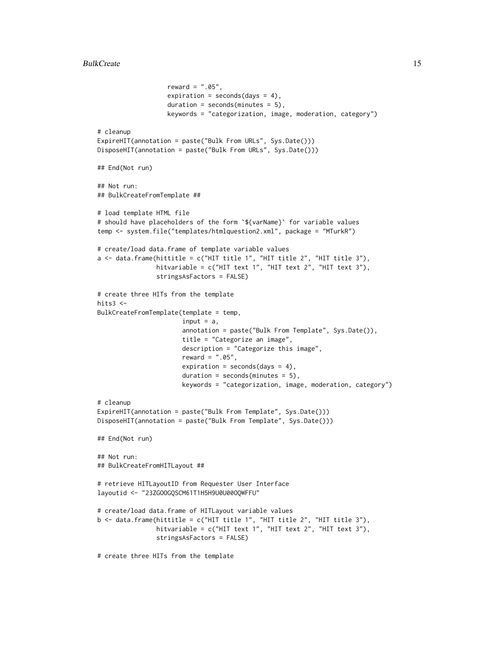```
reward = ".05",expiration = seconds(days = 4),
                   duration = seconds(minutes = 5),
                   keywords = "categorization, image, moderation, category")
# cleanup
ExpireHIT(annotation = paste("Bulk From URLs", Sys.Date()))
DisposeHIT(annotation = paste("Bulk From URLs", Sys.Date()))
## End(Not run)
## Not run:
## BulkCreateFromTemplate ##
# load template HTML file
# should have placeholders of the form `${varName}` for variable values
temp <- system.file("templates/htmlquestion2.xml", package = "MTurkR")
# create/load data.frame of template variable values
a \leftarrow data. frame(hittitle = c("HIT title 1", "HIT title 2", "HIT title 3"),
                hitvariable = c("HIT text 1", "HIT text 2", "HIT text 3"),
                stringsAsFactors = FALSE)
# create three HITs from the template
hits3 <-
BulkCreateFromTemplate(template = temp,
                       input = a,
                       annotation = paste("Bulk From Template", Sys.Date()),
                       title = "Categorize an image",
                       description = "Categorize this image",
                       reward = ".05",expiration = seconds(days = 4),
                       duration = seconds(minutes = 5),
                       keywords = "categorization, image, moderation, category")
# cleanup
ExpireHIT(annotation = paste("Bulk From Template", Sys.Date()))
DisposeHIT(annotation = paste("Bulk From Template", Sys.Date()))
## End(Not run)
## Not run:
## BulkCreateFromHITLayout ##
# retrieve HITLayoutID from Requester User Interface
layoutid <- "23ZGOOGQSCM61T1H5H9U0U00OQWFFU"
# create/load data.frame of HITLayout variable values
b <- data.frame(hittitle = c("HIT title 1", "HIT title 2", "HIT title 3"),
                hitvariable = c("HIT text 1", "HIT text 2", "HIT text 3"),
                stringsAsFactors = FALSE)
# create three HITs from the template
```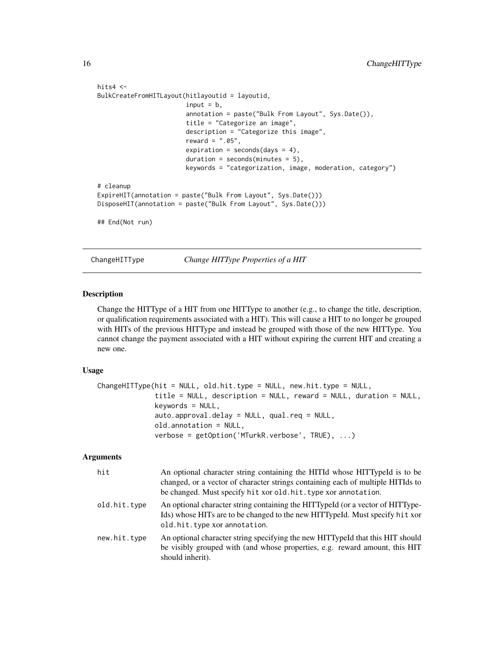```
hits4 <-
BulkCreateFromHITLayout(hitlayoutid = layoutid,
                        input = b,
                        annotation = paste("Bulk From Layout", Sys.Date()),
                        title = "Categorize an image",
                        description = "Categorize this image",
                        reward = ".05",
                        expiration = seconds(days = 4),
                        duration = seconds(minutes = 5),
                        keywords = "categorization, image, moderation, category")
# cleanup
ExpireHIT(annotation = paste("Bulk From Layout", Sys.Date()))
DisposeHIT(annotation = paste("Bulk From Layout", Sys.Date()))
## End(Not run)
```
ChangeHITType *Change HITType Properties of a HIT*

#### Description

Change the HITType of a HIT from one HITType to another (e.g., to change the title, description, or qualification requirements associated with a HIT). This will cause a HIT to no longer be grouped with HITs of the previous HITType and instead be grouped with those of the new HITType. You cannot change the payment associated with a HIT without expiring the current HIT and creating a new one.

#### Usage

```
ChangeHITType(hit = NULL, old.hit.type = NULL, new.hit.type = NULL,
              title = NULL, description = NULL, reward = NULL, duration = NULL,
              keywords = NULL,
              auto.approval.delay = NULL, qual.req = NULL,
              old.annotation = NULL,
              verbose = getOption('MTurkR.verbose', TRUE), ...)
```
### Arguments

| hit          | An optional character string containing the HITId whose HITTypeId is to be<br>changed, or a vector of character strings containing each of multiple HITIds to<br>be changed. Must specify hit xor old.hit.type xor annotation. |
|--------------|--------------------------------------------------------------------------------------------------------------------------------------------------------------------------------------------------------------------------------|
| old.hit.type | An optional character string containing the HITTypeId (or a vector of HITType-<br>Ids) whose HITs are to be changed to the new HITTypeId. Must specify hit xor<br>old.hit.type xor annotation.                                 |
| new.hit.type | An optional character string specifying the new HITTypeId that this HIT should<br>be visibly grouped with (and whose properties, e.g. reward amount, this HIT<br>should inherit).                                              |

<span id="page-15-0"></span>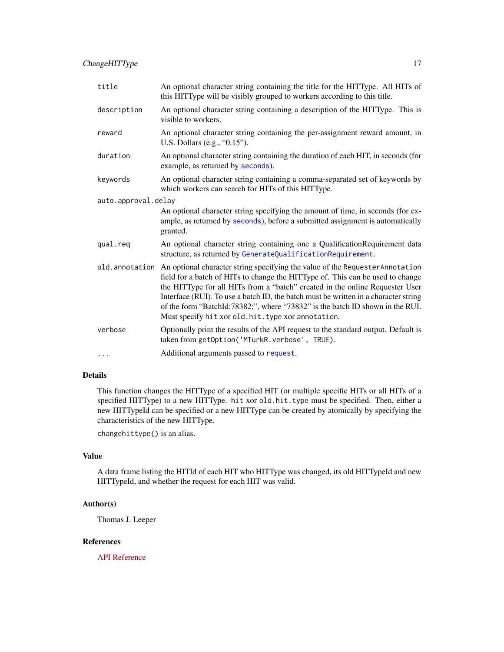| title               | An optional character string containing the title for the HITType. All HITs of<br>this HITType will be visibly grouped to workers according to this title.                                                                                                                                                                                                                                                                                                                                     |
|---------------------|------------------------------------------------------------------------------------------------------------------------------------------------------------------------------------------------------------------------------------------------------------------------------------------------------------------------------------------------------------------------------------------------------------------------------------------------------------------------------------------------|
| description         | An optional character string containing a description of the HITType. This is<br>visible to workers.                                                                                                                                                                                                                                                                                                                                                                                           |
| reward              | An optional character string containing the per-assignment reward amount, in<br>U.S. Dollars (e.g., "0.15").                                                                                                                                                                                                                                                                                                                                                                                   |
| duration            | An optional character string containing the duration of each HIT, in seconds (for<br>example, as returned by seconds).                                                                                                                                                                                                                                                                                                                                                                         |
| keywords            | An optional character string containing a comma-separated set of keywords by<br>which workers can search for HITs of this HITType.                                                                                                                                                                                                                                                                                                                                                             |
| auto.approval.delay |                                                                                                                                                                                                                                                                                                                                                                                                                                                                                                |
|                     | An optional character string specifying the amount of time, in seconds (for ex-<br>ample, as returned by seconds), before a submitted assignment is automatically<br>granted.                                                                                                                                                                                                                                                                                                                  |
| qual.req            | An optional character string containing one a QualificationRequirement data<br>structure, as returned by GenerateQualificationRequirement.                                                                                                                                                                                                                                                                                                                                                     |
|                     | old. annotation An optional character string specifying the value of the Requester Annotation<br>field for a batch of HITs to change the HITType of. This can be used to change<br>the HITType for all HITs from a "batch" created in the online Requester User<br>Interface (RUI). To use a batch ID, the batch must be written in a character string<br>of the form "BatchId:78382;", where "73832" is the batch ID shown in the RUI.<br>Must specify hit xor old. hit. type xor annotation. |
| verbose             | Optionally print the results of the API request to the standard output. Default is<br>taken from getOption('MTurkR.verbose', TRUE).                                                                                                                                                                                                                                                                                                                                                            |
| $\cdots$            | Additional arguments passed to request.                                                                                                                                                                                                                                                                                                                                                                                                                                                        |

### Details

This function changes the HITType of a specified HIT (or multiple specific HITs or all HITs of a specified HITType) to a new HITType. hit xor old.hit.type must be specified. Then, either a new HITTypeId can be specified or a new HITType can be created by atomically by specifying the characteristics of the new HITType.

changehittype() is an alias.

### Value

A data frame listing the HITId of each HIT who HITType was changed, its old HITTypeId and new HITTypeId, and whether the request for each HIT was valid.

#### Author(s)

Thomas J. Leeper

### References

[API Reference](http://docs.amazonwebservices.com/AWSMechTurk/latest/AWSMturkAPI/ApiReference_ChangeHITTypeOfHITOperation.html)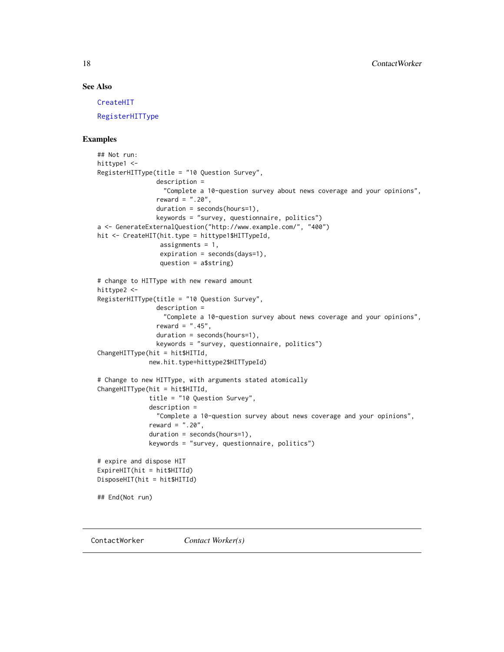### <span id="page-17-0"></span>See Also

[CreateHIT](#page-19-1)

[RegisterHITType](#page-76-1)

### Examples

```
## Not run:
hittype1 <-
RegisterHITType(title = "10 Question Survey",
                description =
                  "Complete a 10-question survey about news coverage and your opinions",
                reward = ".20",duration = seconds(hours=1),
                keywords = "survey, questionnaire, politics")
a <- GenerateExternalQuestion("http://www.example.com/", "400")
hit <- CreateHIT(hit.type = hittype1$HITTypeId,
                 assignments = 1,
                 expiration = seconds(days=1),
                 question = a$string)
# change to HITType with new reward amount
hittype2 <-
RegisterHITType(title = "10 Question Survey",
                description =
                  "Complete a 10-question survey about news coverage and your opinions",
                reward = ".45",duration = seconds(hours=1),
                keywords = "survey, questionnaire, politics")
ChangeHITType(hit = hit$HITId,
              new.hit.type=hittype2$HITTypeId)
# Change to new HITType, with arguments stated atomically
ChangeHITType(hit = hit$HITId,
              title = "10 Question Survey",
              description =
                "Complete a 10-question survey about news coverage and your opinions",
              reward = ".20",
              duration = seconds(hours=1),
              keywords = "survey, questionnaire, politics")
# expire and dispose HIT
ExpireHIT(hit = hit$HITId)
DisposeHIT(hit = hit$HITId)
## End(Not run)
```
<span id="page-17-1"></span>ContactWorker *Contact Worker(s)*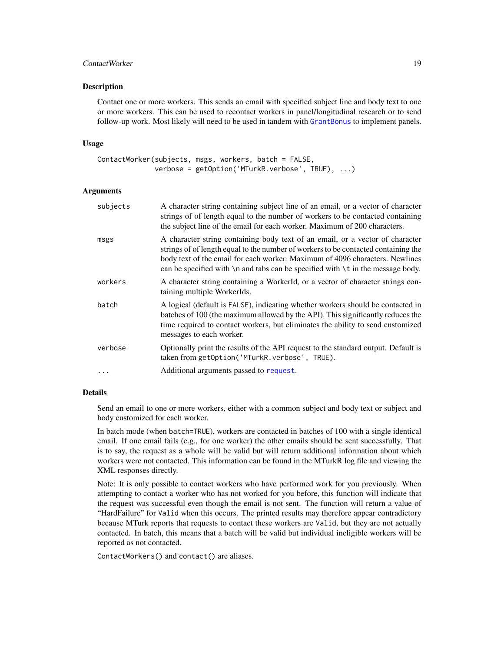### ContactWorker 19

#### Description

Contact one or more workers. This sends an email with specified subject line and body text to one or more workers. This can be used to recontact workers in panel/longitudinal research or to send follow-up work. Most likely will need to be used in tandem with [GrantBonus](#page-70-1) to implement panels.

#### Usage

```
ContactWorker(subjects, msgs, workers, batch = FALSE,
              verbose = getOption('MTurkR.verbose', TRUE), ...)
```
### Arguments

| subjects | A character string containing subject line of an email, or a vector of character<br>strings of of length equal to the number of workers to be contacted containing<br>the subject line of the email for each worker. Maximum of 200 characters.                                                                                                     |
|----------|-----------------------------------------------------------------------------------------------------------------------------------------------------------------------------------------------------------------------------------------------------------------------------------------------------------------------------------------------------|
| msgs     | A character string containing body text of an email, or a vector of character<br>strings of of length equal to the number of workers to be contacted containing the<br>body text of the email for each worker. Maximum of 4096 characters. Newlines<br>can be specified with $\n\times$ n and tabs can be specified with $\nt$ in the message body. |
| workers  | A character string containing a WorkerId, or a vector of character strings con-<br>taining multiple WorkerIds.                                                                                                                                                                                                                                      |
| batch    | A logical (default is FALSE), indicating whether workers should be contacted in<br>batches of 100 (the maximum allowed by the API). This significantly reduces the<br>time required to contact workers, but eliminates the ability to send customized<br>messages to each worker.                                                                   |
| verbose  | Optionally print the results of the API request to the standard output. Default is<br>taken from getOption('MTurkR.verbose', TRUE).                                                                                                                                                                                                                 |
| $\cdots$ | Additional arguments passed to request.                                                                                                                                                                                                                                                                                                             |

#### Details

Send an email to one or more workers, either with a common subject and body text or subject and body customized for each worker.

In batch mode (when batch=TRUE), workers are contacted in batches of 100 with a single identical email. If one email fails (e.g., for one worker) the other emails should be sent successfully. That is to say, the request as a whole will be valid but will return additional information about which workers were not contacted. This information can be found in the MTurkR log file and viewing the XML responses directly.

Note: It is only possible to contact workers who have performed work for you previously. When attempting to contact a worker who has not worked for you before, this function will indicate that the request was successful even though the email is not sent. The function will return a value of "HardFailure" for Valid when this occurs. The printed results may therefore appear contradictory because MTurk reports that requests to contact these workers are Valid, but they are not actually contacted. In batch, this means that a batch will be valid but individual ineligible workers will be reported as not contacted.

ContactWorkers() and contact() are aliases.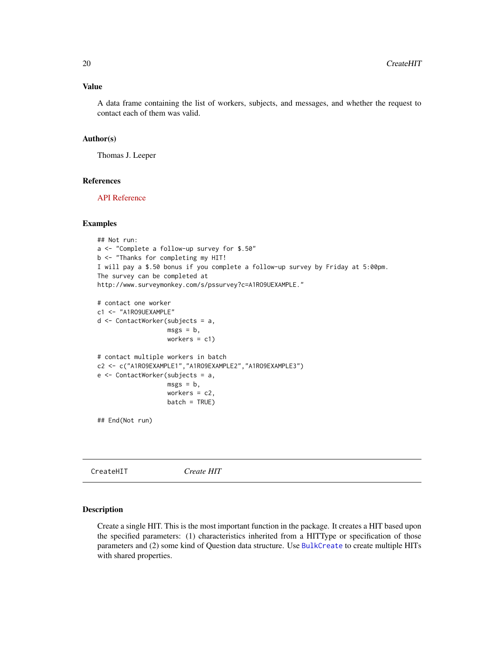### <span id="page-19-0"></span>Value

A data frame containing the list of workers, subjects, and messages, and whether the request to contact each of them was valid.

#### Author(s)

Thomas J. Leeper

### References

[API Reference](http://docs.amazonwebservices.com/AWSMechTurk/latest/AWSMturkAPI/ApiReference_NotifyWorkersOperation.html)

#### Examples

```
## Not run:
a <- "Complete a follow-up survey for $.50"
b <- "Thanks for completing my HIT!
I will pay a $.50 bonus if you complete a follow-up survey by Friday at 5:00pm.
The survey can be completed at
http://www.surveymonkey.com/s/pssurvey?c=A1RO9UEXAMPLE."
# contact one worker
c1 <- "A1RO9UEXAMPLE"
d <- ContactWorker(subjects = a,
                   msgs = b,
                   workers = c1)
# contact multiple workers in batch
c2 <- c("A1RO9EXAMPLE1","A1RO9EXAMPLE2","A1RO9EXAMPLE3")
e <- ContactWorker(subjects = a,
                   msgs = b,
                   workers = c2,
                   batch = TRUE)
## End(Not run)
```
<span id="page-19-1"></span>CreateHIT *Create HIT*

#### Description

Create a single HIT. This is the most important function in the package. It creates a HIT based upon the specified parameters: (1) characteristics inherited from a HITType or specification of those parameters and (2) some kind of Question data structure. Use [BulkCreate](#page-11-1) to create multiple HITs with shared properties.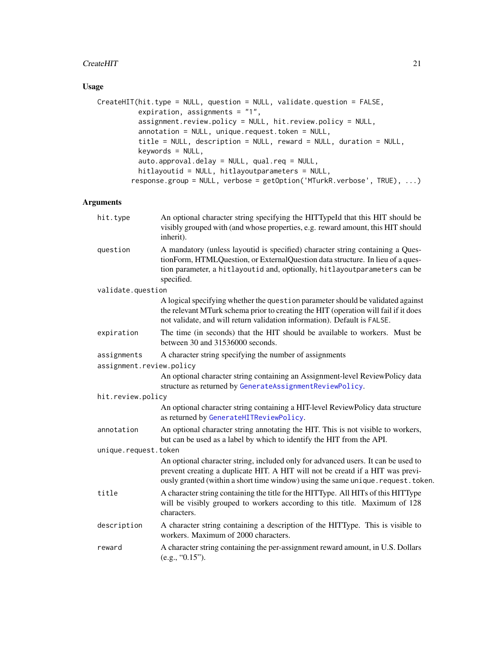### CreateHIT 21

### Usage

```
CreateHIT(hit.type = NULL, question = NULL, validate.question = FALSE,
          expiration, assignments = "1",
          assignment.review.policy = NULL, hit.review.policy = NULL,
          annotation = NULL, unique.request.token = NULL,
          title = NULL, description = NULL, reward = NULL, duration = NULL,
          keywords = NULL,
          auto.approval.delay = NULL, qual.req = NULL,
          hitlayoutid = NULL, hitlayoutparameters = NULL,
        response.group = NULL, verbose = getOption('MTurkR.verbose', TRUE), ...)
```
### Arguments

| hit.type                 | An optional character string specifying the HITTypeId that this HIT should be<br>visibly grouped with (and whose properties, e.g. reward amount, this HIT should<br>inherit).                                                                               |
|--------------------------|-------------------------------------------------------------------------------------------------------------------------------------------------------------------------------------------------------------------------------------------------------------|
| question                 | A mandatory (unless layoutid is specified) character string containing a Ques-<br>tionForm, HTMLQuestion, or ExternalQuestion data structure. In lieu of a ques-<br>tion parameter, a hitlayoutid and, optionally, hitlayoutparameters can be<br>specified. |
| validate.question        |                                                                                                                                                                                                                                                             |
|                          | A logical specifying whether the question parameter should be validated against<br>the relevant MTurk schema prior to creating the HIT (operation will fail if it does<br>not validate, and will return validation information). Default is FALSE.          |
| expiration               | The time (in seconds) that the HIT should be available to workers. Must be<br>between 30 and 31536000 seconds.                                                                                                                                              |
| assignments              | A character string specifying the number of assignments                                                                                                                                                                                                     |
| assignment.review.policy |                                                                                                                                                                                                                                                             |
|                          | An optional character string containing an Assignment-level ReviewPolicy data<br>structure as returned by GenerateAssignmentReviewPolicy.                                                                                                                   |
| hit.review.policy        |                                                                                                                                                                                                                                                             |
|                          | An optional character string containing a HIT-level ReviewPolicy data structure<br>as returned by GenerateHITReviewPolicy.                                                                                                                                  |
| annotation               | An optional character string annotating the HIT. This is not visible to workers,<br>but can be used as a label by which to identify the HIT from the API.                                                                                                   |
| unique.request.token     |                                                                                                                                                                                                                                                             |
|                          | An optional character string, included only for advanced users. It can be used to<br>prevent creating a duplicate HIT. A HIT will not be creatd if a HIT was previ-<br>ously granted (within a short time window) using the same unique. request. token.    |
| title                    | A character string containing the title for the HITType. All HITs of this HITType<br>will be visibly grouped to workers according to this title. Maximum of 128<br>characters.                                                                              |
| description              | A character string containing a description of the HITType. This is visible to<br>workers. Maximum of 2000 characters.                                                                                                                                      |
| reward                   | A character string containing the per-assignment reward amount, in U.S. Dollars<br>(e.g., "0.15").                                                                                                                                                          |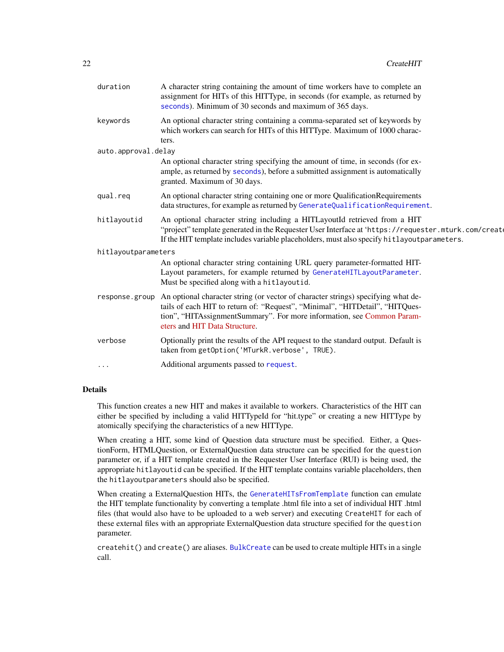| duration            | A character string containing the amount of time workers have to complete an<br>assignment for HITs of this HITType, in seconds (for example, as returned by<br>seconds). Minimum of 30 seconds and maximum of 365 days.                                                       |
|---------------------|--------------------------------------------------------------------------------------------------------------------------------------------------------------------------------------------------------------------------------------------------------------------------------|
| keywords            | An optional character string containing a comma-separated set of keywords by<br>which workers can search for HITs of this HITType. Maximum of 1000 charac-<br>ters.                                                                                                            |
| auto.approval.delay |                                                                                                                                                                                                                                                                                |
|                     | An optional character string specifying the amount of time, in seconds (for ex-<br>ample, as returned by seconds), before a submitted assignment is automatically<br>granted. Maximum of 30 days.                                                                              |
| qual.req            | An optional character string containing one or more Qualification Requirements<br>data structures, for example as returned by GenerateQualificationRequirement.                                                                                                                |
| hitlayoutid         | An optional character string including a HITLayoutId retrieved from a HIT<br>"project" template generated in the Requester User Interface at 'https://requester.mturk.com/create<br>If the HIT template includes variable placeholders, must also specify hitlayoutparameters. |
| hitlayoutparameters |                                                                                                                                                                                                                                                                                |
|                     | An optional character string containing URL query parameter-formatted HIT-<br>Layout parameters, for example returned by GenerateHITLayoutParameter.<br>Must be specified along with a hitlayoutid.                                                                            |
| response.group      | An optional character string (or vector of character strings) specifying what de-<br>tails of each HIT to return of: "Request", "Minimal", "HITDetail", "HITQues-<br>tion", "HITAssignmentSummary". For more information, see Common Param-<br>eters and HIT Data Structure.   |
| verbose             | Optionally print the results of the API request to the standard output. Default is<br>taken from getOption('MTurkR.verbose', TRUE).                                                                                                                                            |
|                     | Additional arguments passed to request.                                                                                                                                                                                                                                        |
|                     |                                                                                                                                                                                                                                                                                |

### Details

This function creates a new HIT and makes it available to workers. Characteristics of the HIT can either be specified by including a valid HITTypeId for "hit.type" or creating a new HITType by atomically specifying the characteristics of a new HITType.

When creating a HIT, some kind of Question data structure must be specified. Either, a QuestionForm, HTMLQuestion, or ExternalQuestion data structure can be specified for the question parameter or, if a HIT template created in the Requester User Interface (RUI) is being used, the appropriate hitlayoutid can be specified. If the HIT template contains variable placeholders, then the hitlayoutparameters should also be specified.

When creating a ExternalQuestion HITs, the [GenerateHITsFromTemplate](#page-39-1) function can emulate the HIT template functionality by converting a template .html file into a set of individual HIT .html files (that would also have to be uploaded to a web server) and executing CreateHIT for each of these external files with an appropriate ExternalQuestion data structure specified for the question parameter.

createhit() and create() are aliases. [BulkCreate](#page-11-1) can be used to create multiple HITs in a single call.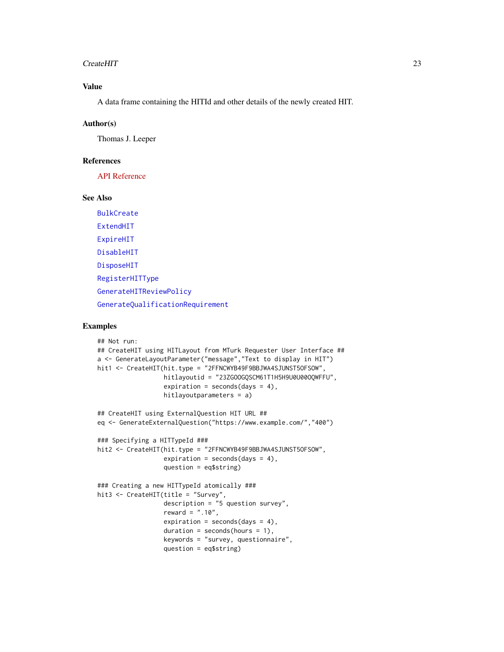#### CreateHIT 23

### Value

A data frame containing the HITId and other details of the newly created HIT.

#### Author(s)

Thomas J. Leeper

### References

[API Reference](http://docs.amazonwebservices.com/AWSMechTurk/latest/AWSMturkAPI/ApiReference_CreateHITOperation.html)

#### See Also

[BulkCreate](#page-11-1) [ExtendHIT](#page-33-1) [ExpireHIT](#page-31-1) [DisableHIT](#page-27-1) [DisposeHIT](#page-28-1) [RegisterHITType](#page-76-1) [GenerateHITReviewPolicy](#page-46-1) [GenerateQualificationRequirement](#page-44-1)

### Examples

```
## Not run:
## CreateHIT using HITLayout from MTurk Requester User Interface ##
a <- GenerateLayoutParameter("message","Text to display in HIT")
hit1 <- CreateHIT(hit.type = "2FFNCWYB49F9BBJWA4SJUNST50FSOW",
                  hitlayoutid = "23ZGOOGQSCM61T1H5H9U0U00OQWFFU",
                  expiration = seconds(days = 4),
                  hitlayoutparameters = a)
## CreateHIT using ExternalQuestion HIT URL ##
eq <- GenerateExternalQuestion("https://www.example.com/","400")
### Specifying a HITTypeId ###
hit2 <- CreateHIT(hit.type = "2FFNCWYB49F9BBJWA4SJUNST5OFSOW",
                  expiration = seconds(days = 4),
                  question = eq$string)
### Creating a new HITTypeId atomically ###
hit3 <- CreateHIT(title = "Survey",
                  description = "5 question survey",
                  reward = ".10",expiration = seconds(days = 4),
                  duration = seconds(hours = 1),keywords = "survey, questionnaire",
                  question = eq$string)
```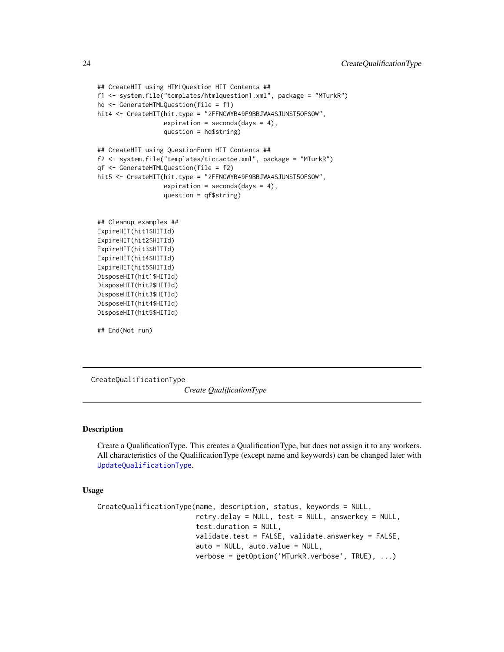```
## CreateHIT using HTMLQuestion HIT Contents ##
f1 <- system.file("templates/htmlquestion1.xml", package = "MTurkR")
hq <- GenerateHTMLQuestion(file = f1)
hit4 <- CreateHIT(hit.type = "2FFNCWYB49F9BBJWA4SJUNST50FSOW",
                  expiration = seconds(days = 4),
                  question = hq$string)
## CreateHIT using QuestionForm HIT Contents ##
f2 <- system.file("templates/tictactoe.xml", package = "MTurkR")
qf <- GenerateHTMLQuestion(file = f2)
hit5 <- CreateHIT(hit.type = "2FFNCWYB49F9BBJWA4SJUNST50FSOW",
                  expiration = seconds(days = 4),
                  question = qf$string)
## Cleanup examples ##
```
ExpireHIT(hit1\$HITId) ExpireHIT(hit2\$HITId) ExpireHIT(hit3\$HITId) ExpireHIT(hit4\$HITId) ExpireHIT(hit5\$HITId) DisposeHIT(hit1\$HITId) DisposeHIT(hit2\$HITId) DisposeHIT(hit3\$HITId) DisposeHIT(hit4\$HITId) DisposeHIT(hit5\$HITId)

## End(Not run)

<span id="page-23-1"></span>CreateQualificationType

*Create QualificationType*

### Description

Create a QualificationType. This creates a QualificationType, but does not assign it to any workers. All characteristics of the QualificationType (except name and keywords) can be changed later with [UpdateQualificationType](#page-93-1).

#### Usage

```
CreateQualificationType(name, description, status, keywords = NULL,
                        retry.delay = NULL, test = NULL, answerkey = NULL,
                        test.duration = NULL,
                        validate.test = FALSE, validate.answerkey = FALSE,
                        auto = NULL, auto.value = NULL,
                        verbose = getOption('MTurkR.verbose', TRUE), ...)
```
<span id="page-23-0"></span>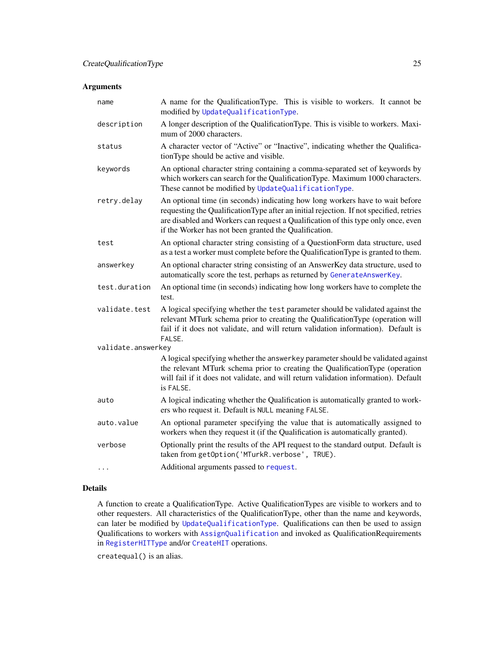### Arguments

| A name for the QualificationType. This is visible to workers. It cannot be<br>modified by UpdateQualificationType.                                                                                                                                                                                                     |
|------------------------------------------------------------------------------------------------------------------------------------------------------------------------------------------------------------------------------------------------------------------------------------------------------------------------|
| A longer description of the QualificationType. This is visible to workers. Maxi-<br>mum of 2000 characters.                                                                                                                                                                                                            |
| A character vector of "Active" or "Inactive", indicating whether the Qualifica-<br>tionType should be active and visible.                                                                                                                                                                                              |
| An optional character string containing a comma-separated set of keywords by<br>which workers can search for the QualificationType. Maximum 1000 characters.<br>These cannot be modified by UpdateQualificationType.                                                                                                   |
| An optional time (in seconds) indicating how long workers have to wait before<br>requesting the Qualification Type after an initial rejection. If not specified, retries<br>are disabled and Workers can request a Qualification of this type only once, even<br>if the Worker has not been granted the Qualification. |
| An optional character string consisting of a QuestionForm data structure, used<br>as a test a worker must complete before the Qualification Type is granted to them.                                                                                                                                                   |
| An optional character string consisting of an AnswerKey data structure, used to<br>automatically score the test, perhaps as returned by GenerateAnswerKey.                                                                                                                                                             |
| An optional time (in seconds) indicating how long workers have to complete the<br>test.                                                                                                                                                                                                                                |
| A logical specifying whether the test parameter should be validated against the<br>relevant MTurk schema prior to creating the QualificationType (operation will<br>fail if it does not validate, and will return validation information). Default is<br>FALSE.                                                        |
| validate.answerkey                                                                                                                                                                                                                                                                                                     |
| A logical specifying whether the answerkey parameter should be validated against<br>the relevant MTurk schema prior to creating the QualificationType (operation<br>will fail if it does not validate, and will return validation information). Default<br>is FALSE.                                                   |
| A logical indicating whether the Qualification is automatically granted to work-<br>ers who request it. Default is NULL meaning FALSE.                                                                                                                                                                                 |
| An optional parameter specifying the value that is automatically assigned to<br>workers when they request it (if the Qualification is automatically granted).                                                                                                                                                          |
| Optionally print the results of the API request to the standard output. Default is<br>taken from getOption('MTurkR.verbose', TRUE).                                                                                                                                                                                    |
| Additional arguments passed to request.                                                                                                                                                                                                                                                                                |
|                                                                                                                                                                                                                                                                                                                        |

### Details

A function to create a QualificationType. Active QualificationTypes are visible to workers and to other requesters. All characteristics of the QualificationType, other than the name and keywords, can later be modified by [UpdateQualificationType](#page-93-1). Qualifications can then be used to assign Qualifications to workers with [AssignQualification](#page-7-1) and invoked as QualificationRequirements in [RegisterHITType](#page-76-1) and/or [CreateHIT](#page-19-1) operations.

createqual() is an alias.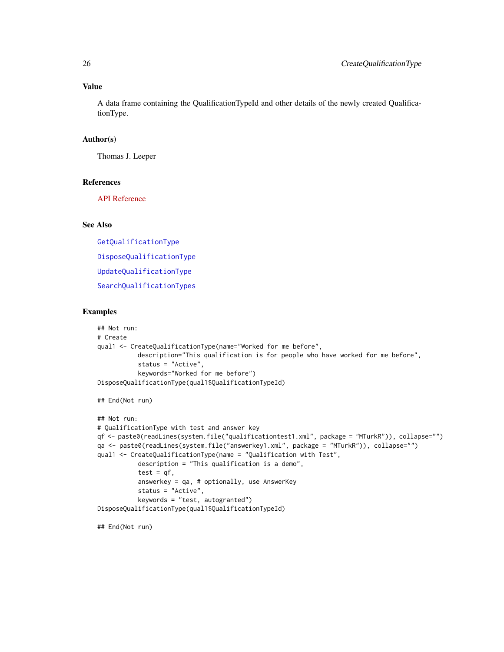### Value

A data frame containing the QualificationTypeId and other details of the newly created QualificationType.

### Author(s)

Thomas J. Leeper

### References

[API Reference](http://docs.amazonwebservices.com/AWSMechTurk/latest/AWSMturkAPI/ApiReference_CreateQualificationTypeOperation.html)

### See Also

[GetQualificationType](#page-64-1) [DisposeQualificationType](#page-30-1) [UpdateQualificationType](#page-93-1)

[SearchQualificationTypes](#page-84-1)

#### Examples

```
## Not run:
# Create
qual1 <- CreateQualificationType(name="Worked for me before",
           description="This qualification is for people who have worked for me before",
           status = "Active",
           keywords="Worked for me before")
DisposeQualificationType(qual1$QualificationTypeId)
## End(Not run)
## Not run:
# QualificationType with test and answer key
qf <- paste0(readLines(system.file("qualificationtest1.xml", package = "MTurkR")), collapse="")
qa <- paste0(readLines(system.file("answerkey1.xml", package = "MTurkR")), collapse="")
qual1 <- CreateQualificationType(name = "Qualification with Test",
           description = "This qualification is a demo",
           test = qf,
           answerkey = qa, # optionally, use AnswerKey
           status = "Active",
           keywords = "test, autogranted")
DisposeQualificationType(qual1$QualificationTypeId)
```
## End(Not run)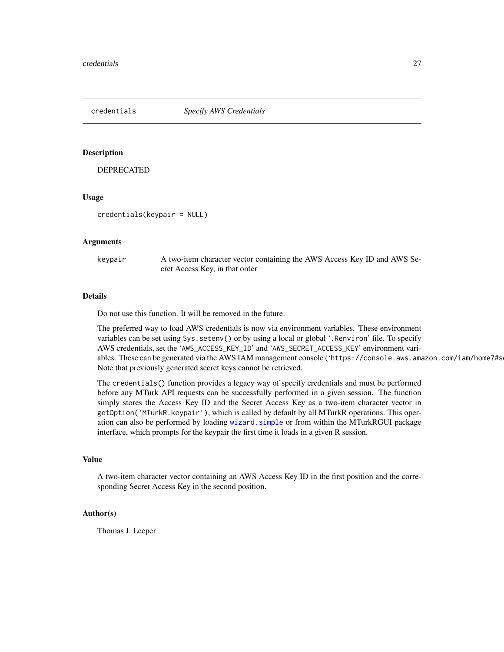<span id="page-26-0"></span>

#### Description

DEPRECATED

#### Usage

credentials(keypair = NULL)

#### Arguments

keypair A two-item character vector containing the AWS Access Key ID and AWS Secret Access Key, in that order

### Details

Do not use this function. It will be removed in the future.

The preferred way to load AWS credentials is now via environment variables. These environment variables can be set using Sys.setenv() or by using a local or global '.Renviron' file. To specify AWS credentials, set the 'AWS\_ACCESS\_KEY\_ID' and 'AWS\_SECRET\_ACCESS\_KEY' environment variables. These can be generated via the AWS IAM management console ('https://console.aws.amazon.com/iam/home?#s Note that previously generated secret keys cannot be retrieved.

The credentials() function provides a legacy way of specify credentials and must be performed before any MTurk API requests can be successfully performed in a given session. The function simply stores the Access Key ID and the Secret Access Key as a two-item character vector in getOption('MTurkR.keypair'), which is called by default by all MTurkR operations. This operation can also be performed by loading [wizard.simple](#page-109-1) or from within the MTurkRGUI package interface, which prompts for the keypair the first time it loads in a given R session.

### Value

A two-item character vector containing an AWS Access Key ID in the first position and the corresponding Secret Access Key in the second position.

### Author(s)

Thomas J. Leeper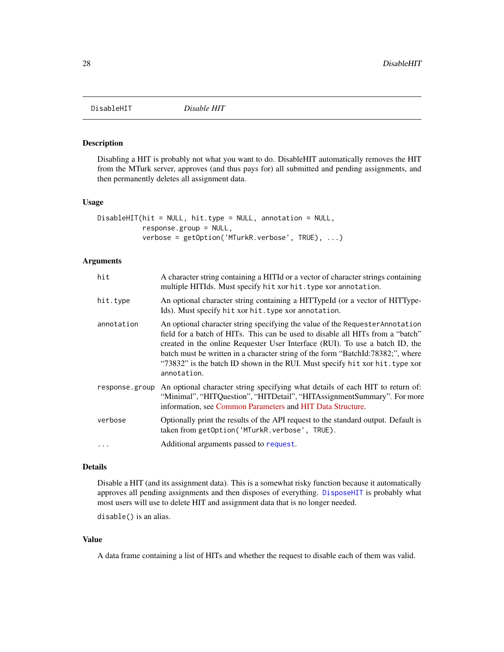<span id="page-27-1"></span><span id="page-27-0"></span>

#### Description

Disabling a HIT is probably not what you want to do. DisableHIT automatically removes the HIT from the MTurk server, approves (and thus pays for) all submitted and pending assignments, and then permanently deletes all assignment data.

#### Usage

```
DisableHIT(hit = NULL, hit.type = NULL, annotation = NULL,
           response.group = NULL,
           verbose = getOption('MTurkR.verbose', TRUE), ...)
```
### Arguments

| hit            | A character string containing a HITId or a vector of character strings containing<br>multiple HITIds. Must specify hit xor hit. type xor annotation.                                                                                                                                                                                                                                                                              |
|----------------|-----------------------------------------------------------------------------------------------------------------------------------------------------------------------------------------------------------------------------------------------------------------------------------------------------------------------------------------------------------------------------------------------------------------------------------|
| hit.type       | An optional character string containing a HITTypeId (or a vector of HITType-<br>Ids). Must specify hit xor hit. type xor annotation.                                                                                                                                                                                                                                                                                              |
| annotation     | An optional character string specifying the value of the Requester Annotation<br>field for a batch of HITs. This can be used to disable all HITs from a "batch"<br>created in the online Requester User Interface (RUI). To use a batch ID, the<br>batch must be written in a character string of the form "BatchId:78382;", where<br>"73832" is the batch ID shown in the RUI. Must specify hit xor hit. type xor<br>annotation. |
| response.group | An optional character string specifying what details of each HIT to return of:<br>"Minimal", "HITQuestion", "HITDetail", "HITAssignmentSummary". For more<br>information, see Common Parameters and HIT Data Structure.                                                                                                                                                                                                           |
| verbose        | Optionally print the results of the API request to the standard output. Default is<br>taken from getOption('MTurkR.verbose', TRUE).                                                                                                                                                                                                                                                                                               |
|                | Additional arguments passed to request.                                                                                                                                                                                                                                                                                                                                                                                           |

### Details

Disable a HIT (and its assignment data). This is a somewhat risky function because it automatically approves all pending assignments and then disposes of everything. [DisposeHIT](#page-28-1) is probably what most users will use to delete HIT and assignment data that is no longer needed.

disable() is an alias.

### Value

A data frame containing a list of HITs and whether the request to disable each of them was valid.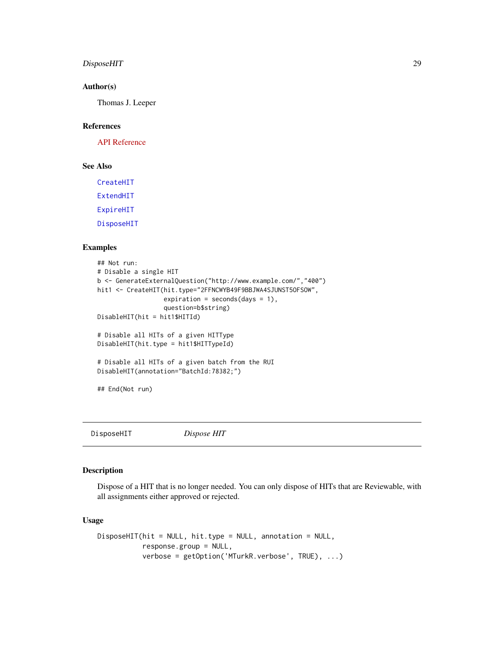### <span id="page-28-0"></span>DisposeHIT 29

### Author(s)

Thomas J. Leeper

### References

[API Reference](http://docs.amazonwebservices.com/AWSMechTurk/latest/AWSMturkAPI/ApiReference_DisableHITOperation.html)

### See Also

[CreateHIT](#page-19-1) [ExtendHIT](#page-33-1)

[ExpireHIT](#page-31-1)

[DisposeHIT](#page-28-1)

### Examples

```
## Not run:
# Disable a single HIT
b <- GenerateExternalQuestion("http://www.example.com/","400")
hit1 <- CreateHIT(hit.type="2FFNCWYB49F9BBJWA4SJUNST5OFSOW",
                  expiration = seconds(days = 1),
                  question=b$string)
DisableHIT(hit = hit1$HITId)
# Disable all HITs of a given HITType
DisableHIT(hit.type = hit1$HITTypeId)
# Disable all HITs of a given batch from the RUI
DisableHIT(annotation="BatchId:78382;")
```

```
## End(Not run)
```
<span id="page-28-1"></span>DisposeHIT *Dispose HIT*

### Description

Dispose of a HIT that is no longer needed. You can only dispose of HITs that are Reviewable, with all assignments either approved or rejected.

### Usage

```
DisposeHIT(hit = NULL, hit.type = NULL, annotation = NULL,
           response.group = NULL,
           verbose = getOption('MTurkR.verbose', TRUE), ...)
```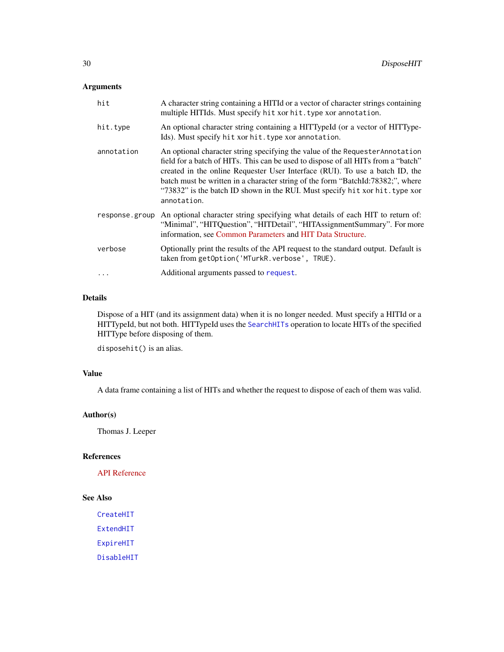### Arguments

| hit            | A character string containing a HITId or a vector of character strings containing<br>multiple HITIds. Must specify hit xor hit. type xor annotation.                                                                                                                                                                                                                                                                                 |
|----------------|--------------------------------------------------------------------------------------------------------------------------------------------------------------------------------------------------------------------------------------------------------------------------------------------------------------------------------------------------------------------------------------------------------------------------------------|
| hit.type       | An optional character string containing a HITTypeId (or a vector of HITType-<br>Ids). Must specify hit xor hit. type xor annotation.                                                                                                                                                                                                                                                                                                 |
| annotation     | An optional character string specifying the value of the Requester Annotation<br>field for a batch of HITs. This can be used to dispose of all HITs from a "batch"<br>created in the online Requester User Interface (RUI). To use a batch ID, the<br>batch must be written in a character string of the form "BatchId:78382;", where<br>"73832" is the batch ID shown in the RUI. Must specify hit xor hit. type xor<br>annotation. |
| response.group | An optional character string specifying what details of each HIT to return of:<br>"Minimal", "HITQuestion", "HITDetail", "HITAssignmentSummary". For more<br>information, see Common Parameters and HIT Data Structure.                                                                                                                                                                                                              |
| verbose        | Optionally print the results of the API request to the standard output. Default is<br>taken from getOption('MTurkR.verbose', TRUE).                                                                                                                                                                                                                                                                                                  |
|                | Additional arguments passed to request.                                                                                                                                                                                                                                                                                                                                                                                              |

### Details

Dispose of a HIT (and its assignment data) when it is no longer needed. Must specify a HITId or a HITTypeId, but not both. HITTypeId uses the [SearchHITs](#page-82-1) operation to locate HITs of the specified HITType before disposing of them.

disposehit() is an alias.

### Value

A data frame containing a list of HITs and whether the request to dispose of each of them was valid.

#### Author(s)

Thomas J. Leeper

### References

[API Reference](http://docs.amazonwebservices.com/AWSMechTurk/latest/AWSMturkAPI/ApiReference_DisposeHITOperation.html)

### See Also

[CreateHIT](#page-19-1) [ExtendHIT](#page-33-1) [ExpireHIT](#page-31-1) [DisableHIT](#page-27-1)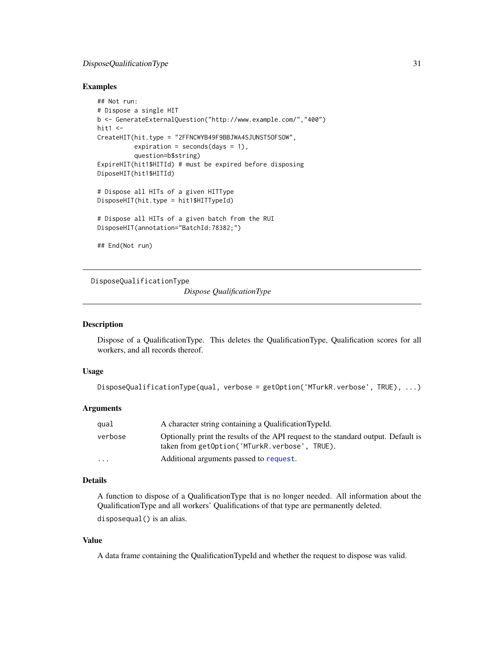### <span id="page-30-0"></span>DisposeQualificationType 31

#### Examples

```
## Not run:
# Dispose a single HIT
b <- GenerateExternalQuestion("http://www.example.com/","400")
hit1 < -CreateHIT(hit.type = "2FFNCWYB49F9BBJWA4SJUNST5OFSOW",
          expiration = seconds(days = 1),
          question=b$string)
ExpireHIT(hit1$HITId) # must be expired before disposing
DiposeHIT(hit1$HITId)
# Dispose all HITs of a given HITType
DisposeHIT(hit.type = hit1$HITTypeId)
# Dispose all HITs of a given batch from the RUI
DisposeHIT(annotation="BatchId:78382;")
## End(Not run)
```
<span id="page-30-1"></span>DisposeQualificationType

*Dispose QualificationType*

### Description

Dispose of a QualificationType. This deletes the QualificationType, Qualification scores for all workers, and all records thereof.

#### Usage

```
DisposeQualificationType(qual, verbose = getOption('MTurkR.verbose', TRUE), ...)
```
#### Arguments

| qual     | A character string containing a QualificationTypeId.                                                                                |
|----------|-------------------------------------------------------------------------------------------------------------------------------------|
| verbose  | Optionally print the results of the API request to the standard output. Default is<br>taken from getOption('MTurkR.verbose', TRUE). |
| $\cdots$ | Additional arguments passed to request.                                                                                             |

### Details

A function to dispose of a QualificationType that is no longer needed. All information about the QualificationType and all workers' Qualifications of that type are permanently deleted. disposequal() is an alias.

### Value

A data frame containing the QualificationTypeId and whether the request to dispose was valid.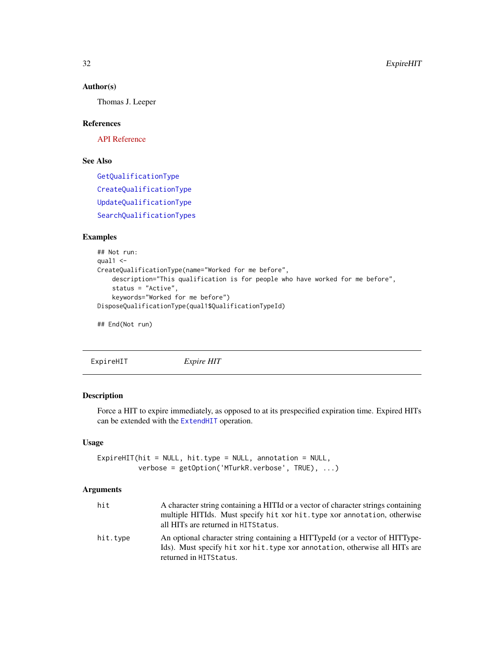#### Author(s)

Thomas J. Leeper

### References

[API Reference](http://docs.amazonwebservices.com/AWSMechTurk/latest/AWSMturkAPI/ApiReference_DisposeQualificationTypeOperation.html)

### See Also

[GetQualificationType](#page-64-1) [CreateQualificationType](#page-23-1) [UpdateQualificationType](#page-93-1) [SearchQualificationTypes](#page-84-1)

### Examples

```
## Not run:
qual1 < -CreateQualificationType(name="Worked for me before",
   description="This qualification is for people who have worked for me before",
   status = "Active",
    keywords="Worked for me before")
DisposeQualificationType(qual1$QualificationTypeId)
```
## End(Not run)

<span id="page-31-1"></span>ExpireHIT *Expire HIT*

#### Description

Force a HIT to expire immediately, as opposed to at its prespecified expiration time. Expired HITs can be extended with the [ExtendHIT](#page-33-1) operation.

### Usage

```
ExpireHIT(hit = NULL, hit.type = NULL, annotation = NULL,
         verbose = getOption('MTurkR.verbose', TRUE), ...)
```
### Arguments

| hit      | A character string containing a HITId or a vector of character strings containing<br>multiple HITIds. Must specify hit xor hit. type xor annotation, otherwise<br>all HITs are returned in HITS tatus. |
|----------|--------------------------------------------------------------------------------------------------------------------------------------------------------------------------------------------------------|
| hit.type | An optional character string containing a HITTypeId (or a vector of HITType-<br>Ids). Must specify hit xor hit. type xor annotation, otherwise all HITs are<br>returned in HITStatus.                  |

<span id="page-31-0"></span>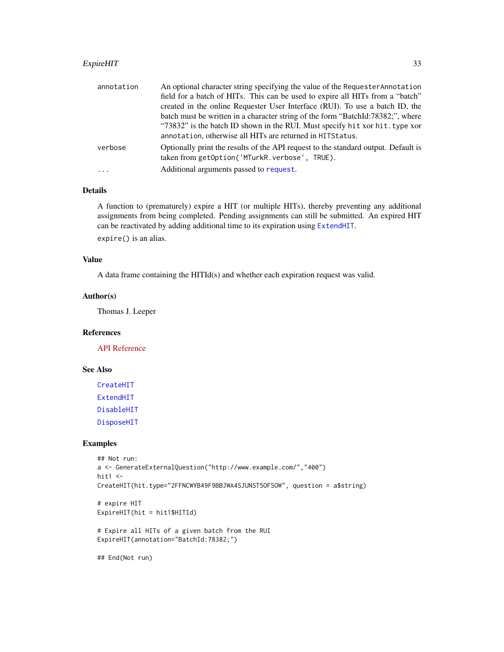### ExpireHIT 33

| annotation | An optional character string specifying the value of the Requester Annotation                                                       |
|------------|-------------------------------------------------------------------------------------------------------------------------------------|
|            | field for a batch of HITs. This can be used to expire all HITs from a "batch"                                                       |
|            | created in the online Requester User Interface (RUI). To use a batch ID, the                                                        |
|            | batch must be written in a character string of the form "BatchId:78382;", where                                                     |
|            | "73832" is the batch ID shown in the RUI. Must specify hit xor hit. type xor                                                        |
|            | annotation, otherwise all HITs are returned in HITS tatus.                                                                          |
| verbose    | Optionally print the results of the API request to the standard output. Default is<br>taken from getOption('MTurkR.verbose', TRUE). |
| $\cdot$    | Additional arguments passed to request.                                                                                             |

### Details

A function to (prematurely) expire a HIT (or multiple HITs), thereby preventing any additional assignments from being completed. Pending assignments can still be submitted. An expired HIT can be reactivated by adding additional time to its expiration using [ExtendHIT](#page-33-1).

expire() is an alias.

### Value

A data frame containing the HITId(s) and whether each expiration request was valid.

#### Author(s)

Thomas J. Leeper

### References

[API Reference](http://docs.amazonwebservices.com/AWSMechTurk/latest/AWSMturkAPI/ApiReference_ForceExpireHITOperation.html)

#### See Also

[CreateHIT](#page-19-1) [ExtendHIT](#page-33-1) [DisableHIT](#page-27-1) [DisposeHIT](#page-28-1)

### Examples

```
## Not run:
a <- GenerateExternalQuestion("http://www.example.com/","400")
hit1 <-
CreateHIT(hit.type="2FFNCWYB49F9BBJWA4SJUNST5OFSOW", question = a$string)
# expire HIT
ExpireHIT(hit = hit1$HITId)
# Expire all HITs of a given batch from the RUI
ExpireHIT(annotation="BatchId:78382;")
## End(Not run)
```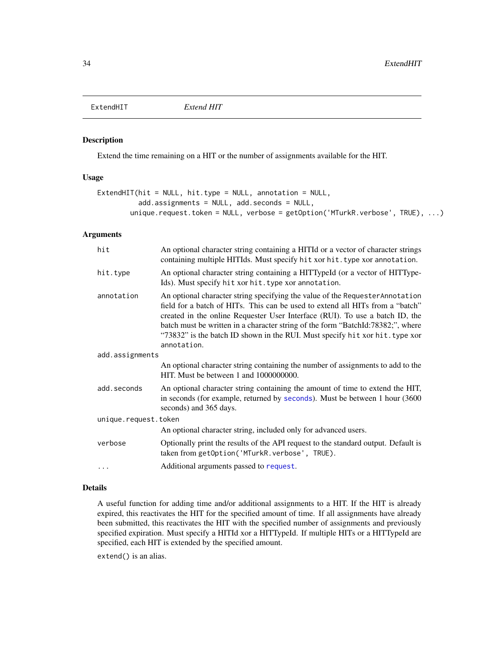<span id="page-33-1"></span><span id="page-33-0"></span>

### Description

Extend the time remaining on a HIT or the number of assignments available for the HIT.

#### Usage

```
ExtendHIT(hit = NULL, hit.type = NULL, annotation = NULL,
          add.assignments = NULL, add.seconds = NULL,
        unique.request.token = NULL, verbose = getOption('MTurkR.verbose', TRUE), ...)
```
#### Arguments

| hit             | An optional character string containing a HITId or a vector of character strings<br>containing multiple HITIds. Must specify hit xor hit. type xor annotation.                                                                                                                                                                                                                                                                   |  |
|-----------------|----------------------------------------------------------------------------------------------------------------------------------------------------------------------------------------------------------------------------------------------------------------------------------------------------------------------------------------------------------------------------------------------------------------------------------|--|
| hit.type        | An optional character string containing a HITTypeId (or a vector of HITType-<br>Ids). Must specify hit xor hit. type xor annotation.                                                                                                                                                                                                                                                                                             |  |
| annotation      | An optional character string specifying the value of the Requester Annotation<br>field for a batch of HITs. This can be used to extend all HITs from a "batch"<br>created in the online Requester User Interface (RUI). To use a batch ID, the<br>batch must be written in a character string of the form "BatchId:78382;", where<br>"73832" is the batch ID shown in the RUI. Must specify hit xor hit. type xor<br>annotation. |  |
| add.assignments |                                                                                                                                                                                                                                                                                                                                                                                                                                  |  |
|                 | An optional character string containing the number of assignments to add to the<br>HIT. Must be between 1 and 1000000000.                                                                                                                                                                                                                                                                                                        |  |
| add.seconds     | An optional character string containing the amount of time to extend the HIT,<br>in seconds (for example, returned by seconds). Must be between 1 hour (3600)<br>seconds) and 365 days.                                                                                                                                                                                                                                          |  |
|                 | unique.request.token                                                                                                                                                                                                                                                                                                                                                                                                             |  |
|                 | An optional character string, included only for advanced users.                                                                                                                                                                                                                                                                                                                                                                  |  |
| verbose         | Optionally print the results of the API request to the standard output. Default is<br>taken from getOption('MTurkR.verbose', TRUE).                                                                                                                                                                                                                                                                                              |  |
|                 | Additional arguments passed to request.                                                                                                                                                                                                                                                                                                                                                                                          |  |
|                 |                                                                                                                                                                                                                                                                                                                                                                                                                                  |  |

### Details

A useful function for adding time and/or additional assignments to a HIT. If the HIT is already expired, this reactivates the HIT for the specified amount of time. If all assignments have already been submitted, this reactivates the HIT with the specified number of assignments and previously specified expiration. Must specify a HITId xor a HITTypeId. If multiple HITs or a HITTypeId are specified, each HIT is extended by the specified amount.

extend() is an alias.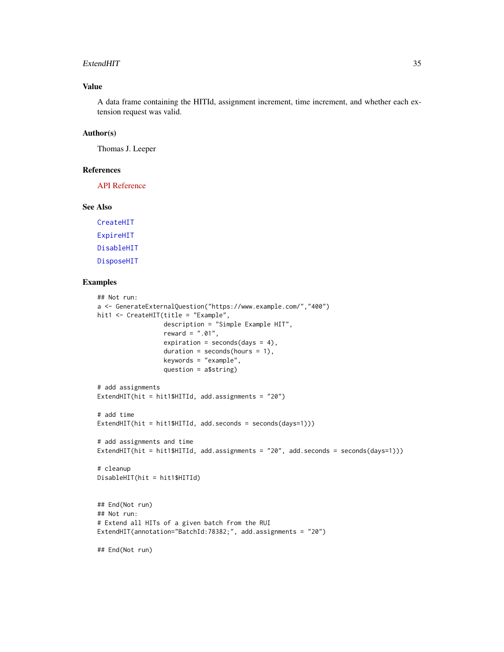#### ExtendHIT 35

### Value

A data frame containing the HITId, assignment increment, time increment, and whether each extension request was valid.

#### Author(s)

Thomas J. Leeper

#### References

[API Reference](http://docs.amazonwebservices.com/AWSMechTurk/latest/AWSMturkAPI/ApiReference_ExtendHITOperation.html)

### See Also

[CreateHIT](#page-19-1) [ExpireHIT](#page-31-1) [DisableHIT](#page-27-1) [DisposeHIT](#page-28-1)

#### Examples

```
## Not run:
a <- GenerateExternalQuestion("https://www.example.com/","400")
hit1 <- CreateHIT(title = "Example",
                  description = "Simple Example HIT",
                  reward = ".01",expiration = seconds/day = 4),
                  duration = seconds(hours = 1),
                  keywords = "example",
                  question = a$string)
# add assignments
ExtendHIT(hit = hit1$HITId, add.assignments = "20")
# add time
ExtendHIT(hit = hit1$HITId, add.seconds = seconds(days=1)))
# add assignments and time
ExtendHIT(hit = hit1$HITId, add. assignments = "20", add.seconds = seconds(days=1)))# cleanup
DisableHIT(hit = hit1$HITId)
## End(Not run)
## Not run:
# Extend all HITs of a given batch from the RUI
ExtendHIT(annotation="BatchId:78382;", add.assignments = "20")
## End(Not run)
```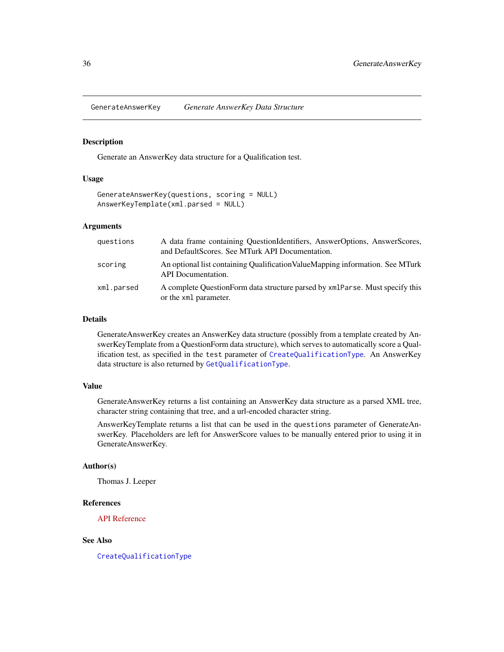<span id="page-35-1"></span><span id="page-35-0"></span>GenerateAnswerKey *Generate AnswerKey Data Structure*

#### Description

Generate an AnswerKey data structure for a Qualification test.

#### Usage

```
GenerateAnswerKey(questions, scoring = NULL)
AnswerKeyTemplate(xml.parsed = NULL)
```
### Arguments

| questions  | A data frame containing QuestionIdentifiers, AnswerOptions, AnswerScores,<br>and DefaultScores. See MTurk API Documentation. |
|------------|------------------------------------------------------------------------------------------------------------------------------|
| scoring    | An optional list containing Qualification Value Mapping information. See MTurk<br><b>API</b> Documentation.                  |
| xml.parsed | A complete OuestionForm data structure parsed by $xmlParse$ . Must specify this<br>or the xml parameter.                     |

### Details

GenerateAnswerKey creates an AnswerKey data structure (possibly from a template created by AnswerKeyTemplate from a QuestionForm data structure), which serves to automatically score a Qualification test, as specified in the test parameter of [CreateQualificationType](#page-23-1). An AnswerKey data structure is also returned by [GetQualificationType](#page-64-1).

### Value

GenerateAnswerKey returns a list containing an AnswerKey data structure as a parsed XML tree, character string containing that tree, and a url-encoded character string.

AnswerKeyTemplate returns a list that can be used in the questions parameter of GenerateAnswerKey. Placeholders are left for AnswerScore values to be manually entered prior to using it in GenerateAnswerKey.

### Author(s)

Thomas J. Leeper

### References

[API Reference](http://docs.amazonwebservices.com/AWSMechTurk/latest/AWSMturkAPI/ApiReference_AnswerKeyDataStructureArticle.html)

#### See Also

[CreateQualificationType](#page-23-1)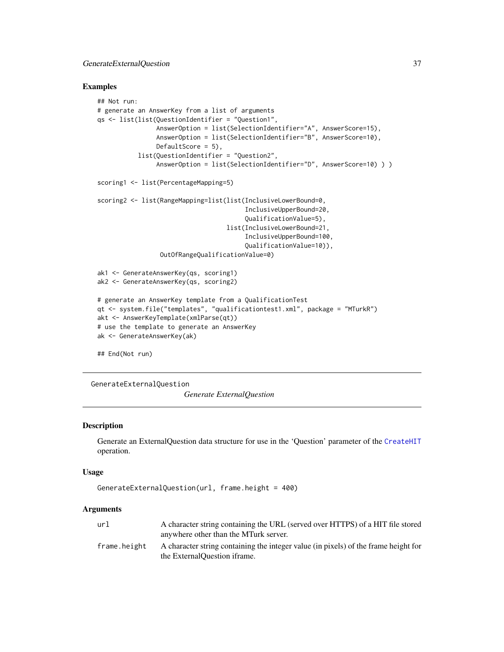#### Examples

```
## Not run:
# generate an AnswerKey from a list of arguments
qs <- list(list(QuestionIdentifier = "Question1",
                AnswerOption = list(SelectionIdentifier="A", AnswerScore=15),
                AnswerOption = list(SelectionIdentifier="B", AnswerScore=10),
                DefaultScore = 5),
           list(QuestionIdentifier = "Question2",
                AnswerOption = list(SelectionIdentifier="D", AnswerScore=10) ) )
scoring1 <- list(PercentageMapping=5)
scoring2 <- list(RangeMapping=list(list(InclusiveLowerBound=0,
                                        InclusiveUpperBound=20,
                                        QualificationValue=5),
                                   list(InclusiveLowerBound=21,
                                        InclusiveUpperBound=100,
                                        QualificationValue=10)),
                 OutOfRangeQualificationValue=0)
ak1 <- GenerateAnswerKey(qs, scoring1)
ak2 <- GenerateAnswerKey(qs, scoring2)
# generate an AnswerKey template from a QualificationTest
qt <- system.file("templates", "qualificationtest1.xml", package = "MTurkR")
akt <- AnswerKeyTemplate(xmlParse(qt))
# use the template to generate an AnswerKey
ak <- GenerateAnswerKey(ak)
## End(Not run)
```
<span id="page-36-0"></span>

GenerateExternalQuestion

*Generate ExternalQuestion*

# **Description**

Generate an ExternalQuestion data structure for use in the 'Question' parameter of the [CreateHIT](#page-19-0) operation.

#### Usage

```
GenerateExternalQuestion(url, frame.height = 400)
```

| A character string containing the URL (served over HTTPS) of a HIT file stored                                      |
|---------------------------------------------------------------------------------------------------------------------|
| anywhere other than the MTurk server.                                                                               |
| A character string containing the integer value (in pixels) of the frame height for<br>the ExternalOuestion iframe. |
|                                                                                                                     |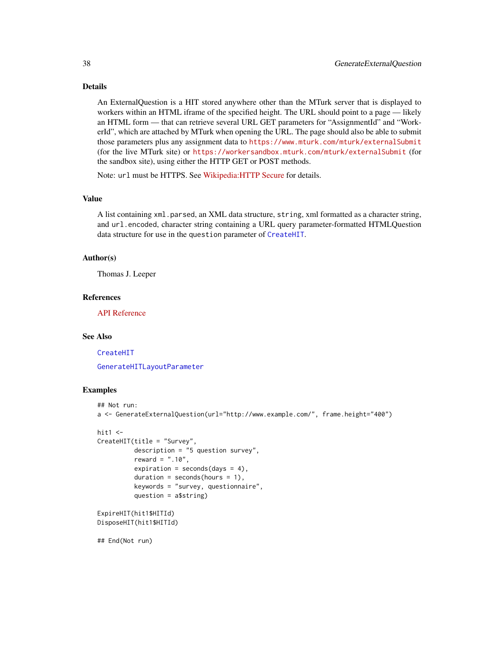# Details

An ExternalQuestion is a HIT stored anywhere other than the MTurk server that is displayed to workers within an HTML iframe of the specified height. The URL should point to a page — likely an HTML form — that can retrieve several URL GET parameters for "AssignmentId" and "WorkerId", which are attached by MTurk when opening the URL. The page should also be able to submit those parameters plus any assignment data to <https://www.mturk.com/mturk/externalSubmit> (for the live MTurk site) or <https://workersandbox.mturk.com/mturk/externalSubmit> (for the sandbox site), using either the HTTP GET or POST methods.

Note: url must be HTTPS. See [Wikipedia:HTTP Secure](http://en.wikipedia.org/wiki/HTTP_Secure) for details.

# Value

A list containing xml.parsed, an XML data structure, string, xml formatted as a character string, and url.encoded, character string containing a URL query parameter-formatted HTMLQuestion data structure for use in the question parameter of [CreateHIT](#page-19-0).

#### Author(s)

Thomas J. Leeper

### References

[API Reference](http://docs.amazonwebservices.com/AWSMechTurk/latest/AWSMturkAPI/ApiReference_ExternalQuestionArticle.html)

#### See Also

[CreateHIT](#page-19-0)

[GenerateHITLayoutParameter](#page-38-0)

# **Examples**

```
## Not run:
a <- GenerateExternalQuestion(url="http://www.example.com/", frame.height="400")
hit1 < -CreateHIT(title = "Survey",
          description = "5 question survey",
          reward = " . 10",expiration = seconds(days = 4),
          duration = seconds(hours = 1),
          keywords = "survey, questionnaire",
          question = a$string)
ExpireHIT(hit1$HITId)
```
DisposeHIT(hit1\$HITId)

## End(Not run)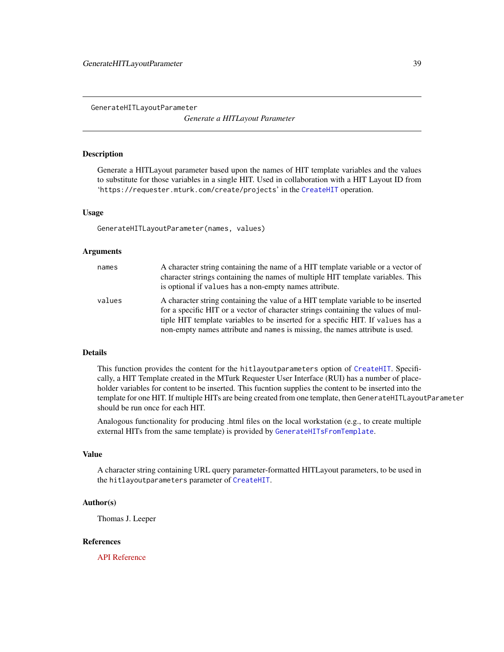<span id="page-38-0"></span>GenerateHITLayoutParameter

*Generate a HITLayout Parameter*

#### Description

Generate a HITLayout parameter based upon the names of HIT template variables and the values to substitute for those variables in a single HIT. Used in collaboration with a HIT Layout ID from 'https://requester.mturk.com/create/projects' in the [CreateHIT](#page-19-0) operation.

#### Usage

GenerateHITLayoutParameter(names, values)

#### Arguments

| names  | A character string containing the name of a HIT template variable or a vector of<br>character strings containing the names of multiple HIT template variables. This<br>is optional if values has a non-empty names attribute.                                                                                                             |
|--------|-------------------------------------------------------------------------------------------------------------------------------------------------------------------------------------------------------------------------------------------------------------------------------------------------------------------------------------------|
| values | A character string containing the value of a HIT template variable to be inserted<br>for a specific HIT or a vector of character strings containing the values of mul-<br>tiple HIT template variables to be inserted for a specific HIT. If values has a<br>non-empty names attribute and names is missing, the names attribute is used. |

#### Details

This function provides the content for the hitlayoutparameters option of [CreateHIT](#page-19-0). Specifically, a HIT Template created in the MTurk Requester User Interface (RUI) has a number of placeholder variables for content to be inserted. This fucntion supplies the content to be inserted into the template for one HIT. If multiple HITs are being created from one template, then GenerateHITLayoutParameter should be run once for each HIT.

Analogous functionality for producing .html files on the local workstation (e.g., to create multiple external HITs from the same template) is provided by [GenerateHITsFromTemplate](#page-39-0).

#### Value

A character string containing URL query parameter-formatted HITLayout parameters, to be used in the hitlayoutparameters parameter of [CreateHIT](#page-19-0).

#### Author(s)

Thomas J. Leeper

#### References

[API Reference](http://docs.amazonwebservices.com/AWSMechTurk/latest/AWSMturkAPI/ApiReference_HITLayoutArticle.html)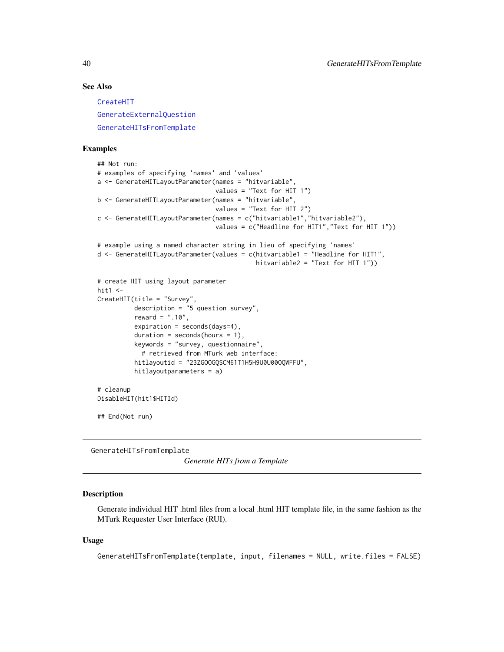# See Also

[CreateHIT](#page-19-0) [GenerateExternalQuestion](#page-36-0) [GenerateHITsFromTemplate](#page-39-0)

### Examples

```
## Not run:
# examples of specifying 'names' and 'values'
a <- GenerateHITLayoutParameter(names = "hitvariable",
                                values = "Text for HIT 1")
b <- GenerateHITLayoutParameter(names = "hitvariable",
                                values = "Text for HIT 2")
c <- GenerateHITLayoutParameter(names = c("hitvariable1","hitvariable2"),
                                values = c("Headline for HIT1","Text for HIT 1"))
# example using a named character string in lieu of specifying 'names'
d <- GenerateHITLayoutParameter(values = c(hitvariable1 = "Headline for HIT1",
                                           hitvariable2 = "Text for HIT 1"))
# create HIT using layout parameter
hit1 < -CreateHIT(title = "Survey",
          description = "5 question survey",
          reward = ".10",expiration = seconds(days=4),
          duration = seconds(hours = 1),
          keywords = "survey, questionnaire",
            # retrieved from MTurk web interface:
          hitlayoutid = "23ZGOOGQSCM61T1H5H9U0U00OQWFFU",
          hitlayoutparameters = a)
# cleanup
DisableHIT(hit1$HITId)
## End(Not run)
```
<span id="page-39-0"></span>GenerateHITsFromTemplate

*Generate HITs from a Template*

# Description

Generate individual HIT .html files from a local .html HIT template file, in the same fashion as the MTurk Requester User Interface (RUI).

#### Usage

```
GenerateHITsFromTemplate(template, input, filenames = NULL, write.files = FALSE)
```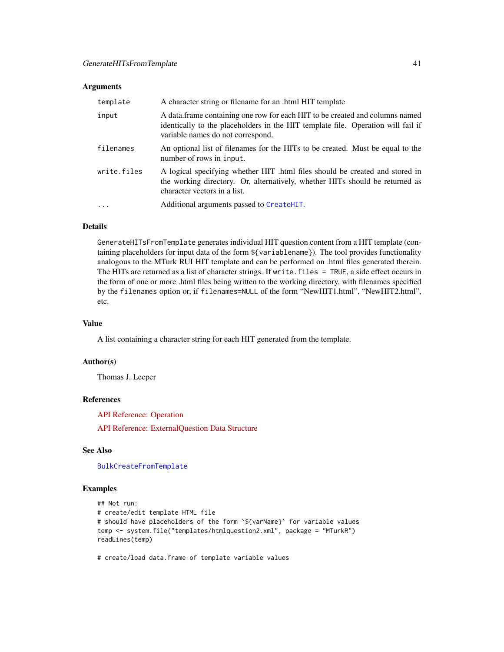#### Arguments

| template    | A character string or filename for an .html HIT template                                                                                                                                              |
|-------------|-------------------------------------------------------------------------------------------------------------------------------------------------------------------------------------------------------|
| input       | A data frame containing one row for each HIT to be created and columns named<br>identically to the placeholders in the HIT template file. Operation will fail if<br>variable names do not correspond. |
| filenames   | An optional list of filenames for the HITs to be created. Must be equal to the<br>number of rows in input.                                                                                            |
| write.files | A logical specifying whether HIT .html files should be created and stored in<br>the working directory. Or, alternatively, whether HITs should be returned as<br>character vectors in a list.          |
| $\cdot$     | Additional arguments passed to CreateHIT.                                                                                                                                                             |

# Details

GenerateHITsFromTemplate generates individual HIT question content from a HIT template (containing placeholders for input data of the form \${variablename}). The tool provides functionality analogous to the MTurk RUI HIT template and can be performed on .html files generated therein. The HITs are returned as a list of character strings. If write.files = TRUE, a side effect occurs in the form of one or more .html files being written to the working directory, with filenames specified by the filenames option or, if filenames=NULL of the form "NewHIT1.html", "NewHIT2.html", etc.

#### Value

A list containing a character string for each HIT generated from the template.

# Author(s)

Thomas J. Leeper

#### References

[API Reference: Operation](http://docs.amazonwebservices.com/AWSMechTurk/latest/RequesterUI/CreatingaHITTemplate.html)

[API Reference: ExternalQuestion Data Structure](http://docs.amazonwebservices.com/AWSMechTurk/latest/AWSMturkAPI/ApiReference_ExternalQuestionArticle.html)

### See Also

[BulkCreateFromTemplate](#page-11-0)

#### Examples

```
## Not run:
# create/edit template HTML file
# should have placeholders of the form `${varName}` for variable values
temp <- system.file("templates/htmlquestion2.xml", package = "MTurkR")
readLines(temp)
```
# create/load data.frame of template variable values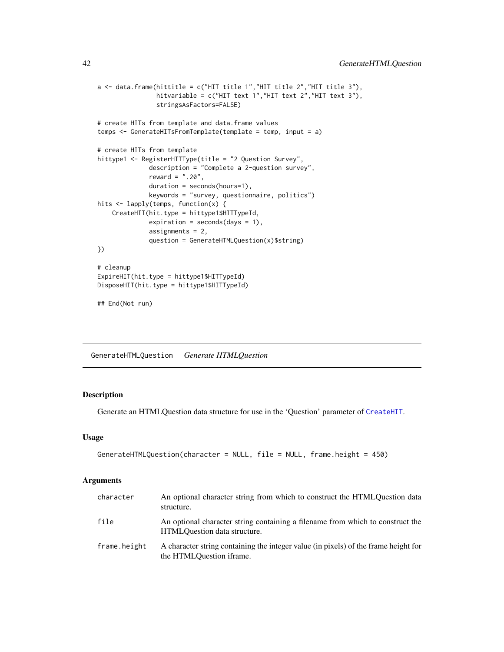```
a \leftarrow data. frame(hittitle = c("HIT title 1", "HIT title 2", "HIT title 3"),
                hitvariable = c("HIT text 1","HIT text 2","HIT text 3"),
                stringsAsFactors=FALSE)
# create HITs from template and data.frame values
temps <- GenerateHITsFromTemplate(template = temp, input = a)
# create HITs from template
hittype1 <- RegisterHITType(title = "2 Question Survey",
              description = "Complete a 2-question survey",
              reward = ".20",duration = seconds(hours=1),
              keywords = "survey, questionnaire, politics")
hits <- lapply(temps, function(x) {
    CreateHIT(hit.type = hittype1$HITTypeId,
              expiration = seconds(days = 1),
              assignments = 2,
              question = GenerateHTMLQuestion(x)$string)
})
# cleanup
ExpireHIT(hit.type = hittype1$HITTypeId)
DisposeHIT(hit.type = hittype1$HITTypeId)
## End(Not run)
```
GenerateHTMLQuestion *Generate HTMLQuestion*

# Description

Generate an HTMLQuestion data structure for use in the 'Question' parameter of [CreateHIT](#page-19-0).

#### Usage

```
GenerateHTMLQuestion(character = NULL, file = NULL, frame.height = 450)
```

| character    | An optional character string from which to construct the HTMLO uestion data<br>structure.                       |
|--------------|-----------------------------------------------------------------------------------------------------------------|
| file         | An optional character string containing a filename from which to construct the<br>HTMLOuestion data structure.  |
| frame.height | A character string containing the integer value (in pixels) of the frame height for<br>the HTMLOuestion iframe. |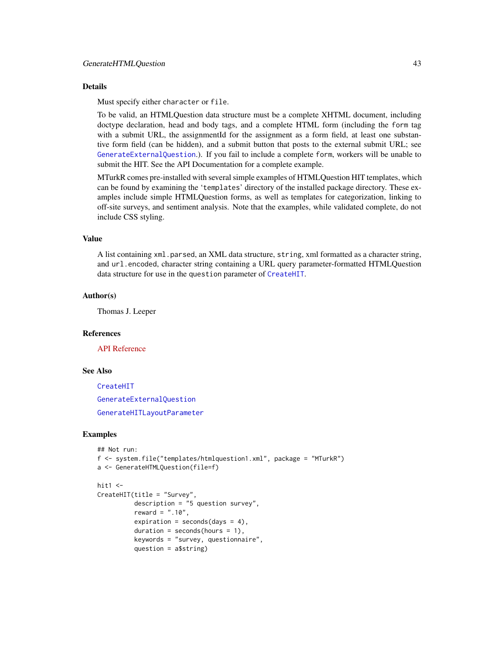#### Details

Must specify either character or file.

To be valid, an HTMLQuestion data structure must be a complete XHTML document, including doctype declaration, head and body tags, and a complete HTML form (including the form tag with a submit URL, the assignmentId for the assignment as a form field, at least one substantive form field (can be hidden), and a submit button that posts to the external submit URL; see [GenerateExternalQuestion](#page-36-0).). If you fail to include a complete form, workers will be unable to submit the HIT. See the API Documentation for a complete example.

MTurkR comes pre-installed with several simple examples of HTMLQuestion HIT templates, which can be found by examining the 'templates' directory of the installed package directory. These examples include simple HTMLQuestion forms, as well as templates for categorization, linking to off-site surveys, and sentiment analysis. Note that the examples, while validated complete, do not include CSS styling.

### Value

A list containing xml.parsed, an XML data structure, string, xml formatted as a character string, and url.encoded, character string containing a URL query parameter-formatted HTMLQuestion data structure for use in the question parameter of [CreateHIT](#page-19-0).

### Author(s)

Thomas J. Leeper

### References

[API Reference](http://docs.amazonwebservices.com/AWSMechTurk/latest/AWSMturkAPI/ApiReference_HTMLQuestionArticle.html)

# See Also

[CreateHIT](#page-19-0) [GenerateExternalQuestion](#page-36-0) [GenerateHITLayoutParameter](#page-38-0)

### Examples

```
## Not run:
f <- system.file("templates/htmlquestion1.xml", package = "MTurkR")
a <- GenerateHTMLQuestion(file=f)
```

```
hit1 < -
```

```
CreateHIT(title = "Survey",
          description = "5 question survey",
          reward = ".10",expiration = seconds(days = 4),
          duration = seconds(hours = 1),
          keywords = "survey, questionnaire",
          question = a$string)
```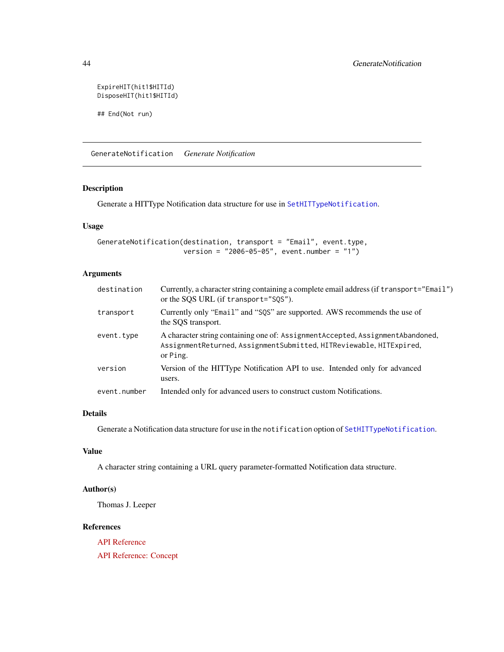ExpireHIT(hit1\$HITId) DisposeHIT(hit1\$HITId)

## End(Not run)

GenerateNotification *Generate Notification*

### Description

Generate a HITType Notification data structure for use in [SetHITTypeNotification](#page-90-0).

# Usage

```
GenerateNotification(destination, transport = "Email", event.type,
                     version = "2006-05-05", event.number = "1")
```
# Arguments

| destination  | Currently, a character string containing a complete email address (if transport="Email")<br>or the SQS URL (if transport="SQS").                                    |
|--------------|---------------------------------------------------------------------------------------------------------------------------------------------------------------------|
| transport    | Currently only "Email" and "SQS" are supported. AWS recommends the use of<br>the SQS transport.                                                                     |
| event.type   | A character string containing one of: Assignment Accepted, Assignment Abandoned,<br>AssignmentReturned, AssignmentSubmitted, HITReviewable, HITExpired,<br>or Ping. |
| version      | Version of the HITType Notification API to use. Intended only for advanced<br>users.                                                                                |
| event.number | Intended only for advanced users to construct custom Notifications.                                                                                                 |

# Details

Generate a Notification data structure for use in the notification option of [SetHITTypeNotification](#page-90-0).

# Value

A character string containing a URL query parameter-formatted Notification data structure.

# Author(s)

Thomas J. Leeper

# References

[API Reference](http://docs.amazonwebservices.com/AWSMechTurk/latest/AWSMturkAPI/ApiReference_NotificationDataStructureArticle.html)

[API Reference: Concept](http://docs.amazonwebservices.com/AWSMechTurk/latest/AWSMechanicalTurkRequester/Concepts_NotificationsArticle.html)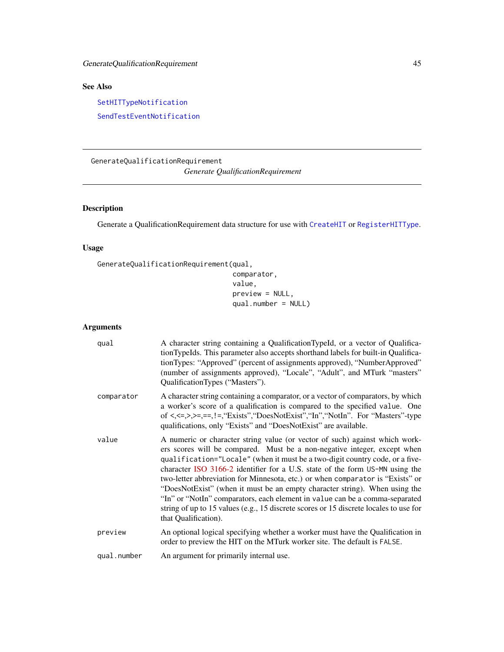# See Also

[SetHITTypeNotification](#page-90-0)

[SendTestEventNotification](#page-87-0)

GenerateQualificationRequirement *Generate QualificationRequirement*

# Description

Generate a QualificationRequirement data structure for use with [CreateHIT](#page-19-0) or [RegisterHITType](#page-76-0).

# Usage

```
GenerateQualificationRequirement(qual,
                                 comparator,
                                 value,
                                 preview = NULL,
                                 qual.number = NULL)
```

| qual        | A character string containing a QualificationTypeId, or a vector of Qualifica-<br>tionTypeIds. This parameter also accepts shorthand labels for built-in Qualifica-<br>tionTypes: "Approved" (percent of assignments approved), "NumberApproved"<br>(number of assignments approved), "Locale", "Adult", and MTurk "masters"<br>QualificationTypes ("Masters").                                                                                                                                                                                                                                                                                                                         |
|-------------|-----------------------------------------------------------------------------------------------------------------------------------------------------------------------------------------------------------------------------------------------------------------------------------------------------------------------------------------------------------------------------------------------------------------------------------------------------------------------------------------------------------------------------------------------------------------------------------------------------------------------------------------------------------------------------------------|
| comparator  | A character string containing a comparator, or a vector of comparators, by which<br>a worker's score of a qualification is compared to the specified value. One<br>of $\langle \langle \langle \langle \rangle \rangle \rangle =, \langle \langle \rangle \rangle =, \langle \langle \rangle \rangle =$ "Exists", "DoesNotExist", "In", "NotIn". For "Masters"-type<br>qualifications, only "Exists" and "DoesNotExist" are available.                                                                                                                                                                                                                                                  |
| value       | A numeric or character string value (or vector of such) against which work-<br>ers scores will be compared. Must be a non-negative integer, except when<br>qualification="Locale" (when it must be a two-digit country code, or a five-<br>character ISO 3166-2 identifier for a U.S. state of the form US-MN using the<br>two-letter abbreviation for Minnesota, etc.) or when comparator is "Exists" or<br>"DoesNotExist" (when it must be an empty character string). When using the<br>"In" or "NotIn" comparators, each element in value can be a comma-separated<br>string of up to 15 values (e.g., 15 discrete scores or 15 discrete locales to use for<br>that Qualification). |
| preview     | An optional logical specifying whether a worker must have the Qualification in<br>order to preview the HIT on the MTurk worker site. The default is FALSE.                                                                                                                                                                                                                                                                                                                                                                                                                                                                                                                              |
| qual.number | An argument for primarily internal use.                                                                                                                                                                                                                                                                                                                                                                                                                                                                                                                                                                                                                                                 |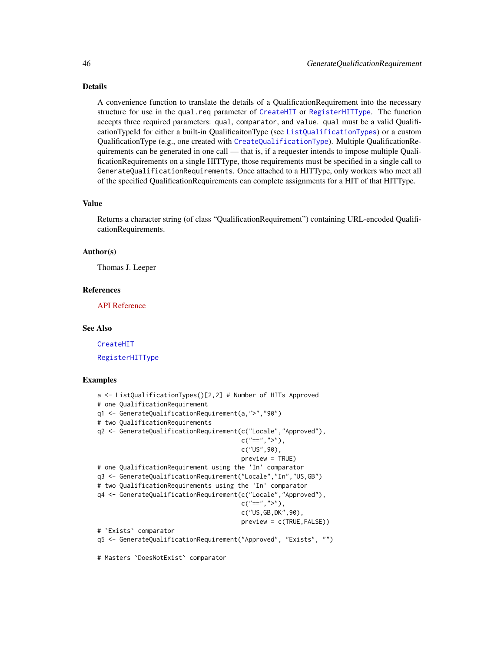### Details

A convenience function to translate the details of a QualificationRequirement into the necessary structure for use in the qual.req parameter of [CreateHIT](#page-19-0) or [RegisterHITType](#page-76-0). The function accepts three required parameters: qual, comparator, and value. qual must be a valid QualificationTypeId for either a built-in QualificaitonType (see [ListQualificationTypes](#page-73-0)) or a custom QualificationType (e.g., one created with [CreateQualificationType](#page-23-0)). Multiple QualificationRequirements can be generated in one call — that is, if a requester intends to impose multiple QualificationRequirements on a single HITType, those requirements must be specified in a single call to GenerateQualificationRequirements. Once attached to a HITType, only workers who meet all of the specified QualificationRequirements can complete assignments for a HIT of that HITType.

#### Value

Returns a character string (of class "QualificationRequirement") containing URL-encoded QualificationRequirements.

#### Author(s)

Thomas J. Leeper

### References

[API Reference](http://docs.amazonwebservices.com/AWSMechTurk/latest/AWSMturkAPI/ApiReference_QualificationRequirementDataStructureArticle.html)

#### See Also

[CreateHIT](#page-19-0) [RegisterHITType](#page-76-0)

### Examples

```
a <- ListQualificationTypes()[2,2] # Number of HITs Approved
# one QualificationRequirement
q1 <- GenerateQualificationRequirement(a,">","90")
# two QualificationRequirements
q2 <- GenerateQualificationRequirement(c("Locale","Approved"),
                                       c("==", ">"),
                                       c("US",90),
                                       preview = TRUE)
# one QualificationRequirement using the 'In' comparator
q3 <- GenerateQualificationRequirement("Locale","In","US,GB")
# two QualificationRequirements using the 'In' comparator
q4 <- GenerateQualificationRequirement(c("Locale","Approved"),
                                       c("==", ">"),
                                       c("US,GB,DK",90),
                                       preview = c(TRUE,FALSE))
# `Exists` comparator
q5 <- GenerateQualificationRequirement("Approved", "Exists", "")
# Masters `DoesNotExist` comparator
```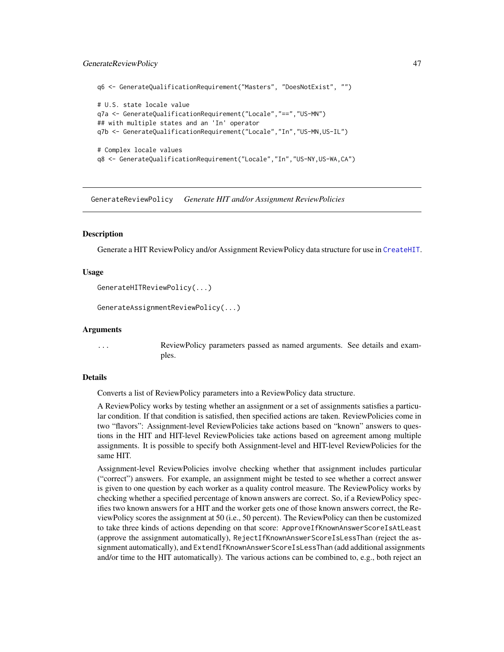#### GenerateReviewPolicy 47

```
q6 <- GenerateQualificationRequirement("Masters", "DoesNotExist", "")
# U.S. state locale value
q7a <- GenerateQualificationRequirement("Locale","==","US-MN")
## with multiple states and an 'In' operator
q7b <- GenerateQualificationRequirement("Locale","In","US-MN,US-IL")
# Complex locale values
q8 <- GenerateQualificationRequirement("Locale","In","US-NY,US-WA,CA")
```
GenerateReviewPolicy *Generate HIT and/or Assignment ReviewPolicies*

#### <span id="page-46-0"></span>Description

Generate a HIT ReviewPolicy and/or Assignment ReviewPolicy data structure for use in [CreateHIT](#page-19-0).

### Usage

```
GenerateHITReviewPolicy(...)
```
GenerateAssignmentReviewPolicy(...)

#### Arguments

... ReviewPolicy parameters passed as named arguments. See details and examples.

#### Details

Converts a list of ReviewPolicy parameters into a ReviewPolicy data structure.

A ReviewPolicy works by testing whether an assignment or a set of assignments satisfies a particular condition. If that condition is satisfied, then specified actions are taken. ReviewPolicies come in two "flavors": Assignment-level ReviewPolicies take actions based on "known" answers to questions in the HIT and HIT-level ReviewPolicies take actions based on agreement among multiple assignments. It is possible to specify both Assignment-level and HIT-level ReviewPolicies for the same HIT.

Assignment-level ReviewPolicies involve checking whether that assignment includes particular ("correct") answers. For example, an assignment might be tested to see whether a correct answer is given to one question by each worker as a quality control measure. The ReviewPolicy works by checking whether a specified percentage of known answers are correct. So, if a ReviewPolicy specifies two known answers for a HIT and the worker gets one of those known answers correct, the ReviewPolicy scores the assignment at 50 (i.e., 50 percent). The ReviewPolicy can then be customized to take three kinds of actions depending on that score: ApproveIfKnownAnswerScoreIsAtLeast (approve the assignment automatically), RejectIfKnownAnswerScoreIsLessThan (reject the assignment automatically), and ExtendIfKnownAnswerScoreIsLessThan (add additional assignments and/or time to the HIT automatically). The various actions can be combined to, e.g., both reject an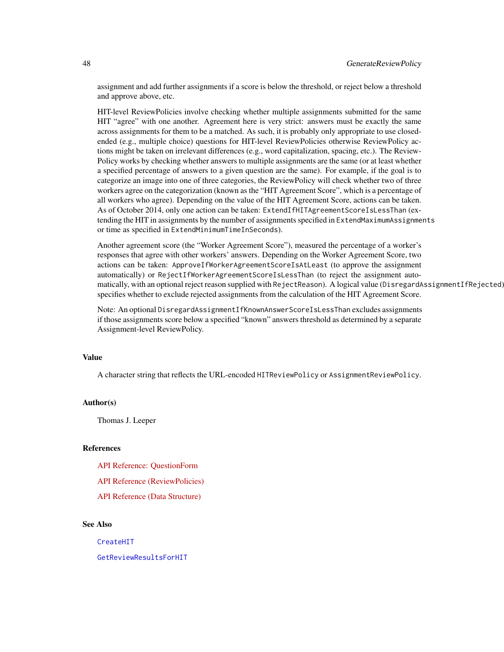assignment and add further assignments if a score is below the threshold, or reject below a threshold and approve above, etc.

HIT-level ReviewPolicies involve checking whether multiple assignments submitted for the same HIT "agree" with one another. Agreement here is very strict: answers must be exactly the same across assignments for them to be a matched. As such, it is probably only appropriate to use closedended (e.g., multiple choice) questions for HIT-level ReviewPolicies otherwise ReviewPolicy actions might be taken on irrelevant differences (e.g., word capitalization, spacing, etc.). The Review-Policy works by checking whether answers to multiple assignments are the same (or at least whether a specified percentage of answers to a given question are the same). For example, if the goal is to categorize an image into one of three categories, the ReviewPolicy will check whether two of three workers agree on the categorization (known as the "HIT Agreement Score", which is a percentage of all workers who agree). Depending on the value of the HIT Agreement Score, actions can be taken. As of October 2014, only one action can be taken: ExtendIfHITAgreementScoreIsLessThan (extending the HIT in assignments by the number of assignments specified in ExtendMaximumAssignments or time as specified in ExtendMinimumTimeInSeconds).

Another agreement score (the "Worker Agreement Score"), measured the percentage of a worker's responses that agree with other workers' answers. Depending on the Worker Agreement Score, two actions can be taken: ApproveIfWorkerAgreementScoreIsAtLeast (to approve the assignment automatically) or RejectIfWorkerAgreementScoreIsLessThan (to reject the assignment automatically, with an optional reject reason supplied with RejectReason). A logical value (DisregardAssignmentIfRejected) specifies whether to exclude rejected assignments from the calculation of the HIT Agreement Score.

Note: An optional DisregardAssignmentIfKnownAnswerScoreIsLessThan excludes assignments if those assignments score below a specified "known" answers threshold as determined by a separate Assignment-level ReviewPolicy.

# Value

A character string that reflects the URL-encoded HITReviewPolicy or AssignmentReviewPolicy.

### Author(s)

Thomas J. Leeper

# References

[API Reference: QuestionForm](http://docs.amazonwebservices.com/AWSMechTurk/latest/AWSMturkAPI/ApiReference_QuestionFormDataStructureArticle.html)

[API Reference \(ReviewPolicies\)](http://docs.amazonwebservices.com/AWSMechTurk/latest/AWSMturkAPI/ApiReference_ReviewPoliciesArticle.html)

[API Reference \(Data Structure\)](http://docs.amazonwebservices.com/AWSMechTurk/latest/AWSMturkAPI/ApiReference_HITReviewPolicyDataStructureArticle.html)

# See Also

[CreateHIT](#page-19-0)

[GetReviewResultsForHIT](#page-66-0)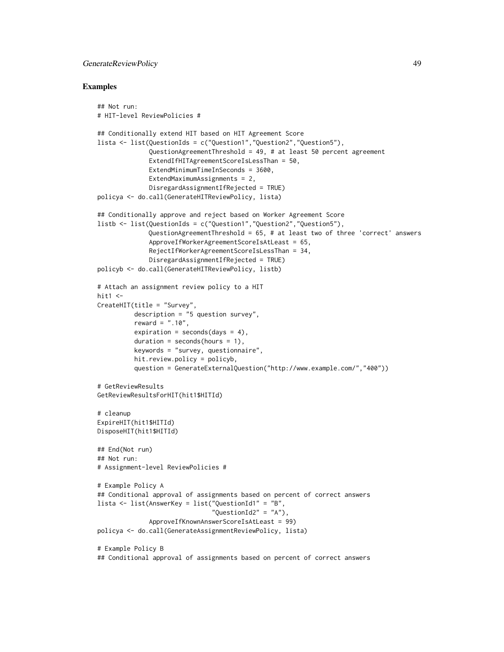# GenerateReviewPolicy 49

### Examples

```
## Not run:
# HIT-level ReviewPolicies #
## Conditionally extend HIT based on HIT Agreement Score
lista <- list(QuestionIds = c("Question1","Question2","Question5"),
              QuestionAgreementThreshold = 49, # at least 50 percent agreement
              ExtendIfHITAgreementScoreIsLessThan = 50,
              ExtendMinimumTimeInSeconds = 3600,
              ExtendMaximumAssignments = 2,
              DisregardAssignmentIfRejected = TRUE)
policya <- do.call(GenerateHITReviewPolicy, lista)
## Conditionally approve and reject based on Worker Agreement Score
listb <- list(QuestionIds = c("Question1","Question2","Question5"),
              QuestionAgreementThreshold = 65, # at least two of three 'correct' answers
              ApproveIfWorkerAgreementScoreIsAtLeast = 65,
              RejectIfWorkerAgreementScoreIsLessThan = 34,
              DisregardAssignmentIfRejected = TRUE)
policyb <- do.call(GenerateHITReviewPolicy, listb)
# Attach an assignment review policy to a HIT
hit1 <-
CreateHIT(title = "Survey",
          description = "5 question survey",
          reward = ".10",expiration = seconds(days = 4),
          duration = seconds(hours = 1),
          keywords = "survey, questionnaire",
          hit.review.policy = policyb,
          question = GenerateExternalQuestion("http://www.example.com/","400"))
# GetReviewResults
GetReviewResultsForHIT(hit1$HITId)
# cleanup
ExpireHIT(hit1$HITId)
DisposeHIT(hit1$HITId)
## End(Not run)
## Not run:
# Assignment-level ReviewPolicies #
# Example Policy A
## Conditional approval of assignments based on percent of correct answers
lista <- list(AnswerKey = list("QuestionId1" = "B",
                               "QuestionId2" = "A"),
              ApproveIfKnownAnswerScoreIsAtLeast = 99)
policya <- do.call(GenerateAssignmentReviewPolicy, lista)
# Example Policy B
## Conditional approval of assignments based on percent of correct answers
```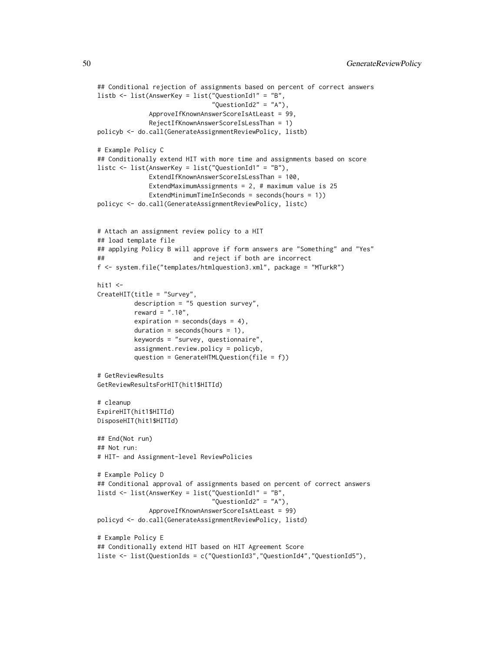```
## Conditional rejection of assignments based on percent of correct answers
listb <- list(AnswerKey = list("QuestionId1" = "B",
                               "QuestionId2" = "A"),
              ApproveIfKnownAnswerScoreIsAtLeast = 99,
              RejectIfKnownAnswerScoreIsLessThan = 1)
policyb <- do.call(GenerateAssignmentReviewPolicy, listb)
# Example Policy C
## Conditionally extend HIT with more time and assignments based on score
listc <- list(AnswerKey = list("QuestionId1" = "B"),
              ExtendIfKnownAnswerScoreIsLessThan = 100,
              ExtendMaximumAssignments = 2, # maximum value is 25ExtendMinimumTimeInSeconds = seconds(hours = 1)policyc <- do.call(GenerateAssignmentReviewPolicy, listc)
# Attach an assignment review policy to a HIT
## load template file
## applying Policy B will approve if form answers are "Something" and "Yes"
## and reject if both are incorrect
f <- system.file("templates/htmlquestion3.xml", package = "MTurkR")
hit1 < -CreateHIT(title = "Survey",
          description = "5 question survey",
          reward = ".10",expiration = seconds(days = 4),
          duration = seconds(hours = 1),
          keywords = "survey, questionnaire",
          assignment.review.policy = policyb,
          question = GenerateHTMLQuestion(file = f))
# GetReviewResults
GetReviewResultsForHIT(hit1$HITId)
# cleanup
ExpireHIT(hit1$HITId)
DisposeHIT(hit1$HITId)
## End(Not run)
## Not run:
# HIT- and Assignment-level ReviewPolicies
# Example Policy D
## Conditional approval of assignments based on percent of correct answers
listd <- list(AnswerKey = list("QuestionId1" = "B",
                               "QuestionId2" = "A"),
              ApproveIfKnownAnswerScoreIsAtLeast = 99)
policyd <- do.call(GenerateAssignmentReviewPolicy, listd)
# Example Policy E
## Conditionally extend HIT based on HIT Agreement Score
liste <- list(QuestionIds = c("QuestionId3","QuestionId4","QuestionId5"),
```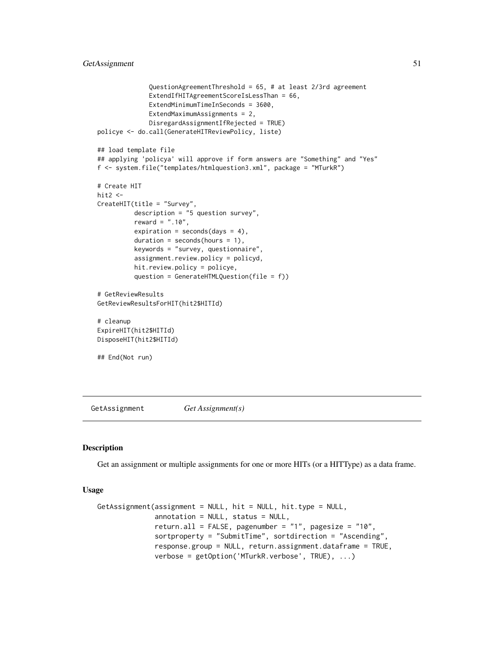```
QuestionAgreementThreshold = 65, # at least 2/3rd agreement
              ExtendIfHITAgreementScoreIsLessThan = 66,
              ExtendMinimumTimeInSeconds = 3600,
              ExtendMaximumAssignments = 2,
              DisregardAssignmentIfRejected = TRUE)
policye <- do.call(GenerateHITReviewPolicy, liste)
## load template file
## applying 'policya' will approve if form answers are "Something" and "Yes"
f <- system.file("templates/htmlquestion3.xml", package = "MTurkR")
# Create HIT
hit2 < -CreateHIT(title = "Survey",
          description = "5 question survey",
          reward = ".10",expiration = seconds(days = 4),
          duration = seconds(hours = 1),
          keywords = "survey, questionnaire",
          assignment.review.policy = policyd,
          hit.review.policy = policye,
          question = GenerateHTMLQuestion(file = f))
# GetReviewResults
GetReviewResultsForHIT(hit2$HITId)
# cleanup
ExpireHIT(hit2$HITId)
DisposeHIT(hit2$HITId)
## End(Not run)
```
GetAssignment *Get Assignment(s)*

### Description

Get an assignment or multiple assignments for one or more HITs (or a HITType) as a data frame.

#### Usage

```
GetAssignment(assignment = NULL, hit = NULL, hit.type = NULL,
              annotation = NULL, status = NULL,
              return.all = FALSE, pagenumber = "1", pagesize = "10",
              sortproperty = "SubmitTime", sortdirection = "Ascending",
              response.group = NULL, return.assignment.dataframe = TRUE,
              verbose = getOption('MTurkR.verbose', TRUE), ...)
```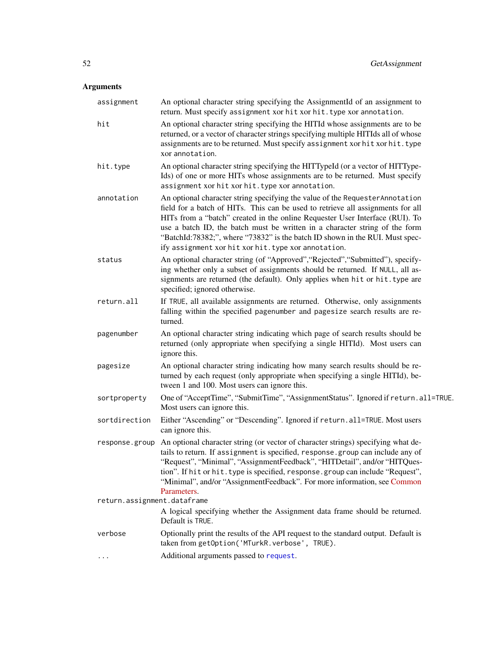| assignment                  | An optional character string specifying the AssignmentId of an assignment to<br>return. Must specify assignment xor hit xor hit. type xor annotation.                                                                                                                                                                                                                                                                                                                   |
|-----------------------------|-------------------------------------------------------------------------------------------------------------------------------------------------------------------------------------------------------------------------------------------------------------------------------------------------------------------------------------------------------------------------------------------------------------------------------------------------------------------------|
| hit                         | An optional character string specifying the HITId whose assignments are to be<br>returned, or a vector of character strings specifying multiple HITIds all of whose<br>assignments are to be returned. Must specify assignment xor hit xor hit. type<br>xor annotation.                                                                                                                                                                                                 |
| hit.type                    | An optional character string specifying the HITTypeId (or a vector of HITType-<br>Ids) of one or more HITs whose assignments are to be returned. Must specify<br>assignment xor hit xor hit. type xor annotation.                                                                                                                                                                                                                                                       |
| annotation                  | An optional character string specifying the value of the Requester Annotation<br>field for a batch of HITs. This can be used to retrieve all assignments for all<br>HITs from a "batch" created in the online Requester User Interface (RUI). To<br>use a batch ID, the batch must be written in a character string of the form<br>"BatchId:78382;", where "73832" is the batch ID shown in the RUI. Must spec-<br>ify assignment xor hit xor hit. type xor annotation. |
| status                      | An optional character string (of "Approved", "Rejected", "Submitted"), specify-<br>ing whether only a subset of assignments should be returned. If NULL, all as-<br>signments are returned (the default). Only applies when hit or hit. type are<br>specified; ignored otherwise.                                                                                                                                                                                       |
| return.all                  | If TRUE, all available assignments are returned. Otherwise, only assignments<br>falling within the specified pagenumber and pagesize search results are re-<br>turned.                                                                                                                                                                                                                                                                                                  |
| pagenumber                  | An optional character string indicating which page of search results should be<br>returned (only appropriate when specifying a single HITId). Most users can<br>ignore this.                                                                                                                                                                                                                                                                                            |
| pagesize                    | An optional character string indicating how many search results should be re-<br>turned by each request (only appropriate when specifying a single HITId), be-<br>tween 1 and 100. Most users can ignore this.                                                                                                                                                                                                                                                          |
| sortproperty                | One of "AcceptTime", "SubmitTime", "AssignmentStatus". Ignored if return.all=TRUE.<br>Most users can ignore this.                                                                                                                                                                                                                                                                                                                                                       |
| sortdirection               | Either "Ascending" or "Descending". Ignored if return.all=TRUE. Most users<br>can ignore this.                                                                                                                                                                                                                                                                                                                                                                          |
| response.group              | An optional character string (or vector of character strings) specifying what de-<br>tails to return. If assignment is specified, response.group can include any of<br>"Request", "Minimal", "AssignmentFeedback", "HITDetail", and/or "HITQues-<br>tion". If hit or hit. type is specified, response. group can include "Request",<br>"Minimal", and/or "AssignmentFeedback". For more information, see Common<br>Parameters.                                          |
| return.assignment.dataframe |                                                                                                                                                                                                                                                                                                                                                                                                                                                                         |
|                             | A logical specifying whether the Assignment data frame should be returned.<br>Default is TRUE.                                                                                                                                                                                                                                                                                                                                                                          |
| verbose                     | Optionally print the results of the API request to the standard output. Default is<br>taken from getOption('MTurkR.verbose', TRUE).                                                                                                                                                                                                                                                                                                                                     |
| .                           | Additional arguments passed to request.                                                                                                                                                                                                                                                                                                                                                                                                                                 |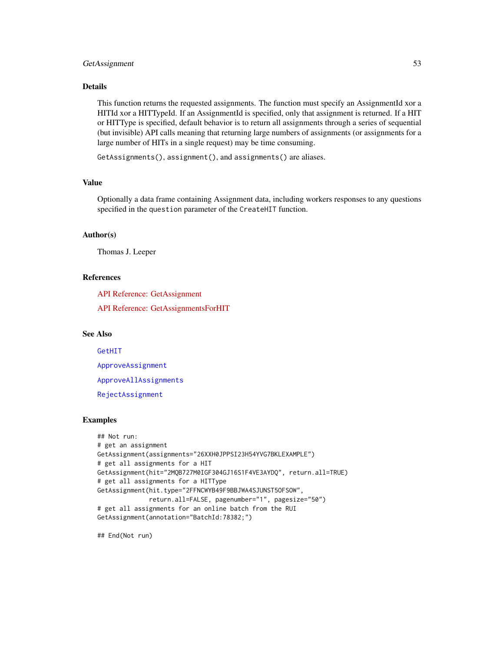# GetAssignment 53

### Details

This function returns the requested assignments. The function must specify an AssignmentId xor a HITId xor a HITTypeId. If an AssignmentId is specified, only that assignment is returned. If a HIT or HITType is specified, default behavior is to return all assignments through a series of sequential (but invisible) API calls meaning that returning large numbers of assignments (or assignments for a large number of HITs in a single request) may be time consuming.

GetAssignments(), assignment(), and assignments() are aliases.

#### Value

Optionally a data frame containing Assignment data, including workers responses to any questions specified in the question parameter of the CreateHIT function.

# Author(s)

Thomas J. Leeper

# References

[API Reference: GetAssignment](http://docs.amazonwebservices.com/AWSMechTurk/latest/AWSMturkAPI/ApiReference_GetAssignmentOperation.html)

[API Reference: GetAssignmentsForHIT](http://docs.amazonwebservices.com/AWSMechTurk/latest/AWSMturkAPI/ApiReference_GetAssignmentsForHITOperation.html)

# See Also

[GetHIT](#page-56-0)

[ApproveAssignment](#page-5-0)

[ApproveAllAssignments](#page-5-1)

[RejectAssignment](#page-78-0)

## Examples

```
## Not run:
# get an assignment
GetAssignment(assignments="26XXH0JPPSI23H54YVG7BKLEXAMPLE")
# get all assignments for a HIT
GetAssignment(hit="2MQB727M0IGF304GJ16S1F4VE3AYDQ", return.all=TRUE)
# get all assignments for a HITType
GetAssignment(hit.type="2FFNCWYB49F9BBJWA4SJUNST5OFSOW",
              return.all=FALSE, pagenumber="1", pagesize="50")
# get all assignments for an online batch from the RUI
GetAssignment(annotation="BatchId:78382;")
```
## End(Not run)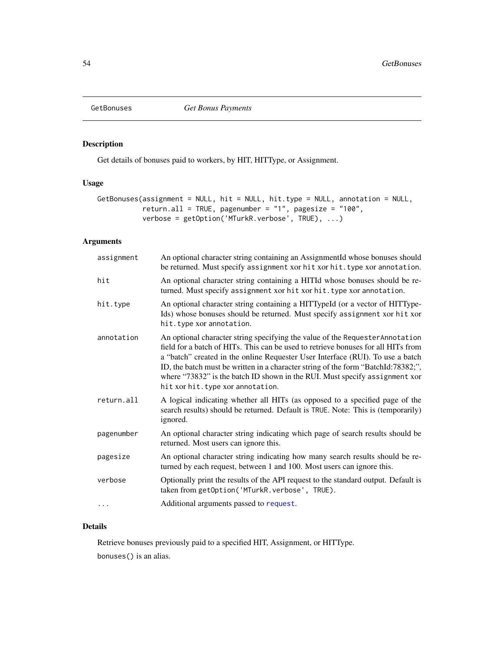<span id="page-53-0"></span>

# Description

Get details of bonuses paid to workers, by HIT, HITType, or Assignment.

# Usage

```
GetBonuses(assignment = NULL, hit = NULL, hit.type = NULL, annotation = NULL,
          return.all = TRUE, pagenumber = "1", pagesize = "100",
          verbose = getOption('MTurkR.verbose', TRUE), ...)
```
### Arguments

| assignment | An optional character string containing an AssignmentId whose bonuses should<br>be returned. Must specify assignment xor hit xor hit. type xor annotation.                                                                                                                                                                                                                                                                                                    |
|------------|---------------------------------------------------------------------------------------------------------------------------------------------------------------------------------------------------------------------------------------------------------------------------------------------------------------------------------------------------------------------------------------------------------------------------------------------------------------|
| hit        | An optional character string containing a HITId whose bonuses should be re-<br>turned. Must specify assignment xor hit xor hit. type xor annotation.                                                                                                                                                                                                                                                                                                          |
| hit.type   | An optional character string containing a HITTypeId (or a vector of HITType-<br>Ids) whose bonuses should be returned. Must specify assignment xor hit xor<br>hit.type xor annotation.                                                                                                                                                                                                                                                                        |
| annotation | An optional character string specifying the value of the Requester Annotation<br>field for a batch of HITs. This can be used to retrieve bonuses for all HITs from<br>a "batch" created in the online Requester User Interface (RUI). To use a batch<br>ID, the batch must be written in a character string of the form "BatchId:78382;",<br>where "73832" is the batch ID shown in the RUI. Must specify assignment xor<br>hit xor hit. type xor annotation. |
| return.all | A logical indicating whether all HITs (as opposed to a specified page of the<br>search results) should be returned. Default is TRUE. Note: This is (temporarily)<br>ignored.                                                                                                                                                                                                                                                                                  |
| pagenumber | An optional character string indicating which page of search results should be<br>returned. Most users can ignore this.                                                                                                                                                                                                                                                                                                                                       |
| pagesize   | An optional character string indicating how many search results should be re-<br>turned by each request, between 1 and 100. Most users can ignore this.                                                                                                                                                                                                                                                                                                       |
| verbose    | Optionally print the results of the API request to the standard output. Default is<br>taken from getOption('MTurkR.verbose', TRUE).                                                                                                                                                                                                                                                                                                                           |
|            | Additional arguments passed to request.                                                                                                                                                                                                                                                                                                                                                                                                                       |

# Details

Retrieve bonuses previously paid to a specified HIT, Assignment, or HITType. bonuses() is an alias.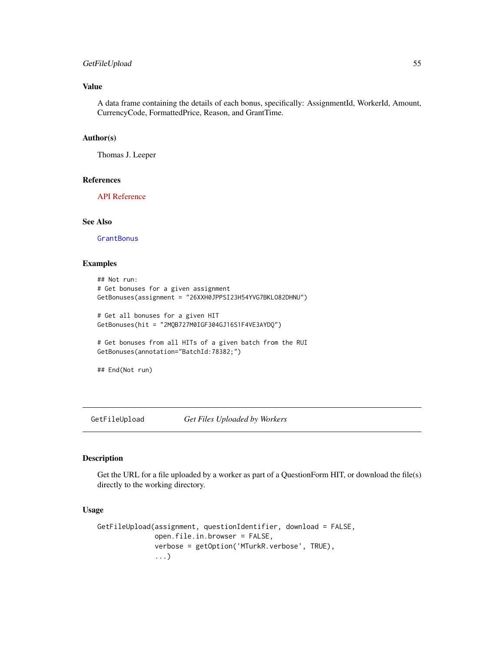# GetFileUpload 55

# Value

A data frame containing the details of each bonus, specifically: AssignmentId, WorkerId, Amount, CurrencyCode, FormattedPrice, Reason, and GrantTime.

### Author(s)

Thomas J. Leeper

#### References

[API Reference](http://docs.amazonwebservices.com/AWSMechTurk/latest/AWSMturkAPI/ApiReference_GetBonusPaymentsOperation.html)

# See Also

**[GrantBonus](#page-70-0)** 

# Examples

```
## Not run:
# Get bonuses for a given assignment
GetBonuses(assignment = "26XXH0JPPSI23H54YVG7BKLO82DHNU")
# Get all bonuses for a given HIT
GetBonuses(hit = "2MQB727M0IGF304GJ16S1F4VE3AYDQ")
```

```
# Get bonuses from all HITs of a given batch from the RUI
GetBonuses(annotation="BatchId:78382;")
```
## End(Not run)

GetFileUpload *Get Files Uploaded by Workers*

### Description

Get the URL for a file uploaded by a worker as part of a QuestionForm HIT, or download the file(s) directly to the working directory.

#### Usage

```
GetFileUpload(assignment, questionIdentifier, download = FALSE,
              open.file.in.browser = FALSE,
              verbose = getOption('MTurkR.verbose', TRUE),
              ...)
```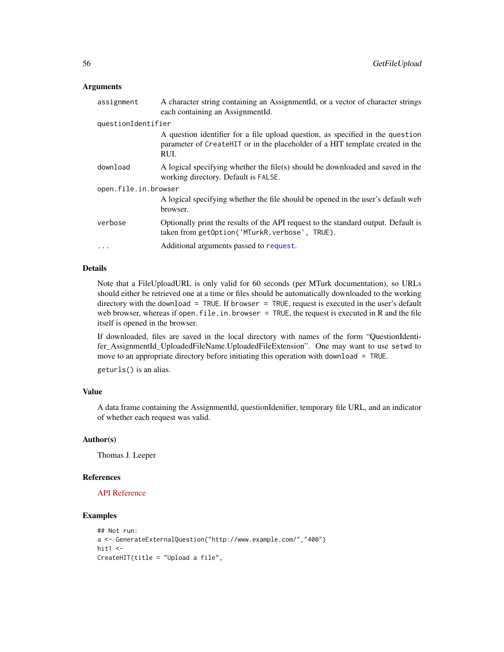### Arguments

| assignment           | A character string containing an AssignmentId, or a vector of character strings<br>each containing an AssignmentId.                                                     |  |
|----------------------|-------------------------------------------------------------------------------------------------------------------------------------------------------------------------|--|
| questionIdentifier   |                                                                                                                                                                         |  |
|                      | A question identifier for a file upload question, as specified in the question<br>parameter of CreateHIT or in the placeholder of a HIT template created in the<br>RUI. |  |
| download             | A logical specifying whether the file(s) should be downloaded and saved in the<br>working directory. Default is FALSE.                                                  |  |
| open.file.in.browser |                                                                                                                                                                         |  |
|                      | A logical specifying whether the file should be opened in the user's default web<br>browser.                                                                            |  |
| verbose              | Optionally print the results of the API request to the standard output. Default is<br>taken from getOption('MTurkR.verbose', TRUE).                                     |  |
| $\ddotsc$            | Additional arguments passed to request.                                                                                                                                 |  |

# Details

Note that a FileUploadURL is only valid for 60 seconds (per MTurk documentation), so URLs should either be retrieved one at a time or files should be automatically downloaded to the working directory with the download = TRUE. If browser = TRUE, request is executed in the user's default web browser, whereas if open. file. in. browser = TRUE, the request is executed in R and the file itself is opened in the browser.

If downloaded, files are saved in the local directory with names of the form "QuestionIdentifer\_AssignmentId\_UploadedFileName.UploadedFileExtension". One may want to use setwd to move to an appropriate directory before initiating this operation with download = TRUE.

geturls() is an alias.

# Value

A data frame containing the AssignmentId, questionIdenifier, temporary file URL, and an indicator of whether each request was valid.

# Author(s)

Thomas J. Leeper

#### References

# [API Reference](http://docs.amazonwebservices.com/AWSMechTurk/latest/AWSMturkAPI/ApiReference_GetFileUploadURLOperation.html)

# Examples

```
## Not run:
a <- GenerateExternalQuestion("http://www.example.com/","400")
hit1 < -CreateHIT(title = "Upload a file",
```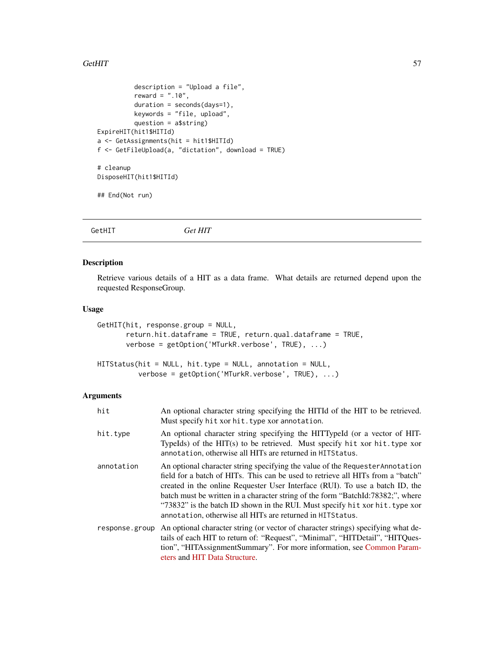### $G$ etHIT  $\sim$  57

```
description = "Upload a file",
          reward = " . 10",duration = seconds(days=1),
          keywords = "file, upload",
          question = a$string)
ExpireHIT(hit1$HITId)
a <- GetAssignments(hit = hit1$HITId)
f <- GetFileUpload(a, "dictation", download = TRUE)
# cleanup
DisposeHIT(hit1$HITId)
## End(Not run)
```
<span id="page-56-0"></span>GetHIT *Get HIT*

# Description

Retrieve various details of a HIT as a data frame. What details are returned depend upon the requested ResponseGroup.

#### Usage

```
GetHIT(hit, response.group = NULL,
       return.hit.dataframe = TRUE, return.qual.dataframe = TRUE,
       verbose = getOption('MTurkR.verbose', TRUE), ...)
```

```
HITStatus(hit = NULL, hit.type = NULL, annotation = NULL,
          verbose = getOption('MTurkR.verbose', TRUE), ...)
```

| hit            | An optional character string specifying the HITId of the HIT to be retrieved.<br>Must specify hit xor hit. type xor annotation.                                                                                                                                                                                                                                                                                                                                                   |
|----------------|-----------------------------------------------------------------------------------------------------------------------------------------------------------------------------------------------------------------------------------------------------------------------------------------------------------------------------------------------------------------------------------------------------------------------------------------------------------------------------------|
| hit.type       | An optional character string specifying the HITTypeId (or a vector of HIT-<br>TypeIds) of the HIT(s) to be retrieved. Must specify hit xor hit.type xor<br>annotation, otherwise all HITs are returned in HITS tatus.                                                                                                                                                                                                                                                             |
| annotation     | An optional character string specifying the value of the Requester Annotation<br>field for a batch of HITs. This can be used to retrieve all HITs from a "batch"<br>created in the online Requester User Interface (RUI). To use a batch ID, the<br>batch must be written in a character string of the form "BatchId:78382;", where<br>"73832" is the batch ID shown in the RUI. Must specify hit xor hit. type xor<br>annotation, otherwise all HITs are returned in HITS tatus. |
| response.group | An optional character string (or vector of character strings) specifying what de-<br>tails of each HIT to return of: "Request", "Minimal", "HITDetail", "HITQues-<br>tion", "HITAssignmentSummary". For more information, see Common Param-<br>eters and HIT Data Structure.                                                                                                                                                                                                      |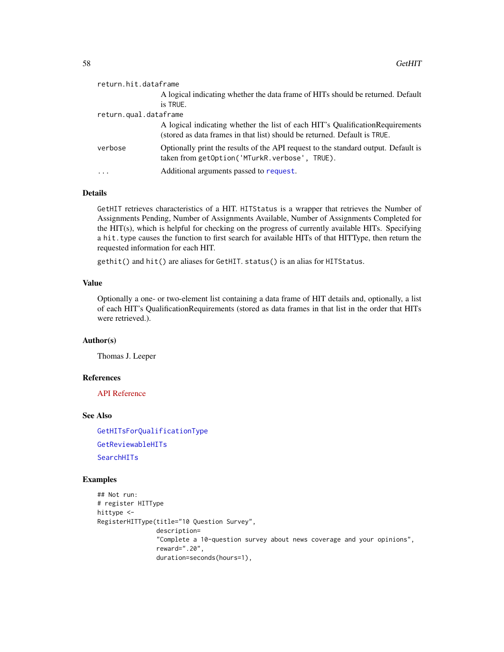| return.hit.dataframe  |                                                                                                                                                             |  |
|-----------------------|-------------------------------------------------------------------------------------------------------------------------------------------------------------|--|
|                       | A logical indicating whether the data frame of HITs should be returned. Default                                                                             |  |
|                       | is TRUE.                                                                                                                                                    |  |
| return.qual.dataframe |                                                                                                                                                             |  |
|                       | A logical indicating whether the list of each HIT's Qualification Requirements<br>(stored as data frames in that list) should be returned. Default is TRUE. |  |
| verbose               | Optionally print the results of the API request to the standard output. Default is<br>taken from getOption('MTurkR.verbose', TRUE).                         |  |
| .                     | Additional arguments passed to request.                                                                                                                     |  |

#### Details

GetHIT retrieves characteristics of a HIT. HITStatus is a wrapper that retrieves the Number of Assignments Pending, Number of Assignments Available, Number of Assignments Completed for the HIT(s), which is helpful for checking on the progress of currently available HITs. Specifying a hit.type causes the function to first search for available HITs of that HITType, then return the requested information for each HIT.

gethit() and hit() are aliases for GetHIT. status() is an alias for HITStatus.

# Value

Optionally a one- or two-element list containing a data frame of HIT details and, optionally, a list of each HIT's QualificationRequirements (stored as data frames in that list in the order that HITs were retrieved.).

### Author(s)

Thomas J. Leeper

#### References

[API Reference](http://docs.amazonwebservices.com/AWSMechTurk/latest/AWSMturkAPI/ApiReference_GetHITOperation.html)

#### See Also

[GetHITsForQualificationType](#page-58-0) [GetReviewableHITs](#page-65-0) [SearchHITs](#page-82-0)

### Examples

```
## Not run:
# register HITType
hittype <-
RegisterHITType(title="10 Question Survey",
                description=
                "Complete a 10-question survey about news coverage and your opinions",
                reward=".20",
                duration=seconds(hours=1),
```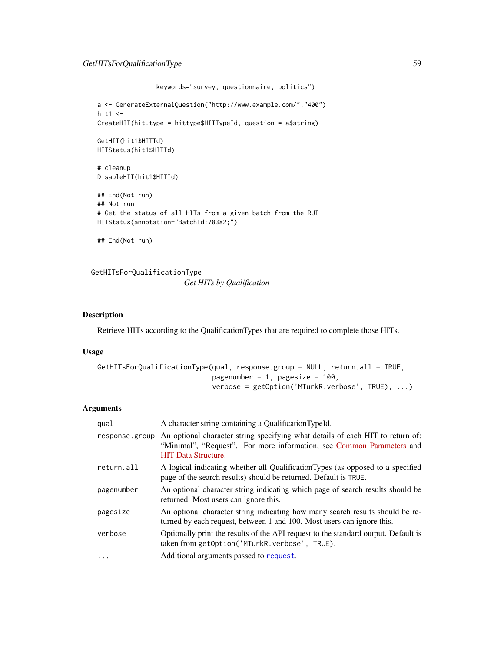```
keywords="survey, questionnaire, politics")
a <- GenerateExternalQuestion("http://www.example.com/","400")
hit1 < -CreateHIT(hit.type = hittype$HITTypeId, question = a$string)
GetHIT(hit1$HITId)
HITStatus(hit1$HITId)
# cleanup
DisableHIT(hit1$HITId)
## End(Not run)
## Not run:
# Get the status of all HITs from a given batch from the RUI
HITStatus(annotation="BatchId:78382;")
## End(Not run)
```
<span id="page-58-0"></span>GetHITsForQualificationType *Get HITs by Qualification*

#### Description

Retrieve HITs according to the QualificationTypes that are required to complete those HITs.

#### Usage

```
GetHITsForQualificationType(qual, response.group = NULL, return.all = TRUE,
                            pagenumber = 1, pagesize = 100,
                            verbose = getOption('MTurkR.verbose', TRUE), ...)
```

| qual           | A character string containing a QualificationTypeId.                                                                                                                                  |
|----------------|---------------------------------------------------------------------------------------------------------------------------------------------------------------------------------------|
| response.group | An optional character string specifying what details of each HIT to return of:<br>"Minimal", "Request". For more information, see Common Parameters and<br><b>HIT</b> Data Structure. |
| return.all     | A logical indicating whether all Qualification Types (as opposed to a specified<br>page of the search results) should be returned. Default is TRUE.                                   |
| pagenumber     | An optional character string indicating which page of search results should be<br>returned. Most users can ignore this.                                                               |
| pagesize       | An optional character string indicating how many search results should be re-<br>turned by each request, between 1 and 100. Most users can ignore this.                               |
| verbose        | Optionally print the results of the API request to the standard output. Default is<br>taken from getOption('MTurkR.verbose', TRUE).                                                   |
|                | Additional arguments passed to request.                                                                                                                                               |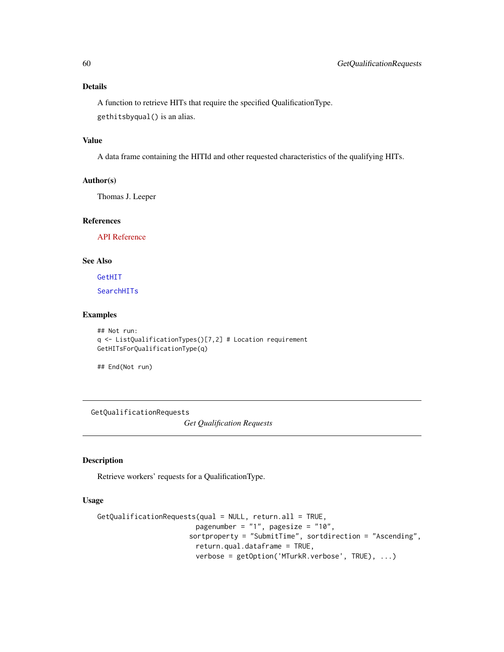# Details

A function to retrieve HITs that require the specified QualificationType. gethitsbyqual() is an alias.

# Value

A data frame containing the HITId and other requested characteristics of the qualifying HITs.

# Author(s)

Thomas J. Leeper

# References

[API Reference](http://docs.amazonwebservices.com/AWSMechTurk/latest/AWSMturkAPI/ApiReference_GetHITsForQualificationTypeOperation.html)

### See Also

[GetHIT](#page-56-0)

[SearchHITs](#page-82-0)

### Examples

```
## Not run:
q <- ListQualificationTypes()[7,2] # Location requirement
GetHITsForQualificationType(q)
```
## End(Not run)

GetQualificationRequests

*Get Qualification Requests*

#### Description

Retrieve workers' requests for a QualificationType.

### Usage

```
GetQualificationRequests(qual = NULL, return.all = TRUE,
                        pagenumber = "1", pagesize = "10",
                      sortproperty = "SubmitTime", sortdirection = "Ascending",
                        return.qual.dataframe = TRUE,
                        verbose = getOption('MTurkR.verbose', TRUE), ...)
```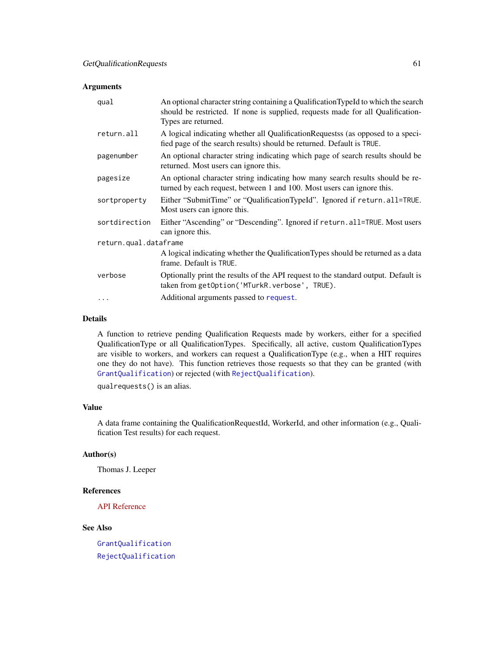### Arguments

| qual                  | An optional character string containing a Qualification TypeId to which the search<br>should be restricted. If none is supplied, requests made for all Qualification-<br>Types are returned. |
|-----------------------|----------------------------------------------------------------------------------------------------------------------------------------------------------------------------------------------|
| return.all            | A logical indicating whether all Qualification Requests (as opposed to a speci-<br>fied page of the search results) should be returned. Default is TRUE.                                     |
| pagenumber            | An optional character string indicating which page of search results should be<br>returned. Most users can ignore this.                                                                      |
| pagesize              | An optional character string indicating how many search results should be re-<br>turned by each request, between 1 and 100. Most users can ignore this.                                      |
| sortproperty          | Either "SubmitTime" or "QualificationTypeId". Ignored if return.all=TRUE.<br>Most users can ignore this.                                                                                     |
| sortdirection         | Either "Ascending" or "Descending". Ignored if return.all=TRUE. Most users<br>can ignore this.                                                                                               |
| return.qual.dataframe |                                                                                                                                                                                              |
|                       | A logical indicating whether the Qualification Types should be returned as a data<br>frame. Default is TRUE.                                                                                 |
| verbose               | Optionally print the results of the API request to the standard output. Default is<br>taken from getOption('MTurkR.verbose', TRUE).                                                          |
| $\cdots$              | Additional arguments passed to request.                                                                                                                                                      |
|                       |                                                                                                                                                                                              |

# Details

A function to retrieve pending Qualification Requests made by workers, either for a specified QualificationType or all QualificationTypes. Specifically, all active, custom QualificationTypes are visible to workers, and workers can request a QualificationType (e.g., when a HIT requires one they do not have). This function retrieves those requests so that they can be granted (with [GrantQualification](#page-71-0)) or rejected (with [RejectQualification](#page-71-1)).

qualrequests() is an alias.

# Value

A data frame containing the QualificationRequestId, WorkerId, and other information (e.g., Qualification Test results) for each request.

### Author(s)

Thomas J. Leeper

### References

[API Reference](http://docs.amazonwebservices.com/AWSMechTurk/latest/AWSMturkAPI/ApiReference_GetQualificationRequestsOperation.html)

# See Also

[GrantQualification](#page-71-0) [RejectQualification](#page-71-1)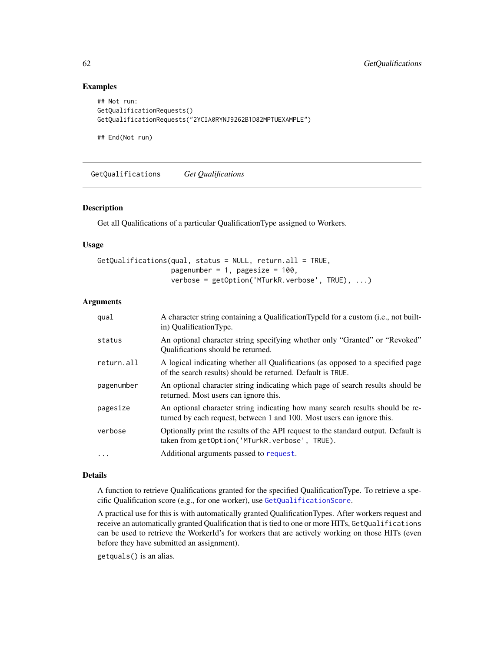### Examples

```
## Not run:
GetQualificationRequests()
GetQualificationRequests("2YCIA0RYNJ9262B1D82MPTUEXAMPLE")
```
## End(Not run)

<span id="page-61-0"></span>GetQualifications *Get Qualifications*

#### Description

Get all Qualifications of a particular QualificationType assigned to Workers.

#### Usage

```
GetQualifications(qual, status = NULL, return.all = TRUE,
                 pagenumber = 1, pagesize = 100,
                  verbose = getOption('MTurkR.verbose', TRUE), ...)
```
### Arguments

| qual       | A character string containing a QualificationTypeId for a custom (i.e., not built-<br>in) QualificationType.                                            |
|------------|---------------------------------------------------------------------------------------------------------------------------------------------------------|
| status     | An optional character string specifying whether only "Granted" or "Revoked"<br>Qualifications should be returned.                                       |
| return.all | A logical indicating whether all Qualifications (as opposed to a specified page<br>of the search results) should be returned. Default is TRUE.          |
| pagenumber | An optional character string indicating which page of search results should be<br>returned. Most users can ignore this.                                 |
| pagesize   | An optional character string indicating how many search results should be re-<br>turned by each request, between 1 and 100. Most users can ignore this. |
| verbose    | Optionally print the results of the API request to the standard output. Default is<br>taken from getOption('MTurkR.verbose', TRUE).                     |
| $\ddots$   | Additional arguments passed to request.                                                                                                                 |

# Details

A function to retrieve Qualifications granted for the specified QualificationType. To retrieve a specific Qualification score (e.g., for one worker), use [GetQualificationScore](#page-62-0).

A practical use for this is with automatically granted QualificationTypes. After workers request and receive an automatically granted Qualification that is tied to one or more HITs, GetQualifications can be used to retrieve the WorkerId's for workers that are actively working on those HITs (even before they have submitted an assignment).

getquals() is an alias.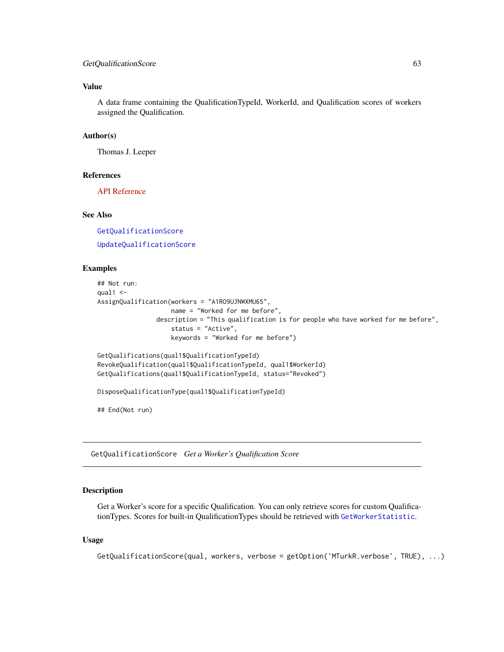# GetQualificationScore 63

### Value

A data frame containing the QualificationTypeId, WorkerId, and Qualification scores of workers assigned the Qualification.

### Author(s)

Thomas J. Leeper

### References

[API Reference](http://docs.amazonwebservices.com/AWSMechTurk/latest/AWSMturkAPI/ApiReference_GetQualificationsForQualificationTypeOperation.html)

# See Also

[GetQualificationScore](#page-62-0) [UpdateQualificationScore](#page-92-0)

# Examples

```
## Not run:
qual1 < -AssignQualification(workers = "A1RO9UJNWXMU65",
                   name = "Worked for me before",
                description = "This qualification is for people who have worked for me before",
                    status = "Active",
                    keywords = "Worked for me before")
GetQualifications(qual1$QualificationTypeId)
RevokeQualification(qual1$QualificationTypeId, qual1$WorkerId)
GetQualifications(qual1$QualificationTypeId, status="Revoked")
DisposeQualificationType(qual1$QualificationTypeId)
## End(Not run)
```
<span id="page-62-0"></span>GetQualificationScore *Get a Worker's Qualification Score*

#### Description

Get a Worker's score for a specific Qualification. You can only retrieve scores for custom QualificationTypes. Scores for built-in QualificationTypes should be retrieved with [GetWorkerStatistic](#page-68-0).

#### Usage

```
GetQualificationScore(qual, workers, verbose = getOption('MTurkR.verbose', TRUE), ...)
```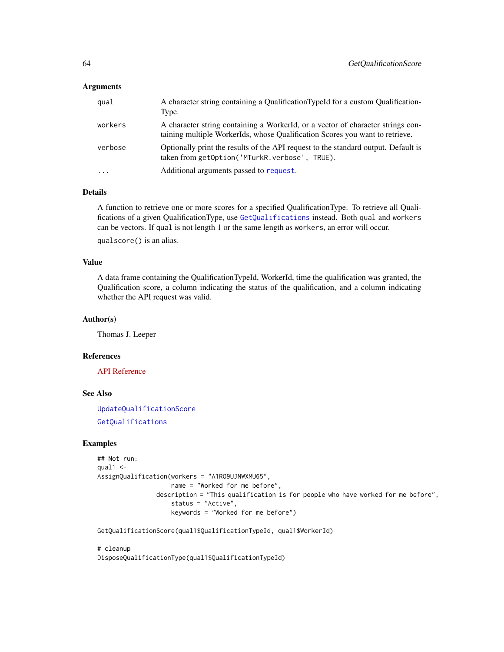# **Arguments**

| qual    | A character string containing a Qualification TypeId for a custom Qualification-<br>Type.                                                                       |
|---------|-----------------------------------------------------------------------------------------------------------------------------------------------------------------|
| workers | A character string containing a WorkerId, or a vector of character strings con-<br>taining multiple WorkerIds, whose Qualification Scores you want to retrieve. |
| verbose | Optionally print the results of the API request to the standard output. Default is<br>taken from getOption('MTurkR.verbose', TRUE).                             |
| $\cdot$ | Additional arguments passed to request.                                                                                                                         |

# Details

A function to retrieve one or more scores for a specified QualificationType. To retrieve all Qualifications of a given QualificationType, use [GetQualifications](#page-61-0) instead. Both qual and workers can be vectors. If qual is not length 1 or the same length as workers, an error will occur.

qualscore() is an alias.

# Value

A data frame containing the QualificationTypeId, WorkerId, time the qualification was granted, the Qualification score, a column indicating the status of the qualification, and a column indicating whether the API request was valid.

### Author(s)

Thomas J. Leeper

#### References

[API Reference](http://docs.amazonwebservices.com/AWSMechTurk/latest/AWSMturkAPI/ApiReference_GetQualificationScoreOperation.html)

### See Also

[UpdateQualificationScore](#page-92-0) [GetQualifications](#page-61-0)

# Examples

```
## Not run:
qual1 < -AssignQualification(workers = "A1RO9UJNWXMU65",
                   name = "Worked for me before",
                description = "This qualification is for people who have worked for me before",
                    status = "Active",
                    keywords = "Worked for me before")
```
GetQualificationScore(qual1\$QualificationTypeId, qual1\$WorkerId)

# cleanup DisposeQualificationType(qual1\$QualificationTypeId)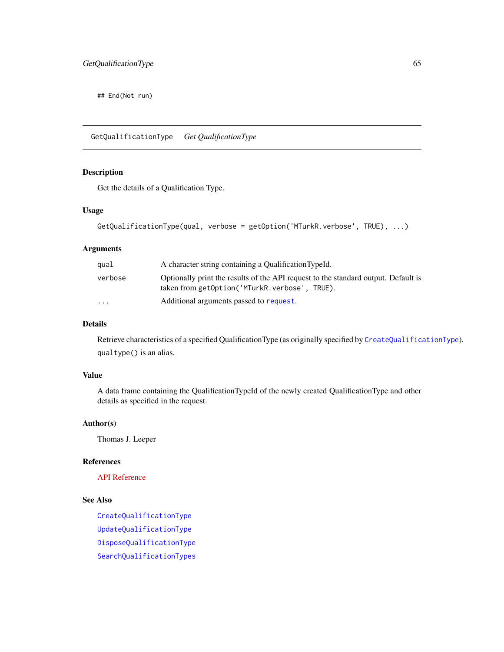## End(Not run)

GetQualificationType *Get QualificationType*

# Description

Get the details of a Qualification Type.

#### Usage

```
GetQualificationType(qual, verbose = getOption('MTurkR.verbose', TRUE), ...)
```
# Arguments

| qual    | A character string containing a QualificationTypeId.                                                                                |
|---------|-------------------------------------------------------------------------------------------------------------------------------------|
| verbose | Optionally print the results of the API request to the standard output. Default is<br>taken from getOption('MTurkR.verbose', TRUE). |
| $\cdot$ | Additional arguments passed to request.                                                                                             |

#### Details

Retrieve characteristics of a specified QualificationType (as originally specified by [CreateQualificationType](#page-23-0)). qualtype() is an alias.

# Value

A data frame containing the QualificationTypeId of the newly created QualificationType and other details as specified in the request.

#### Author(s)

Thomas J. Leeper

# References

[API Reference](http://docs.amazonwebservices.com/AWSMechTurk/latest/AWSMturkAPI/ApiReference_GetQualificationTypeOperation.html)

# See Also

[CreateQualificationType](#page-23-0) [UpdateQualificationType](#page-93-0) [DisposeQualificationType](#page-30-0) [SearchQualificationTypes](#page-84-0)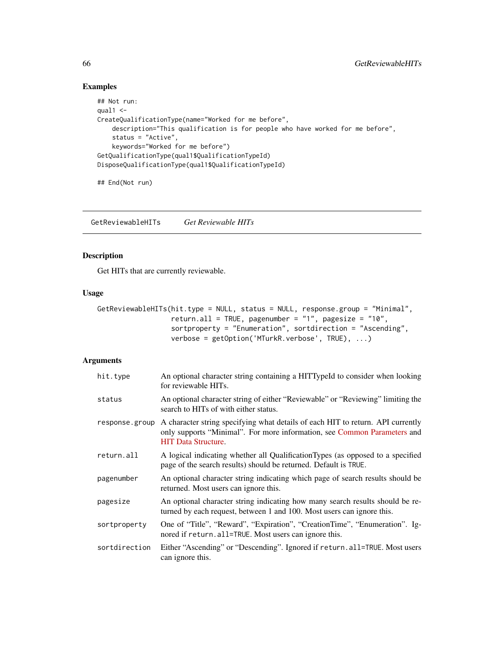# Examples

```
## Not run:
qual1 < -CreateQualificationType(name="Worked for me before",
   description="This qualification is for people who have worked for me before",
   status = "Active",
   keywords="Worked for me before")
GetQualificationType(qual1$QualificationTypeId)
DisposeQualificationType(qual1$QualificationTypeId)
```
## End(Not run)

<span id="page-65-0"></span>GetReviewableHITs *Get Reviewable HITs*

# Description

Get HITs that are currently reviewable.

### Usage

```
GetReviewableHITs(hit.type = NULL, status = NULL, response.group = "Minimal",
                  return.all = TRUE, pagenumber = "1", pagesize = "10",
                  sortproperty = "Enumeration", sortdirection = "Ascending",
                  verbose = getOption('MTurkR.verbose', TRUE), ...)
```

| hit.type       | An optional character string containing a HITTypeId to consider when looking<br>for reviewable HITs.                                                                                      |
|----------------|-------------------------------------------------------------------------------------------------------------------------------------------------------------------------------------------|
| status         | An optional character string of either "Reviewable" or "Reviewing" limiting the<br>search to HITs of with either status.                                                                  |
| response.group | A character string specifying what details of each HIT to return. API currently<br>only supports "Minimal". For more information, see Common Parameters and<br><b>HIT Data Structure.</b> |
| return.all     | A logical indicating whether all Qualification Types (as opposed to a specified<br>page of the search results) should be returned. Default is TRUE.                                       |
| pagenumber     | An optional character string indicating which page of search results should be<br>returned. Most users can ignore this.                                                                   |
| pagesize       | An optional character string indicating how many search results should be re-<br>turned by each request, between 1 and 100. Most users can ignore this.                                   |
| sortproperty   | One of "Title", "Reward", "Expiration", "CreationTime", "Enumeration". Ig-<br>nored if return. all=TRUE. Most users can ignore this.                                                      |
| sortdirection  | Either "Ascending" or "Descending". Ignored if return.all=TRUE. Most users<br>can ignore this.                                                                                            |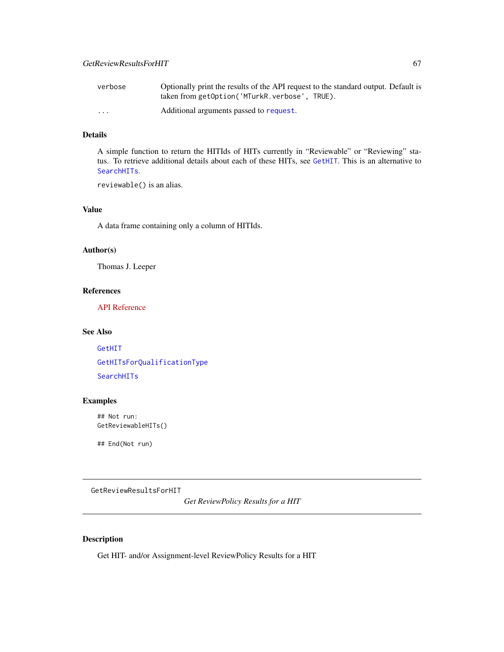| verbose  | Optionally print the results of the API request to the standard output. Default is |
|----------|------------------------------------------------------------------------------------|
|          | taken from getOption('MTurkR.verbose', TRUE).                                      |
| $\cdots$ | Additional arguments passed to request.                                            |

# Details

A simple function to return the HITIds of HITs currently in "Reviewable" or "Reviewing" status. To retrieve additional details about each of these HITs, see [GetHIT](#page-56-0). This is an alternative to [SearchHITs](#page-82-0).

reviewable() is an alias.

# Value

A data frame containing only a column of HITIds.

### Author(s)

Thomas J. Leeper

### References

[API Reference](http://docs.amazonwebservices.com/AWSMechTurk/latest/AWSMturkAPI/ApiReference_GetReviewableHITsOperation.html)

# See Also

[GetHIT](#page-56-0) [GetHITsForQualificationType](#page-58-0) [SearchHITs](#page-82-0)

# Examples

## Not run: GetReviewableHITs()

## End(Not run)

<span id="page-66-0"></span>GetReviewResultsForHIT

*Get ReviewPolicy Results for a HIT*

# Description

Get HIT- and/or Assignment-level ReviewPolicy Results for a HIT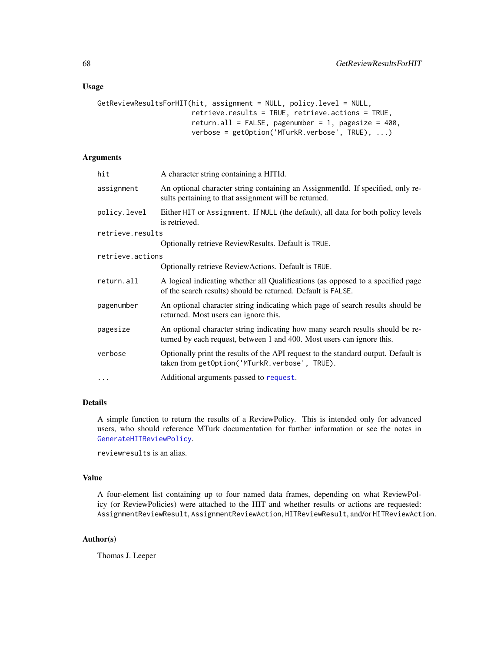#### Usage

```
GetReviewResultsForHIT(hit, assignment = NULL, policy.level = NULL,
                       retrieve.results = TRUE, retrieve.actions = TRUE,
                       return.all = FALSE, pagenumber = 1, pagesize = 400,
                       verbose = getOption('MTurkR.verbose', TRUE), ...)
```
#### Arguments

| hit              | A character string containing a HITId.                                                                                                                  |
|------------------|---------------------------------------------------------------------------------------------------------------------------------------------------------|
| assignment       | An optional character string containing an AssignmentId. If specified, only re-<br>sults pertaining to that assignment will be returned.                |
| policy.level     | Either HIT or Assignment. If NULL (the default), all data for both policy levels<br>is retrieved.                                                       |
| retrieve.results |                                                                                                                                                         |
|                  | Optionally retrieve ReviewResults. Default is TRUE.                                                                                                     |
| retrieve.actions |                                                                                                                                                         |
|                  | Optionally retrieve ReviewActions. Default is TRUE.                                                                                                     |
| return.all       | A logical indicating whether all Qualifications (as opposed to a specified page<br>of the search results) should be returned. Default is FALSE.         |
| pagenumber       | An optional character string indicating which page of search results should be<br>returned. Most users can ignore this.                                 |
| pagesize         | An optional character string indicating how many search results should be re-<br>turned by each request, between 1 and 400. Most users can ignore this. |
| verbose          | Optionally print the results of the API request to the standard output. Default is<br>taken from getOption('MTurkR.verbose', TRUE).                     |
| $\cdots$         | Additional arguments passed to request.                                                                                                                 |
|                  |                                                                                                                                                         |

# Details

A simple function to return the results of a ReviewPolicy. This is intended only for advanced users, who should reference MTurk documentation for further information or see the notes in [GenerateHITReviewPolicy](#page-46-0).

reviewresults is an alias.

### Value

A four-element list containing up to four named data frames, depending on what ReviewPolicy (or ReviewPolicies) were attached to the HIT and whether results or actions are requested: AssignmentReviewResult, AssignmentReviewAction, HITReviewResult, and/or HITReviewAction.

# Author(s)

Thomas J. Leeper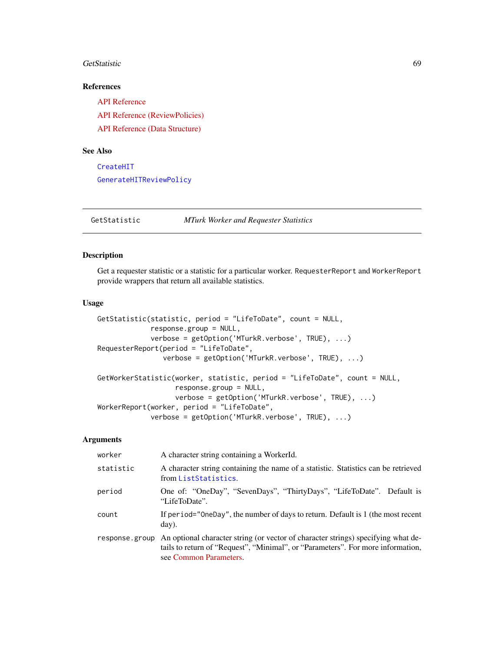#### GetStatistic 69

# References

[API Reference](http://docs.amazonwebservices.com/AWSMechTurk/latest/AWSMturkAPI/ApiReference_GetReviewResultsForHitOperation.html) [API Reference \(ReviewPolicies\)](http://docs.amazonwebservices.com/AWSMechTurk/latest/AWSMturkAPI/ApiReference_ReviewPoliciesArticle.html) [API Reference \(Data Structure\)](http://docs.amazonwebservices.com/AWSMechTurk/latest/AWSMturkAPI/ApiReference_HITReviewPolicyDataStructureArticle.html)

# See Also

[CreateHIT](#page-19-0) [GenerateHITReviewPolicy](#page-46-0)

GetStatistic *MTurk Worker and Requester Statistics*

### <span id="page-68-0"></span>Description

Get a requester statistic or a statistic for a particular worker. RequesterReport and WorkerReport provide wrappers that return all available statistics.

# Usage

```
GetStatistic(statistic, period = "LifeToDate", count = NULL,
             response.group = NULL,
             verbose = getOption('MTurkR.verbose', TRUE), ...)
RequesterReport(period = "LifeToDate",
                verbose = getOption('MTurkR.verbose', TRUE), ...)
GetWorkerStatistic(worker, statistic, period = "LifeToDate", count = NULL,
                   response.group = NULL,
                   verbose = getOption('MTurkR.verbose', TRUE), ...)
WorkerReport(worker, period = "LifeToDate",
             verbose = getOption('MTurkR.verbose', TRUE), ...)
```

| worker         | A character string containing a WorkerId.                                                                                                                                                      |
|----------------|------------------------------------------------------------------------------------------------------------------------------------------------------------------------------------------------|
| statistic      | A character string containing the name of a statistic. Statistics can be retrieved<br>from ListStatistics.                                                                                     |
| period         | One of: "OneDay", "SevenDays", "ThirtyDays", "LifeToDate". Default is<br>"LifeToDate".                                                                                                         |
| count          | If period="OneDay", the number of days to return. Default is 1 (the most recent<br>day).                                                                                                       |
| response.group | An optional character string (or vector of character strings) specifying what de-<br>tails to return of "Request", "Minimal", or "Parameters". For more information,<br>see Common Parameters. |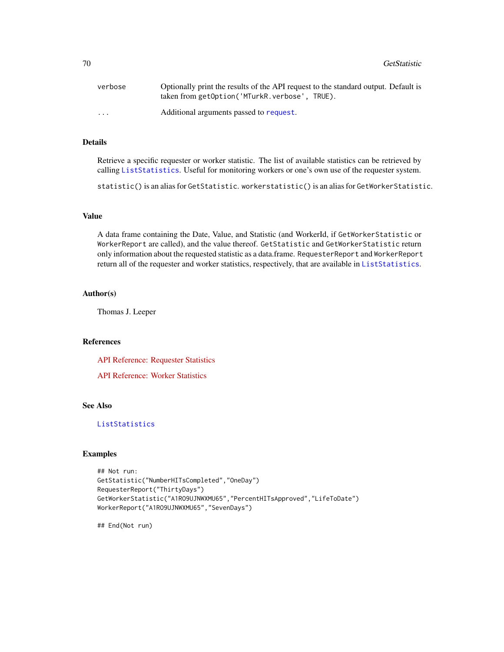70 GetStatistic

| verbose                 | Optionally print the results of the API request to the standard output. Default is<br>taken from getOption('MTurkR.verbose', TRUE). |
|-------------------------|-------------------------------------------------------------------------------------------------------------------------------------|
| $\cdot$ $\cdot$ $\cdot$ | Additional arguments passed to request.                                                                                             |

# Details

Retrieve a specific requester or worker statistic. The list of available statistics can be retrieved by calling [ListStatistics](#page-73-0). Useful for monitoring workers or one's own use of the requester system.

statistic() is an alias for GetStatistic. workerstatistic() is an alias for GetWorkerStatistic.

### Value

A data frame containing the Date, Value, and Statistic (and WorkerId, if GetWorkerStatistic or WorkerReport are called), and the value thereof. GetStatistic and GetWorkerStatistic return only information about the requested statistic as a data.frame. RequesterReport and WorkerReport return all of the requester and worker statistics, respectively, that are available in [ListStatistics](#page-73-0).

# Author(s)

Thomas J. Leeper

# References

[API Reference: Requester Statistics](http://docs.amazonwebservices.com/AWSMechTurk/latest/AWSMturkAPI/ApiReference_GetRequesterStatisticOperation.html)

[API Reference: Worker Statistics](http://docs.amazonwebservices.com/AWSMechTurk/latest/AWSMturkAPI/ApiReference_GetRequesterWorkerStatisticOperation.html)

# See Also

# [ListStatistics](#page-73-0)

# Examples

```
## Not run:
GetStatistic("NumberHITsCompleted","OneDay")
RequesterReport("ThirtyDays")
GetWorkerStatistic("A1RO9UJNWXMU65","PercentHITsApproved","LifeToDate")
WorkerReport("A1RO9UJNWXMU65","SevenDays")
```
## End(Not run)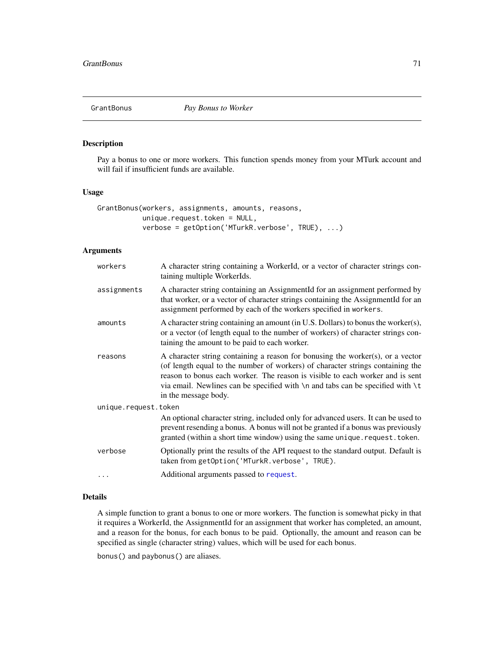<span id="page-70-0"></span>

### Description

Pay a bonus to one or more workers. This function spends money from your MTurk account and will fail if insufficient funds are available.

#### Usage

```
GrantBonus(workers, assignments, amounts, reasons,
           unique.request.token = NULL,
           verbose = getOption('MTurkR.verbose', TRUE), ...)
```
# Arguments

| workers              | A character string containing a WorkerId, or a vector of character strings con-<br>taining multiple WorkerIds.                                                                                                                                                                                                                                                        |
|----------------------|-----------------------------------------------------------------------------------------------------------------------------------------------------------------------------------------------------------------------------------------------------------------------------------------------------------------------------------------------------------------------|
| assignments          | A character string containing an AssignmentId for an assignment performed by<br>that worker, or a vector of character strings containing the AssignmentId for an<br>assignment performed by each of the workers specified in workers.                                                                                                                                 |
| amounts              | A character string containing an amount (in U.S. Dollars) to bonus the worker(s),<br>or a vector (of length equal to the number of workers) of character strings con-<br>taining the amount to be paid to each worker.                                                                                                                                                |
| reasons              | A character string containing a reason for bonusing the worker(s), or a vector<br>(of length equal to the number of workers) of character strings containing the<br>reason to bonus each worker. The reason is visible to each worker and is sent<br>via email. Newlines can be specified with $\n\times$ and tabs can be specified with $\t$<br>in the message body. |
| unique.request.token |                                                                                                                                                                                                                                                                                                                                                                       |
|                      | An optional character string, included only for advanced users. It can be used to<br>prevent resending a bonus. A bonus will not be granted if a bonus was previously<br>granted (within a short time window) using the same unique.request.token.                                                                                                                    |
| verbose              | Optionally print the results of the API request to the standard output. Default is<br>taken from getOption('MTurkR.verbose', TRUE).                                                                                                                                                                                                                                   |
|                      | Additional arguments passed to request.                                                                                                                                                                                                                                                                                                                               |

# Details

A simple function to grant a bonus to one or more workers. The function is somewhat picky in that it requires a WorkerId, the AssignmentId for an assignment that worker has completed, an amount, and a reason for the bonus, for each bonus to be paid. Optionally, the amount and reason can be specified as single (character string) values, which will be used for each bonus.

bonus() and paybonus() are aliases.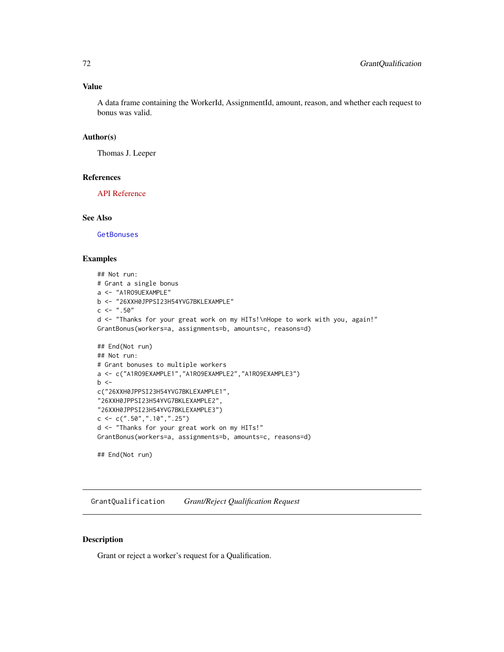### Value

A data frame containing the WorkerId, AssignmentId, amount, reason, and whether each request to bonus was valid.

#### Author(s)

Thomas J. Leeper

#### References

[API Reference](http://docs.amazonwebservices.com/AWSMechTurk/latest/AWSMturkAPI/ApiReference_GrantBonusOperation.html)

### See Also

**[GetBonuses](#page-53-0)** 

# Examples

```
## Not run:
# Grant a single bonus
a <- "A1RO9UEXAMPLE"
b <- "26XXH0JPPSI23H54YVG7BKLEXAMPLE"
c <- ".50"d <- "Thanks for your great work on my HITs!\nHope to work with you, again!"
GrantBonus(workers=a, assignments=b, amounts=c, reasons=d)
## End(Not run)
## Not run:
# Grant bonuses to multiple workers
a <- c("A1RO9EXAMPLE1","A1RO9EXAMPLE2","A1RO9EXAMPLE3")
b \leqc("26XXH0JPPSI23H54YVG7BKLEXAMPLE1",
"26XXH0JPPSI23H54YVG7BKLEXAMPLE2",
"26XXH0JPPSI23H54YVG7BKLEXAMPLE3")
c \leq -c(".50",".10",".25")d <- "Thanks for your great work on my HITs!"
GrantBonus(workers=a, assignments=b, amounts=c, reasons=d)
## End(Not run)
```
<span id="page-71-0"></span>GrantQualification *Grant/Reject Qualification Request*

# <span id="page-71-1"></span>Description

Grant or reject a worker's request for a Qualification.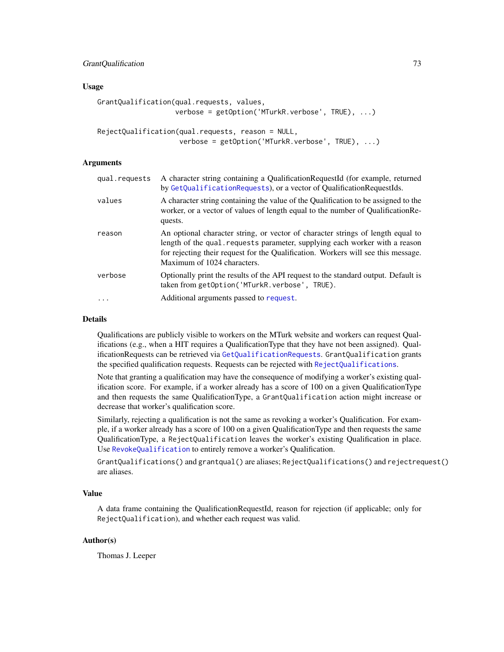# GrantQualification 73

#### Usage

```
GrantQualification(qual.requests, values,
                   verbose = getOption('MTurkR.verbose', TRUE), ...)
RejectQualification(qual.requests, reason = NULL,
```

```
verbose = getOption('MTurkR.verbose', TRUE), ...)
```
## Arguments

| qual.requests | A character string containing a QualificationRequestId (for example, returned<br>by GetQualificationRequests), or a vector of QualificationRequestIds.                                                                                                                             |
|---------------|------------------------------------------------------------------------------------------------------------------------------------------------------------------------------------------------------------------------------------------------------------------------------------|
| values        | A character string containing the value of the Qualification to be assigned to the<br>worker, or a vector of values of length equal to the number of Qualification Re-<br>quests.                                                                                                  |
| reason        | An optional character string, or vector of character strings of length equal to<br>length of the qual. requests parameter, supplying each worker with a reason<br>for rejecting their request for the Qualification. Workers will see this message.<br>Maximum of 1024 characters. |
| verbose       | Optionally print the results of the API request to the standard output. Default is<br>taken from getOption('MTurkR.verbose', TRUE).                                                                                                                                                |
| $\ddots$ .    | Additional arguments passed to request.                                                                                                                                                                                                                                            |
|               |                                                                                                                                                                                                                                                                                    |

#### Details

Qualifications are publicly visible to workers on the MTurk website and workers can request Qualifications (e.g., when a HIT requires a QualificationType that they have not been assigned). QualificationRequests can be retrieved via [GetQualificationRequests](#page-59-0). GrantQualification grants the specified qualification requests. Requests can be rejected with [RejectQualifications](#page-71-0).

Note that granting a qualification may have the consequence of modifying a worker's existing qualification score. For example, if a worker already has a score of 100 on a given QualificationType and then requests the same QualificationType, a GrantQualification action might increase or decrease that worker's qualification score.

Similarly, rejecting a qualification is not the same as revoking a worker's Qualification. For example, if a worker already has a score of 100 on a given QualificationType and then requests the same QualificationType, a RejectQualification leaves the worker's existing Qualification in place. Use [RevokeQualification](#page-81-0) to entirely remove a worker's Qualification.

GrantQualifications() and grantqual() are aliases; RejectQualifications() and rejectrequest() are aliases.

# Value

A data frame containing the QualificationRequestId, reason for rejection (if applicable; only for RejectQualification), and whether each request was valid.

## Author(s)

Thomas J. Leeper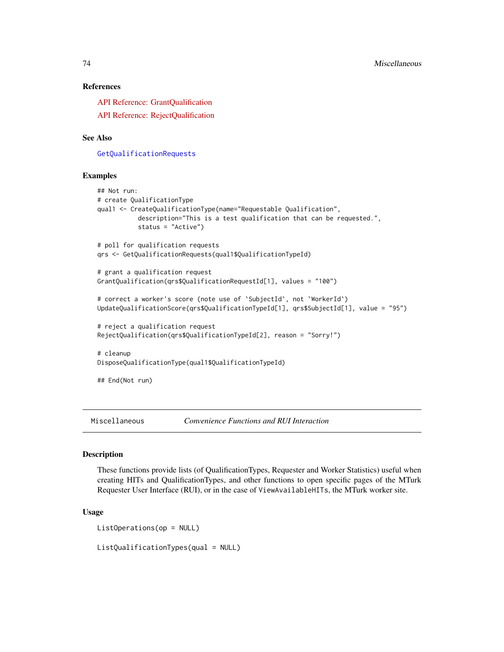## References

[API Reference: GrantQualification](http://docs.amazonwebservices.com/AWSMechTurk/latest/AWSMturkAPI/ApiReference_GrantQualificationOperation.html) [API Reference: RejectQualification](http://docs.amazonwebservices.com/AWSMechTurk/latest/AWSMturkAPI/ApiReference_RejectQualificationRequestOperation.html)

## See Also

[GetQualificationRequests](#page-59-0)

#### Examples

```
## Not run:
# create QualificationType
qual1 <- CreateQualificationType(name="Requestable Qualification",
           description="This is a test qualification that can be requested.",
           status = "Active")
# poll for qualification requests
qrs <- GetQualificationRequests(qual1$QualificationTypeId)
# grant a qualification request
GrantQualification(qrs$QualificationRequestId[1], values = "100")
# correct a worker's score (note use of `SubjectId`, not `WorkerId`)
UpdateQualificationScore(qrs$QualificationTypeId[1], qrs$SubjectId[1], value = "95")
# reject a qualification request
RejectQualification(qrs$QualificationTypeId[2], reason = "Sorry!")
# cleanup
DisposeQualificationType(qual1$QualificationTypeId)
## End(Not run)
```
Miscellaneous *Convenience Functions and RUI Interaction*

#### <span id="page-73-0"></span>Description

These functions provide lists (of QualificationTypes, Requester and Worker Statistics) useful when creating HITs and QualificationTypes, and other functions to open specific pages of the MTurk Requester User Interface (RUI), or in the case of ViewAvailableHITs, the MTurk worker site.

## Usage

```
ListOperations(op = NULL)
```
ListQualificationTypes(qual = NULL)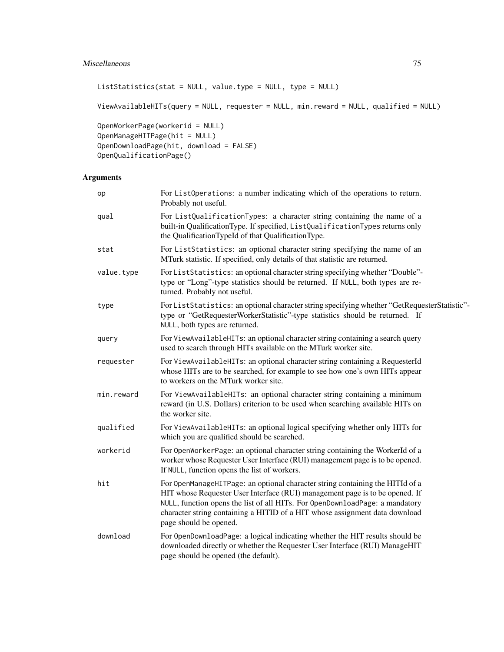# Miscellaneous 75

```
ListStatistics(stat = NULL, value.type = NULL, type = NULL)
```
ViewAvailableHITs(query = NULL, requester = NULL, min.reward = NULL, qualified = NULL)

```
OpenWorkerPage(workerid = NULL)
OpenManageHITPage(hit = NULL)
OpenDownloadPage(hit, download = FALSE)
OpenQualificationPage()
```

| op         | For ListOperations: a number indicating which of the operations to return.<br>Probably not useful.                                                                                                                                                                                                                                                     |
|------------|--------------------------------------------------------------------------------------------------------------------------------------------------------------------------------------------------------------------------------------------------------------------------------------------------------------------------------------------------------|
| qual       | For ListQualificationTypes: a character string containing the name of a<br>built-in QualificationType. If specified, ListQualificationTypes returns only<br>the QualificationTypeId of that QualificationType.                                                                                                                                         |
| stat       | For ListStatistics: an optional character string specifying the name of an<br>MTurk statistic. If specified, only details of that statistic are returned.                                                                                                                                                                                              |
| value.type | For ListStatistics: an optional character string specifying whether "Double"-<br>type or "Long"-type statistics should be returned. If NULL, both types are re-<br>turned. Probably not useful.                                                                                                                                                        |
| type       | For ListStatistics: an optional character string specifying whether "GetRequesterStatistic"-<br>type or "GetRequesterWorkerStatistic"-type statistics should be returned. If<br>NULL, both types are returned.                                                                                                                                         |
| query      | For ViewAvailableHITs: an optional character string containing a search query<br>used to search through HITs available on the MTurk worker site.                                                                                                                                                                                                       |
| requester  | For ViewAvailableHITs: an optional character string containing a RequesterId<br>whose HITs are to be searched, for example to see how one's own HITs appear<br>to workers on the MTurk worker site.                                                                                                                                                    |
| min.reward | For ViewAvailableHITs: an optional character string containing a minimum<br>reward (in U.S. Dollars) criterion to be used when searching available HITs on<br>the worker site.                                                                                                                                                                         |
| qualified  | For ViewAvailableHITs: an optional logical specifying whether only HITs for<br>which you are qualified should be searched.                                                                                                                                                                                                                             |
| workerid   | For OpenWorkerPage: an optional character string containing the WorkerId of a<br>worker whose Requester User Interface (RUI) management page is to be opened.<br>If NULL, function opens the list of workers.                                                                                                                                          |
| hit        | For OpenManageHITPage: an optional character string containing the HITId of a<br>HIT whose Requester User Interface (RUI) management page is to be opened. If<br>NULL, function opens the list of all HITs. For OpenDownloadPage: a mandatory<br>character string containing a HITID of a HIT whose assignment data download<br>page should be opened. |
| download   | For OpenDownloadPage: a logical indicating whether the HIT results should be<br>downloaded directly or whether the Requester User Interface (RUI) ManageHIT<br>page should be opened (the default).                                                                                                                                                    |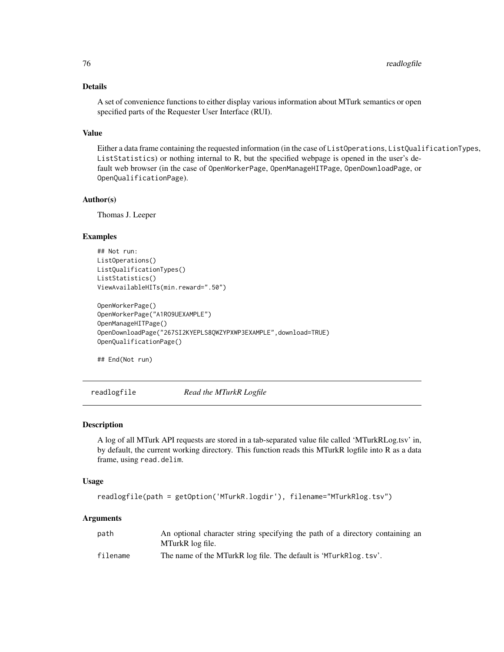# Details

A set of convenience functions to either display various information about MTurk semantics or open specified parts of the Requester User Interface (RUI).

## Value

Either a data frame containing the requested information (in the case of ListOperations, ListQualificationTypes, ListStatistics) or nothing internal to R, but the specified webpage is opened in the user's default web browser (in the case of OpenWorkerPage, OpenManageHITPage, OpenDownloadPage, or OpenQualificationPage).

## Author(s)

Thomas J. Leeper

## Examples

```
## Not run:
ListOperations()
ListQualificationTypes()
ListStatistics()
ViewAvailableHITs(min.reward=".50")
```

```
OpenWorkerPage()
OpenWorkerPage("A1RO9UEXAMPLE")
OpenManageHITPage()
OpenDownloadPage("267SI2KYEPLS8QWZYPXWP3EXAMPLE",download=TRUE)
OpenQualificationPage()
```
## End(Not run)

<span id="page-75-0"></span>readlogfile *Read the MTurkR Logfile*

#### Description

A log of all MTurk API requests are stored in a tab-separated value file called 'MTurkRLog.tsv' in, by default, the current working directory. This function reads this MTurkR logfile into R as a data frame, using read.delim.

#### Usage

```
readlogfile(path = getOption('MTurkR.logdir'), filename="MTurkRlog.tsv")
```

| path     | An optional character string specifying the path of a directory containing an |
|----------|-------------------------------------------------------------------------------|
|          | MTurkR log file.                                                              |
| filename | The name of the MTurkR log file. The default is 'MTurkRlog.tsv'.              |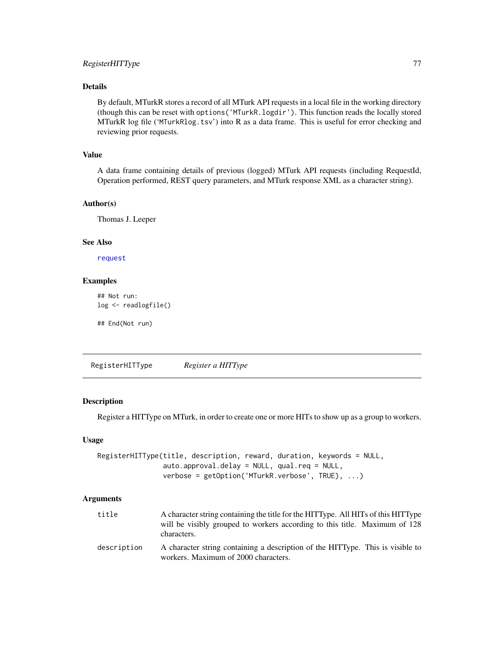# RegisterHITType 77

# Details

By default, MTurkR stores a record of all MTurk API requests in a local file in the working directory (though this can be reset with options('MTurkR.logdir'). This function reads the locally stored MTurkR log file ('MTurkRlog.tsv') into R as a data frame. This is useful for error checking and reviewing prior requests.

# Value

A data frame containing details of previous (logged) MTurk API requests (including RequestId, Operation performed, REST query parameters, and MTurk response XML as a character string).

#### Author(s)

Thomas J. Leeper

## See Also

[request](#page-79-0)

# Examples

```
## Not run:
log <- readlogfile()
```
## End(Not run)

<span id="page-76-0"></span>RegisterHITType *Register a HITType*

## Description

Register a HITType on MTurk, in order to create one or more HITs to show up as a group to workers.

# Usage

```
RegisterHITType(title, description, reward, duration, keywords = NULL,
                auto.approval.delay = NULL, qual.req = NULL,
                verbose = getOption('MTurkR.verbose', TRUE), ...)
```

| title       | A character string containing the title for the HITType. All HITs of this HITType                                      |
|-------------|------------------------------------------------------------------------------------------------------------------------|
|             | will be visibly grouped to workers according to this title. Maximum of 128<br>characters.                              |
| description | A character string containing a description of the HITType. This is visible to<br>workers. Maximum of 2000 characters. |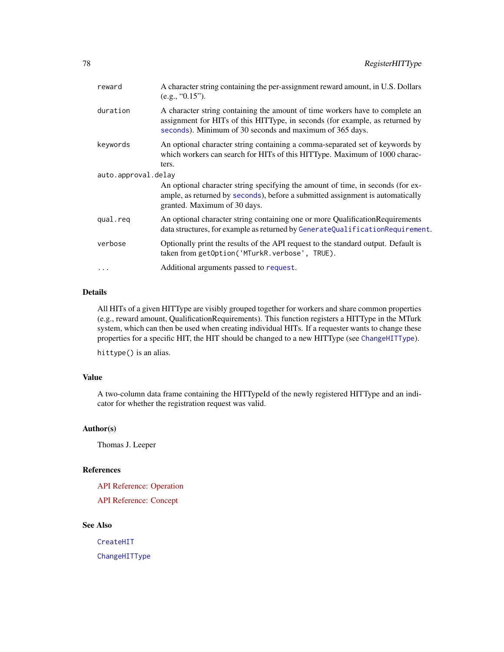| reward              | A character string containing the per-assignment reward amount, in U.S. Dollars<br>(e.g., "0.15").                                                                                                                       |  |
|---------------------|--------------------------------------------------------------------------------------------------------------------------------------------------------------------------------------------------------------------------|--|
| duration            | A character string containing the amount of time workers have to complete an<br>assignment for HITs of this HITType, in seconds (for example, as returned by<br>seconds). Minimum of 30 seconds and maximum of 365 days. |  |
| keywords            | An optional character string containing a comma-separated set of keywords by<br>which workers can search for HITs of this HITType. Maximum of 1000 charac-<br>ters.                                                      |  |
| auto.approval.delay |                                                                                                                                                                                                                          |  |
|                     | An optional character string specifying the amount of time, in seconds (for ex-<br>ample, as returned by seconds), before a submitted assignment is automatically<br>granted. Maximum of 30 days.                        |  |
| qual.req            | An optional character string containing one or more Qualification Requirements<br>data structures, for example as returned by GenerateQualificationRequirement.                                                          |  |
| verbose             | Optionally print the results of the API request to the standard output. Default is<br>taken from getOption('MTurkR.verbose', TRUE).                                                                                      |  |
| $\cdots$            | Additional arguments passed to request.                                                                                                                                                                                  |  |
|                     |                                                                                                                                                                                                                          |  |

# Details

All HITs of a given HITType are visibly grouped together for workers and share common properties (e.g., reward amount, QualificationRequirements). This function registers a HITType in the MTurk system, which can then be used when creating individual HITs. If a requester wants to change these properties for a specific HIT, the HIT should be changed to a new HITType (see [ChangeHITType](#page-15-0)).

hittype() is an alias.

# Value

A two-column data frame containing the HITTypeId of the newly registered HITType and an indicator for whether the registration request was valid.

## Author(s)

Thomas J. Leeper

## References

[API Reference: Operation](http://docs.amazonwebservices.com/AWSMechTurk/latest/AWSMturkAPI/ApiReference_RegisterHITTypeOperation.html) [API Reference: Concept](http://docs.amazonwebservices.com/AWSMechTurk/latest/AWSMechanicalTurkRequester/Concepts_HITTypesArticle.html)

# See Also

[CreateHIT](#page-19-0) [ChangeHITType](#page-15-0)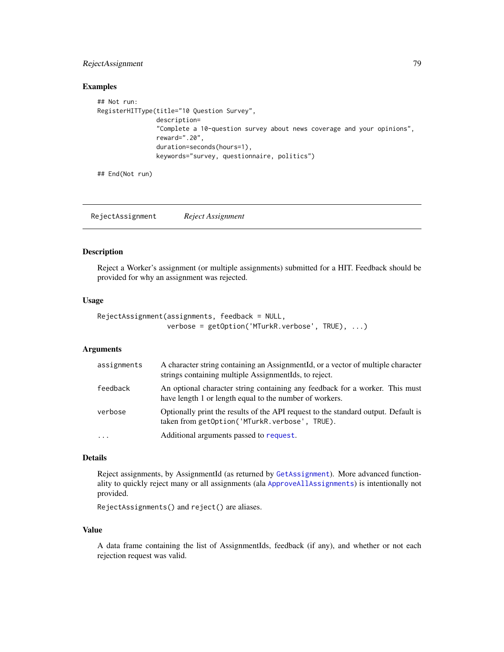# RejectAssignment 79

#### Examples

```
## Not run:
RegisterHITType(title="10 Question Survey",
                description=
                "Complete a 10-question survey about news coverage and your opinions",
                reward=".20",
                duration=seconds(hours=1),
                keywords="survey, questionnaire, politics")
```
## End(Not run)

RejectAssignment *Reject Assignment*

## Description

Reject a Worker's assignment (or multiple assignments) submitted for a HIT. Feedback should be provided for why an assignment was rejected.

#### Usage

```
RejectAssignment(assignments, feedback = NULL,
                 verbose = getOption('MTurkR.verbose', TRUE), ...)
```
#### Arguments

| assignments | A character string containing an AssignmentId, or a vector of multiple character<br>strings containing multiple AssignmentIds, to reject. |
|-------------|-------------------------------------------------------------------------------------------------------------------------------------------|
| feedback    | An optional character string containing any feedback for a worker. This must<br>have length 1 or length equal to the number of workers.   |
| verbose     | Optionally print the results of the API request to the standard output. Default is<br>taken from getOption('MTurkR.verbose', TRUE).       |
| .           | Additional arguments passed to request.                                                                                                   |

# Details

Reject assignments, by AssignmentId (as returned by [GetAssignment](#page-50-0)). More advanced functionality to quickly reject many or all assignments (ala [ApproveAllAssignments](#page-5-0)) is intentionally not provided.

RejectAssignments() and reject() are aliases.

## Value

A data frame containing the list of AssignmentIds, feedback (if any), and whether or not each rejection request was valid.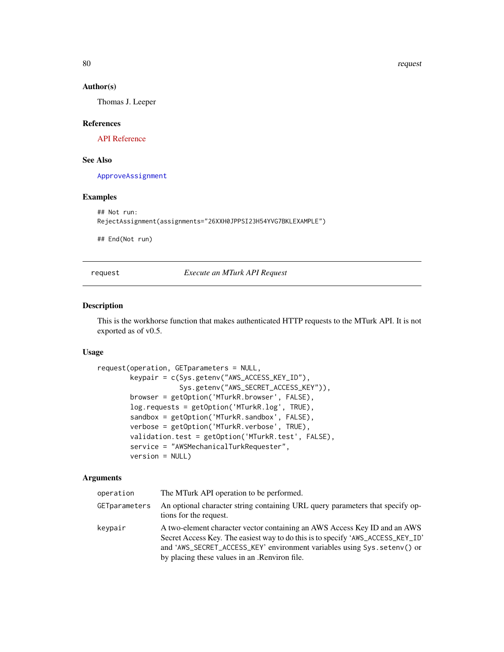80 request to the contract of the contract of the contract of the contract of the contract of the contract of the contract of the contract of the contract of the contract of the contract of the contract of the contract of

## Author(s)

Thomas J. Leeper

## References

[API Reference](http://docs.amazonwebservices.com/AWSMechTurk/latest/AWSMturkAPI/ApiReference_RejectAssignmentOperation.html)

# See Also

[ApproveAssignment](#page-5-1)

#### Examples

```
## Not run:
RejectAssignment(assignments="26XXH0JPPSI23H54YVG7BKLEXAMPLE")
```
## End(Not run)

<span id="page-79-0"></span>request *Execute an MTurk API Request*

## Description

This is the workhorse function that makes authenticated HTTP requests to the MTurk API. It is not exported as of v0.5.

## Usage

```
request(operation, GETparameters = NULL,
       keypair = c(Sys.getenv("AWS_ACCESS_KEY_ID"),
                    Sys.getenv("AWS_SECRET_ACCESS_KEY")),
       browser = getOption('MTurkR.browser', FALSE),
       log.requests = getOption('MTurkR.log', TRUE),
       sandbox = getOption('MTurkR.sandbox', FALSE),
       verbose = getOption('MTurkR.verbose', TRUE),
       validation.test = getOption('MTurkR.test', FALSE),
       service = "AWSMechanicalTurkRequester",
       version = NULL)
```

| operation     | The MTurk API operation to be performed.                                                                                                                                                                                                                                                   |
|---------------|--------------------------------------------------------------------------------------------------------------------------------------------------------------------------------------------------------------------------------------------------------------------------------------------|
| GETparameters | An optional character string containing URL query parameters that specify op-<br>tions for the request.                                                                                                                                                                                    |
| keypair       | A two-element character vector containing an AWS Access Key ID and an AWS<br>Secret Access Key. The easiest way to do this is to specify 'AWS_ACCESS_KEY_ID'<br>and 'AWS_SECRET_ACCESS_KEY' environment variables using Sys. seteny() or<br>by placing these values in an . Renviron file. |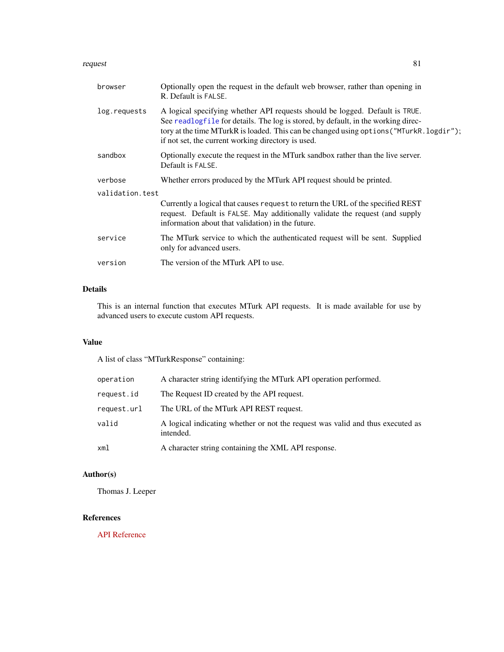#### request 81

| browser         | Optionally open the request in the default web browser, rather than opening in<br>R. Default is FALSE.                                                                                                                                                                                                              |  |
|-----------------|---------------------------------------------------------------------------------------------------------------------------------------------------------------------------------------------------------------------------------------------------------------------------------------------------------------------|--|
| log.requests    | A logical specifying whether API requests should be logged. Default is TRUE.<br>See readlogfile for details. The log is stored, by default, in the working direc-<br>tory at the time MTurkR is loaded. This can be changed using options ("MTurkR. logdir");<br>if not set, the current working directory is used. |  |
| sandbox         | Optionally execute the request in the MTurk sandbox rather than the live server.<br>Default is FALSE.                                                                                                                                                                                                               |  |
| verbose         | Whether errors produced by the MTurk API request should be printed.                                                                                                                                                                                                                                                 |  |
| validation.test |                                                                                                                                                                                                                                                                                                                     |  |
|                 | Currently a logical that causes request to return the URL of the specified REST<br>request. Default is FALSE. May additionally validate the request (and supply<br>information about that validation) in the future.                                                                                                |  |
| service         | The MTurk service to which the authenticated request will be sent. Supplied<br>only for advanced users.                                                                                                                                                                                                             |  |
| version         | The version of the MTurk API to use.                                                                                                                                                                                                                                                                                |  |
|                 |                                                                                                                                                                                                                                                                                                                     |  |

# Details

This is an internal function that executes MTurk API requests. It is made available for use by advanced users to execute custom API requests.

# Value

A list of class "MTurkResponse" containing:

| operation   | A character string identifying the MTurk API operation performed.                           |
|-------------|---------------------------------------------------------------------------------------------|
| request.id  | The Request ID created by the API request.                                                  |
| request.url | The URL of the MTurk API REST request.                                                      |
| valid       | A logical indicating whether or not the request was valid and thus executed as<br>intended. |
| xml         | A character string containing the XML API response.                                         |

# Author(s)

Thomas J. Leeper

# References

[API Reference](http://docs.amazonwebservices.com/AWSMechTurk/latest/AWSMechanicalTurkRequester/MakingRequestsArticle.html)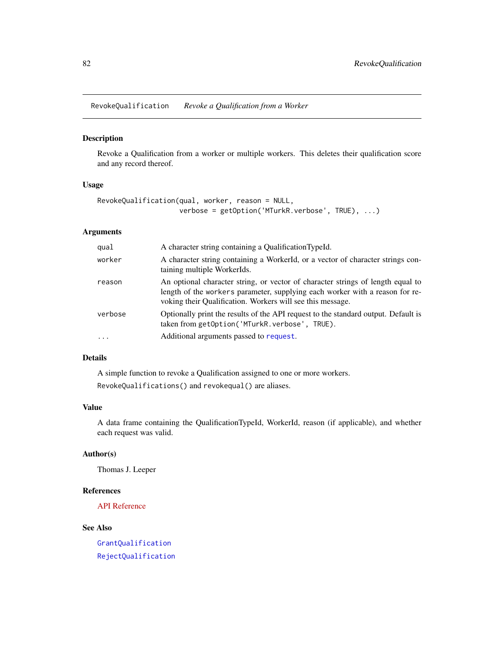<span id="page-81-0"></span>RevokeQualification *Revoke a Qualification from a Worker*

## Description

Revoke a Qualification from a worker or multiple workers. This deletes their qualification score and any record thereof.

# Usage

```
RevokeQualification(qual, worker, reason = NULL,
                   verbose = getOption('MTurkR.verbose', TRUE), ...)
```
# Arguments

| qual     | A character string containing a QualificationTypeId.                                                                                                                                                                          |
|----------|-------------------------------------------------------------------------------------------------------------------------------------------------------------------------------------------------------------------------------|
| worker   | A character string containing a WorkerId, or a vector of character strings con-<br>taining multiple WorkerIds.                                                                                                                |
| reason   | An optional character string, or vector of character strings of length equal to<br>length of the workers parameter, supplying each worker with a reason for re-<br>voking their Qualification. Workers will see this message. |
| verbose  | Optionally print the results of the API request to the standard output. Default is<br>taken from getOption('MTurkR.verbose', TRUE).                                                                                           |
| $\cdots$ | Additional arguments passed to request.                                                                                                                                                                                       |

# Details

A simple function to revoke a Qualification assigned to one or more workers. RevokeQualifications() and revokequal() are aliases.

# Value

A data frame containing the QualificationTypeId, WorkerId, reason (if applicable), and whether each request was valid.

## Author(s)

Thomas J. Leeper

# References

[API Reference](http://docs.amazonwebservices.com/AWSMechTurk/latest/AWSMturkAPI/ApiReference_RevokeQualificationOperation.html)

# See Also

[GrantQualification](#page-71-1) [RejectQualification](#page-71-0)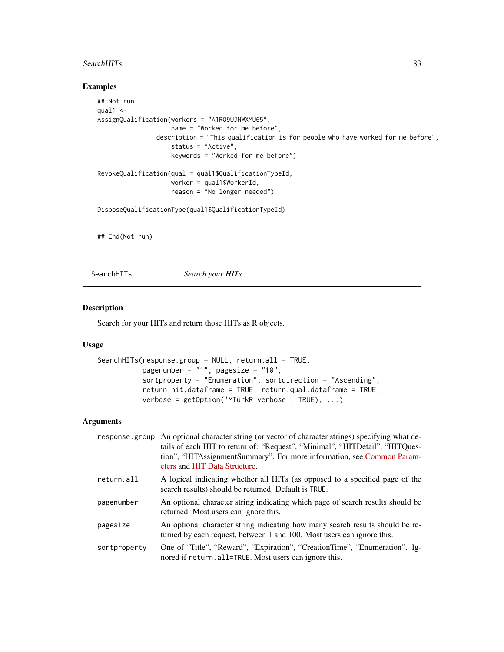## SearchHITs 83

# Examples

```
## Not run:
qual1 < -AssignQualification(workers = "A1RO9UJNWXMU65",
                   name = "Worked for me before",
                description = "This qualification is for people who have worked for me before",
                    status = "Active",
                    keywords = "Worked for me before")
RevokeQualification(qual = qual1$QualificationTypeId,
                    worker = qual1$WorkerId,
                    reason = "No longer needed")
DisposeQualificationType(qual1$QualificationTypeId)
## End(Not run)
```
<span id="page-82-0"></span>SearchHITs *Search your HITs*

# Description

Search for your HITs and return those HITs as R objects.

#### Usage

```
SearchHITs(response.group = NULL, return.all = TRUE,
           pagenumber = "1", pagesize = "10",
           sortproperty = "Enumeration", sortdirection = "Ascending",
           return.hit.dataframe = TRUE, return.qual.dataframe = TRUE,
          verbose = getOption('MTurkR.verbose', TRUE), ...)
```

|              | response group An optional character string (or vector of character strings) specifying what de-<br>tails of each HIT to return of: "Request", "Minimal", "HITDetail", "HITQues-<br>tion", "HITAssignmentSummary". For more information, see Common Param-<br>eters and HIT Data Structure. |
|--------------|---------------------------------------------------------------------------------------------------------------------------------------------------------------------------------------------------------------------------------------------------------------------------------------------|
| return.all   | A logical indicating whether all HITs (as opposed to a specified page of the<br>search results) should be returned. Default is TRUE.                                                                                                                                                        |
| pagenumber   | An optional character string indicating which page of search results should be<br>returned. Most users can ignore this.                                                                                                                                                                     |
| pagesize     | An optional character string indicating how many search results should be re-<br>turned by each request, between 1 and 100. Most users can ignore this.                                                                                                                                     |
| sortproperty | One of "Title", "Reward", "Expiration", "CreationTime", "Enumeration". Ig-<br>nored if return. all=TRUE. Most users can ignore this.                                                                                                                                                        |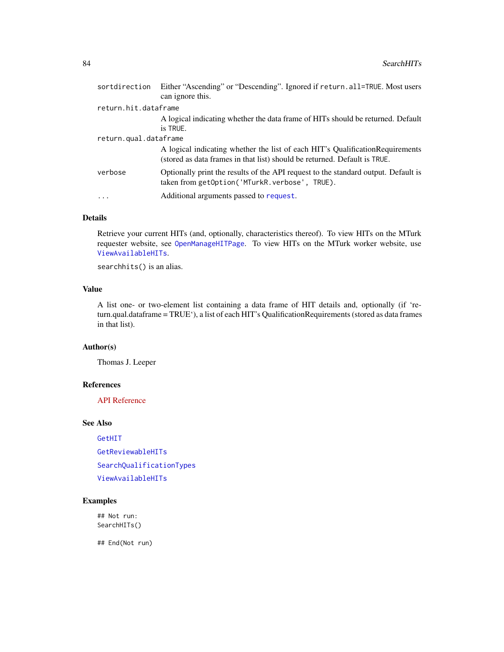| sortdirection         | Either "Ascending" or "Descending". Ignored if return.all=TRUE. Most users<br>can ignore this.                                                              |  |
|-----------------------|-------------------------------------------------------------------------------------------------------------------------------------------------------------|--|
| return.hit.dataframe  |                                                                                                                                                             |  |
|                       | A logical indicating whether the data frame of HITs should be returned. Default<br>is TRUE.                                                                 |  |
| return.qual.dataframe |                                                                                                                                                             |  |
|                       | A logical indicating whether the list of each HIT's Qualification Requirements<br>(stored as data frames in that list) should be returned. Default is TRUE. |  |
| verbose               | Optionally print the results of the API request to the standard output. Default is<br>taken from getOption('MTurkR.verbose', TRUE).                         |  |
| $\ddots$ .            | Additional arguments passed to request.                                                                                                                     |  |
|                       |                                                                                                                                                             |  |

## Details

Retrieve your current HITs (and, optionally, characteristics thereof). To view HITs on the MTurk requester website, see [OpenManageHITPage](#page-73-0). To view HITs on the MTurk worker website, use [ViewAvailableHITs](#page-73-0).

searchhits() is an alias.

# Value

A list one- or two-element list containing a data frame of HIT details and, optionally (if 'return.qual.dataframe = TRUE'), a list of each HIT's QualificationRequirements (stored as data frames in that list).

## Author(s)

Thomas J. Leeper

## References

[API Reference](http://docs.amazonwebservices.com/AWSMechTurk/latest/AWSMturkAPI/ApiReference_SearchHITsOperation.html)

## See Also

[GetHIT](#page-56-0) [GetReviewableHITs](#page-65-0) [SearchQualificationTypes](#page-84-0) [ViewAvailableHITs](#page-73-0)

# Examples

## Not run: SearchHITs()

## End(Not run)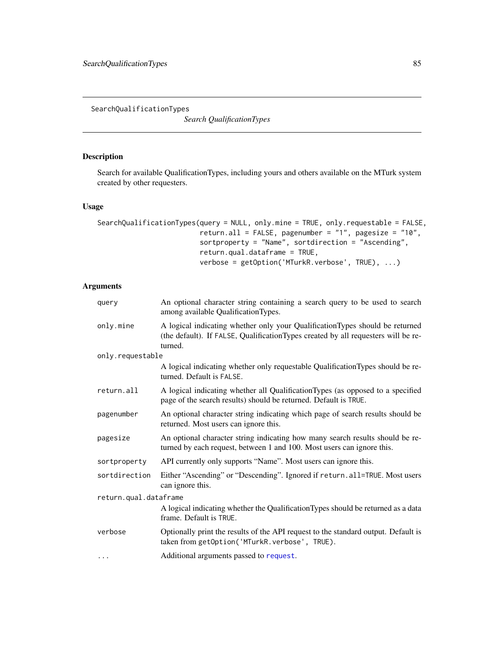<span id="page-84-0"></span>SearchQualificationTypes

*Search QualificationTypes*

# Description

Search for available QualificationTypes, including yours and others available on the MTurk system created by other requesters.

## Usage

```
SearchQualificationTypes(query = NULL, only.mine = TRUE, only.requestable = FALSE,
                         return.all = FALSE, pagenumber = "1", pagesize = "10",
                         sortproperty = "Name", sortdirection = "Ascending",
                         return.qual.dataframe = TRUE,
                         verbose = getOption('MTurkR.verbose', TRUE), ...)
```

| query                 | An optional character string containing a search query to be used to search<br>among available QualificationTypes.                                                           |
|-----------------------|------------------------------------------------------------------------------------------------------------------------------------------------------------------------------|
| only.mine             | A logical indicating whether only your QualificationTypes should be returned<br>(the default). If FALSE, QualificationTypes created by all requesters will be re-<br>turned. |
| only.requestable      |                                                                                                                                                                              |
|                       | A logical indicating whether only requestable QualificationTypes should be re-<br>turned. Default is FALSE.                                                                  |
| return.all            | A logical indicating whether all QualificationTypes (as opposed to a specified<br>page of the search results) should be returned. Default is TRUE.                           |
| pagenumber            | An optional character string indicating which page of search results should be<br>returned. Most users can ignore this.                                                      |
| pagesize              | An optional character string indicating how many search results should be re-<br>turned by each request, between 1 and 100. Most users can ignore this.                      |
| sortproperty          | API currently only supports "Name". Most users can ignore this.                                                                                                              |
| sortdirection         | Either "Ascending" or "Descending". Ignored if return.all=TRUE. Most users<br>can ignore this.                                                                               |
| return.qual.dataframe |                                                                                                                                                                              |
|                       | A logical indicating whether the QualificationTypes should be returned as a data<br>frame. Default is TRUE.                                                                  |
| verbose               | Optionally print the results of the API request to the standard output. Default is<br>taken from getOption('MTurkR.verbose', TRUE).                                          |
| $\cdots$              | Additional arguments passed to request.                                                                                                                                      |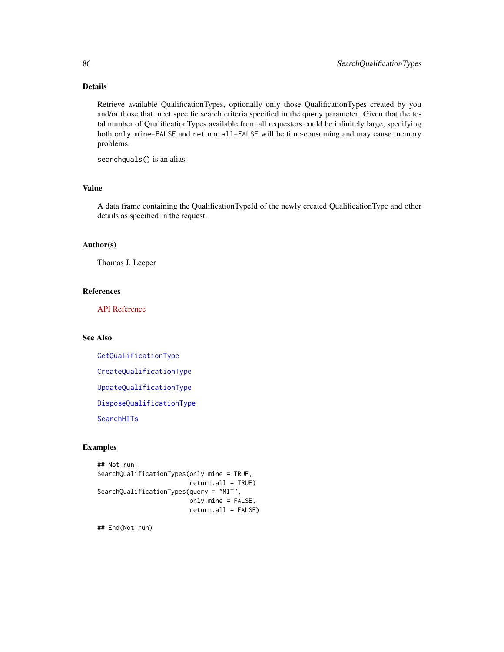# Details

Retrieve available QualificationTypes, optionally only those QualificationTypes created by you and/or those that meet specific search criteria specified in the query parameter. Given that the total number of QualificationTypes available from all requesters could be infinitely large, specifying both only.mine=FALSE and return.all=FALSE will be time-consuming and may cause memory problems.

searchquals() is an alias.

# Value

A data frame containing the QualificationTypeId of the newly created QualificationType and other details as specified in the request.

## Author(s)

Thomas J. Leeper

## References

[API Reference](http://docs.amazonwebservices.com/AWSMechTurk/latest/AWSMturkAPI/ApiReference_SearchQualificationTypesOperation.html)

# See Also

[GetQualificationType](#page-64-0) [CreateQualificationType](#page-23-0) [UpdateQualificationType](#page-93-0) [DisposeQualificationType](#page-30-0) **[SearchHITs](#page-82-0)** 

# Examples

```
## Not run:
SearchQualificationTypes(only.mine = TRUE,
                         return.all = TRUE)
SearchQualificationTypes(query = "MIT",
                         only.mine = FALSE,
                         return.all = FALSE)
```
## End(Not run)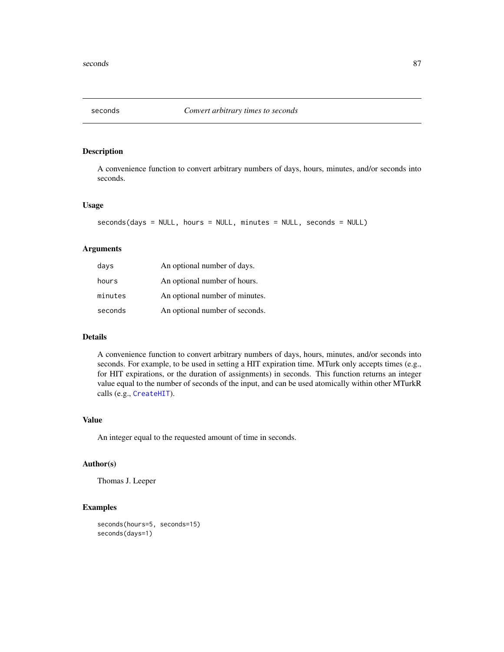<span id="page-86-0"></span>

## Description

A convenience function to convert arbitrary numbers of days, hours, minutes, and/or seconds into seconds.

#### Usage

```
seconds(days = NULL, hours = NULL, minutes = NULL, seconds = NULL)
```
# Arguments

| days    | An optional number of days.    |
|---------|--------------------------------|
| hours   | An optional number of hours.   |
| minutes | An optional number of minutes. |
| seconds | An optional number of seconds. |

## Details

A convenience function to convert arbitrary numbers of days, hours, minutes, and/or seconds into seconds. For example, to be used in setting a HIT expiration time. MTurk only accepts times (e.g., for HIT expirations, or the duration of assignments) in seconds. This function returns an integer value equal to the number of seconds of the input, and can be used atomically within other MTurkR calls (e.g., [CreateHIT](#page-19-0)).

## Value

An integer equal to the requested amount of time in seconds.

#### Author(s)

Thomas J. Leeper

# Examples

```
seconds(hours=5, seconds=15)
seconds(days=1)
```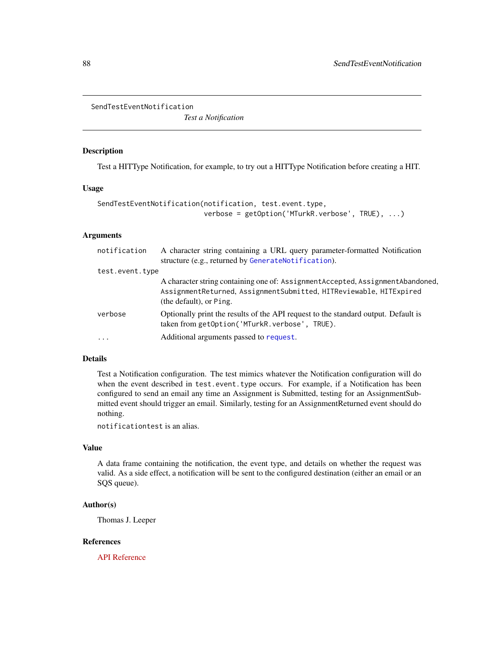<span id="page-87-0"></span>SendTestEventNotification

*Test a Notification*

# Description

Test a HITType Notification, for example, to try out a HITType Notification before creating a HIT.

#### Usage

```
SendTestEventNotification(notification, test.event.type,
                          verbose = getOption('MTurkR.verbose', TRUE), ...)
```
# Arguments

| notification    | A character string containing a URL query parameter-formatted Notification<br>structure (e.g., returned by GenerateNotification).                                                 |
|-----------------|-----------------------------------------------------------------------------------------------------------------------------------------------------------------------------------|
| test.event.type |                                                                                                                                                                                   |
|                 | A character string containing one of: Assignment Accepted, Assignment Abandoned,<br>AssignmentReturned, AssignmentSubmitted, HITReviewable, HITExpired<br>(the default), or Ping. |
| verbose         | Optionally print the results of the API request to the standard output. Default is<br>taken from getOption('MTurkR.verbose', TRUE).                                               |
| $\ddots$        | Additional arguments passed to request.                                                                                                                                           |

## Details

Test a Notification configuration. The test mimics whatever the Notification configuration will do when the event described in test.event.type occurs. For example, if a Notification has been configured to send an email any time an Assignment is Submitted, testing for an AssignmentSubmitted event should trigger an email. Similarly, testing for an AssignmentReturned event should do nothing.

notificationtest is an alias.

## Value

A data frame containing the notification, the event type, and details on whether the request was valid. As a side effect, a notification will be sent to the configured destination (either an email or an SQS queue).

## Author(s)

Thomas J. Leeper

# References

[API Reference](http://docs.amazonwebservices.com/AWSMechTurk/latest/AWSMturkAPI/ApiReference_SendTestEventNotificationOperation.html)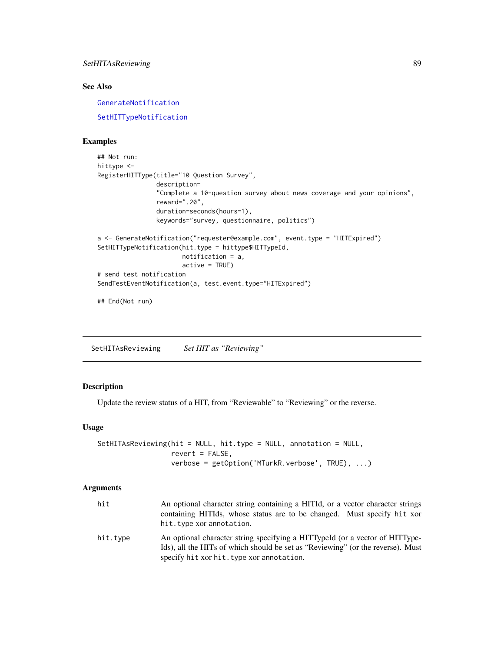# SetHITAsReviewing 89

# See Also

[GenerateNotification](#page-43-0)

[SetHITTypeNotification](#page-90-0)

## Examples

```
## Not run:
hittype <-
RegisterHITType(title="10 Question Survey",
                description=
                "Complete a 10-question survey about news coverage and your opinions",
                reward=".20",
                duration=seconds(hours=1),
                keywords="survey, questionnaire, politics")
a <- GenerateNotification("requester@example.com", event.type = "HITExpired")
SetHITTypeNotification(hit.type = hittype$HITTypeId,
                       notification = a,
                       active = TRUE)
# send test notification
SendTestEventNotification(a, test.event.type="HITExpired")
```
## End(Not run)

SetHITAsReviewing *Set HIT as "Reviewing"*

# Description

Update the review status of a HIT, from "Reviewable" to "Reviewing" or the reverse.

#### Usage

```
SetHITAsReviewing(hit = NULL, hit.type = NULL, annotation = NULL,
                  revert = FALSE,
                  verbose = getOption('MTurkR.verbose', TRUE), ...)
```

| hit      | An optional character string containing a HITId, or a vector character strings<br>containing HITIds, whose status are to be changed. Must specify hit xor<br>hit. type xor annotation.                       |
|----------|--------------------------------------------------------------------------------------------------------------------------------------------------------------------------------------------------------------|
| hit.type | An optional character string specifying a HITTypeId (or a vector of HITType-<br>Ids), all the HITs of which should be set as "Reviewing" (or the reverse). Must<br>specify hit xor hit. type xor annotation. |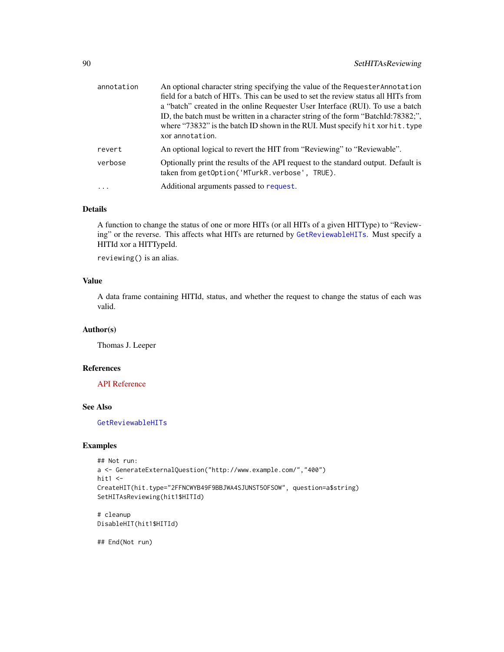| annotation | An optional character string specifying the value of the Requester Annotation<br>field for a batch of HITs. This can be used to set the review status all HITs from<br>a "batch" created in the online Requester User Interface (RUI). To use a batch<br>ID, the batch must be written in a character string of the form "BatchId:78382;",<br>where "73832" is the batch ID shown in the RUI. Must specify hit xor hit. type<br>xor annotation. |
|------------|-------------------------------------------------------------------------------------------------------------------------------------------------------------------------------------------------------------------------------------------------------------------------------------------------------------------------------------------------------------------------------------------------------------------------------------------------|
| revert     | An optional logical to revert the HIT from "Reviewing" to "Reviewable".                                                                                                                                                                                                                                                                                                                                                                         |
| verbose    | Optionally print the results of the API request to the standard output. Default is<br>taken from getOption('MTurkR.verbose', TRUE).                                                                                                                                                                                                                                                                                                             |
| $\ddots$ . | Additional arguments passed to request.                                                                                                                                                                                                                                                                                                                                                                                                         |

# Details

A function to change the status of one or more HITs (or all HITs of a given HITType) to "Reviewing" or the reverse. This affects what HITs are returned by [GetReviewableHITs](#page-65-0). Must specify a HITId xor a HITTypeId.

reviewing() is an alias.

# Value

A data frame containing HITId, status, and whether the request to change the status of each was valid.

# Author(s)

Thomas J. Leeper

# References

[API Reference](http://docs.amazonwebservices.com/AWSMechTurk/latest/AWSMturkAPI/ApiReference_SetHITAsReviewingOperation.html)

# See Also

[GetReviewableHITs](#page-65-0)

#### Examples

```
## Not run:
a <- GenerateExternalQuestion("http://www.example.com/","400")
hit1 < -CreateHIT(hit.type="2FFNCWYB49F9BBJWA4SJUNST5OFSOW", question=a$string)
SetHITAsReviewing(hit1$HITId)
```
# cleanup DisableHIT(hit1\$HITId)

## End(Not run)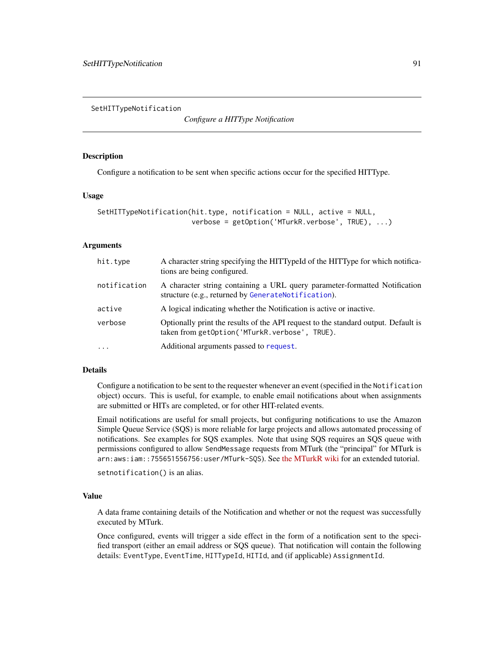<span id="page-90-0"></span>SetHITTypeNotification

*Configure a HITType Notification*

## **Description**

Configure a notification to be sent when specific actions occur for the specified HITType.

#### Usage

```
SetHITTypeNotification(hit.type, notification = NULL, active = NULL,
                       verbose = getOption('MTurkR.verbose', TRUE), ...)
```
## Arguments

| hit.type     | A character string specifying the HITTypeId of the HITType for which notifica-<br>tions are being configured.                       |
|--------------|-------------------------------------------------------------------------------------------------------------------------------------|
| notification | A character string containing a URL query parameter-formatted Notification<br>structure (e.g., returned by GenerateNotification).   |
| active       | A logical indicating whether the Notification is active or inactive.                                                                |
| verbose      | Optionally print the results of the API request to the standard output. Default is<br>taken from getOption('MTurkR.verbose', TRUE). |
| $\cdot$      | Additional arguments passed to request.                                                                                             |

## Details

Configure a notification to be sent to the requester whenever an event (specified in the Notification object) occurs. This is useful, for example, to enable email notifications about when assignments are submitted or HITs are completed, or for other HIT-related events.

Email notifications are useful for small projects, but configuring notifications to use the Amazon Simple Queue Service (SQS) is more reliable for large projects and allows automated processing of notifications. See examples for SQS examples. Note that using SQS requires an SQS queue with permissions configured to allow SendMessage requests from MTurk (the "principal" for MTurk is arn:aws:iam::755651556756:user/MTurk-SQS). See [the MTurkR wiki](https://github.com/leeper/MTurkR/wiki/Notifications#setup-sqs-notifications) for an extended tutorial.

```
setnotification() is an alias.
```
#### Value

A data frame containing details of the Notification and whether or not the request was successfully executed by MTurk.

Once configured, events will trigger a side effect in the form of a notification sent to the specified transport (either an email address or SQS queue). That notification will contain the following details: EventType, EventTime, HITTypeId, HITId, and (if applicable) AssignmentId.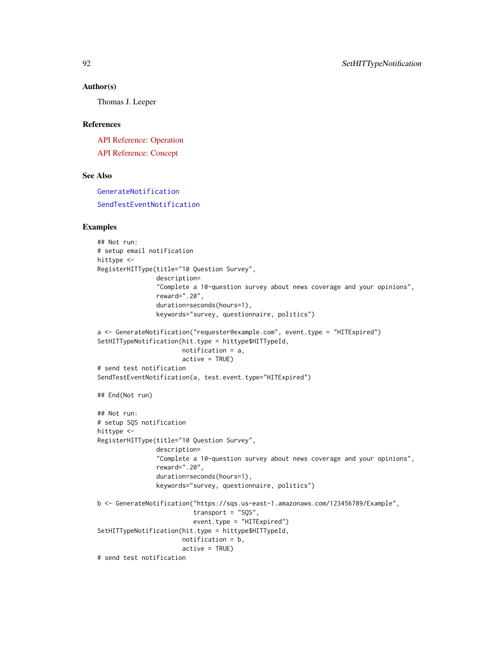#### Author(s)

Thomas J. Leeper

## References

[API Reference: Operation](http://docs.amazonwebservices.com/AWSMechTurk/latest/AWSMturkAPI/ApiReference_SetHITTypeNotificationOperation.html) [API Reference: Concept](http://docs.amazonwebservices.com/AWSMechTurk/latest/AWSMechanicalTurkRequester/Concepts_NotificationsArticle.html)

#### See Also

Examples

[GenerateNotification](#page-43-0) [SendTestEventNotification](#page-87-0)

```
## Not run:
# setup email notification
hittype <-
RegisterHITType(title="10 Question Survey",
                description=
                "Complete a 10-question survey about news coverage and your opinions",
                reward=".20",
                duration=seconds(hours=1),
                keywords="survey, questionnaire, politics")
a <- GenerateNotification("requester@example.com", event.type = "HITExpired")
SetHITTypeNotification(hit.type = hittype$HITTypeId,
                       notification = a,
                       active = TRUE)
# send test notification
SendTestEventNotification(a, test.event.type="HITExpired")
## End(Not run)
## Not run:
# setup SQS notification
hittype <-
RegisterHITType(title="10 Question Survey",
                description=
                "Complete a 10-question survey about news coverage and your opinions",
                reward=".20",
                duration=seconds(hours=1),
                keywords="survey, questionnaire, politics")
b <- GenerateNotification("https://sqs.us-east-1.amazonaws.com/123456789/Example",
                          transport = "SQS",
                          event.type = "HITExpired")
SetHITTypeNotification(hit.type = hittype$HITTypeId,
                       notification = b,
                       active = TRUE)
# send test notification
```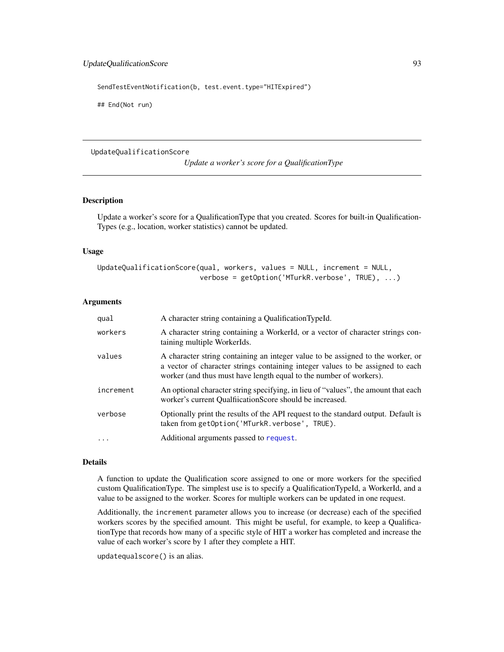SendTestEventNotification(b, test.event.type="HITExpired")

## End(Not run)

#### UpdateQualificationScore

*Update a worker's score for a QualificationType*

# Description

Update a worker's score for a QualificationType that you created. Scores for built-in Qualification-Types (e.g., location, worker statistics) cannot be updated.

# Usage

```
UpdateQualificationScore(qual, workers, values = NULL, increment = NULL,
                         verbose = getOption('MTurkR.verbose', TRUE), ...)
```
## Arguments

| qual      | A character string containing a QualificationTypeId.                                                                                                                                                                                    |
|-----------|-----------------------------------------------------------------------------------------------------------------------------------------------------------------------------------------------------------------------------------------|
| workers   | A character string containing a WorkerId, or a vector of character strings con-<br>taining multiple WorkerIds.                                                                                                                          |
| values    | A character string containing an integer value to be assigned to the worker, or<br>a vector of character strings containing integer values to be assigned to each<br>worker (and thus must have length equal to the number of workers). |
| increment | An optional character string specifying, in lieu of "values", the amount that each<br>worker's current Qualfiication Score should be increased.                                                                                         |
| verbose   | Optionally print the results of the API request to the standard output. Default is<br>taken from getOption('MTurkR.verbose', TRUE).                                                                                                     |
| .         | Additional arguments passed to request.                                                                                                                                                                                                 |

#### Details

A function to update the Qualification score assigned to one or more workers for the specified custom QualificationType. The simplest use is to specify a QualificationTypeId, a WorkerId, and a value to be assigned to the worker. Scores for multiple workers can be updated in one request.

Additionally, the increment parameter allows you to increase (or decrease) each of the specified workers scores by the specified amount. This might be useful, for example, to keep a QualificationType that records how many of a specific style of HIT a worker has completed and increase the value of each worker's score by 1 after they complete a HIT.

updatequalscore() is an alias.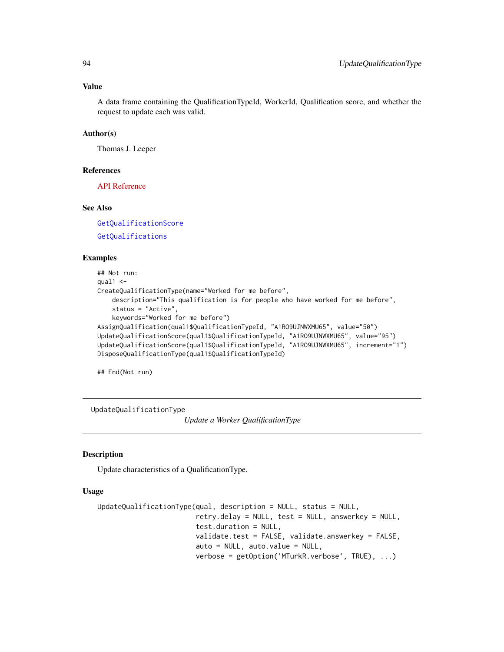#### Value

A data frame containing the QualificationTypeId, WorkerId, Qualification score, and whether the request to update each was valid.

## Author(s)

Thomas J. Leeper

## References

[API Reference](http://docs.amazonwebservices.com/AWSMechTurk/latest/AWSMturkAPI/ApiReference_UpdateQualificationScoreOperation.html)

# See Also

[GetQualificationScore](#page-62-0) [GetQualifications](#page-61-0)

## Examples

```
## Not run:
qual1 < -CreateQualificationType(name="Worked for me before",
    description="This qualification is for people who have worked for me before",
    status = "Active",
    keywords="Worked for me before")
AssignQualification(qual1$QualificationTypeId, "A1RO9UJNWXMU65", value="50")
UpdateQualificationScore(qual1$QualificationTypeId, "A1RO9UJNWXMU65", value="95")
UpdateQualificationScore(qual1$QualificationTypeId, "A1RO9UJNWXMU65", increment="1")
DisposeQualificationType(qual1$QualificationTypeId)
```
## End(Not run)

<span id="page-93-0"></span>UpdateQualificationType

*Update a Worker QualificationType*

## Description

Update characteristics of a QualificationType.

## Usage

```
UpdateQualificationType(qual, description = NULL, status = NULL,
                        retry.delay = NULL, test = NULL, answerkey = NULL,
                        test.duration = NULL,
                        validate.test = FALSE, validate.answerkey = FALSE,
                        auto = NULL, auto.value = NULL,
                        verbose = getOption('MTurkR.verbose', TRUE), ...)
```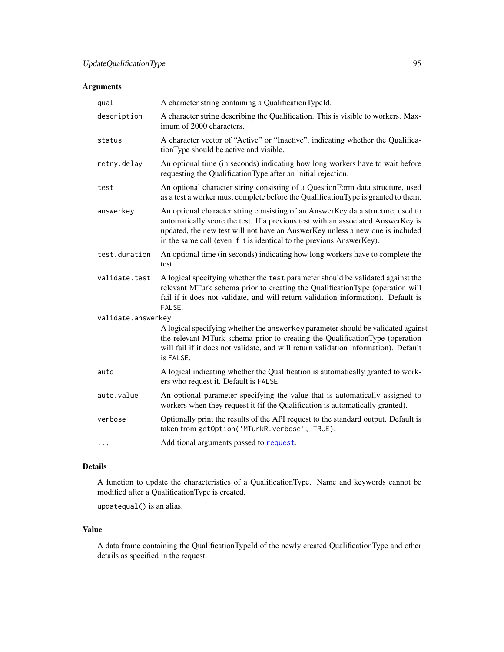# Arguments

| qual               | A character string containing a QualificationTypeId.                                                                                                                                                                                                                                                                          |
|--------------------|-------------------------------------------------------------------------------------------------------------------------------------------------------------------------------------------------------------------------------------------------------------------------------------------------------------------------------|
| description        | A character string describing the Qualification. This is visible to workers. Max-<br>imum of 2000 characters.                                                                                                                                                                                                                 |
| status             | A character vector of "Active" or "Inactive", indicating whether the Qualifica-<br>tionType should be active and visible.                                                                                                                                                                                                     |
| retry.delay        | An optional time (in seconds) indicating how long workers have to wait before<br>requesting the QualificationType after an initial rejection.                                                                                                                                                                                 |
| test               | An optional character string consisting of a QuestionForm data structure, used<br>as a test a worker must complete before the Qualification Type is granted to them.                                                                                                                                                          |
| answerkey          | An optional character string consisting of an AnswerKey data structure, used to<br>automatically score the test. If a previous test with an associated AnswerKey is<br>updated, the new test will not have an AnswerKey unless a new one is included<br>in the same call (even if it is identical to the previous AnswerKey). |
| test.duration      | An optional time (in seconds) indicating how long workers have to complete the<br>test.                                                                                                                                                                                                                                       |
| validate.test      | A logical specifying whether the test parameter should be validated against the<br>relevant MTurk schema prior to creating the QualificationType (operation will<br>fail if it does not validate, and will return validation information). Default is<br>FALSE.                                                               |
| validate.answerkey |                                                                                                                                                                                                                                                                                                                               |
|                    | A logical specifying whether the answerkey parameter should be validated against<br>the relevant MTurk schema prior to creating the QualificationType (operation<br>will fail if it does not validate, and will return validation information). Default<br>is FALSE.                                                          |
| auto               | A logical indicating whether the Qualification is automatically granted to work-<br>ers who request it. Default is FALSE.                                                                                                                                                                                                     |
| auto.value         | An optional parameter specifying the value that is automatically assigned to<br>workers when they request it (if the Qualification is automatically granted).                                                                                                                                                                 |
| verbose            | Optionally print the results of the API request to the standard output. Default is<br>taken from getOption('MTurkR.verbose', TRUE).                                                                                                                                                                                           |
| $\cdots$           | Additional arguments passed to request.                                                                                                                                                                                                                                                                                       |

# Details

A function to update the characteristics of a QualificationType. Name and keywords cannot be modified after a QualificationType is created.

updatequal() is an alias.

# Value

A data frame containing the QualificationTypeId of the newly created QualificationType and other details as specified in the request.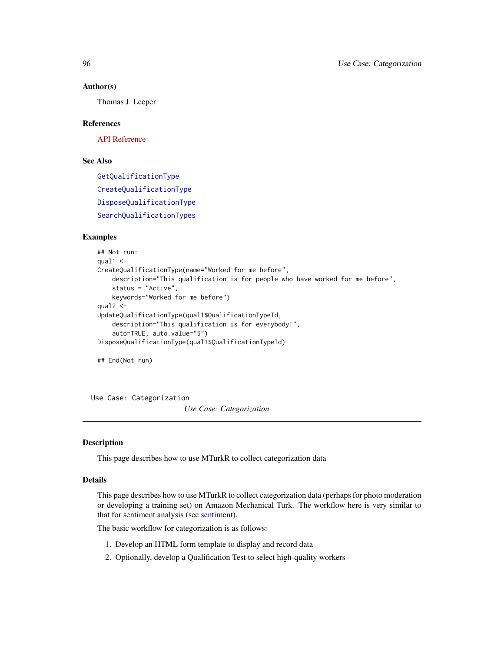#### Author(s)

Thomas J. Leeper

## References

[API Reference](http://docs.amazonwebservices.com/AWSMechTurk/latest/AWSMturkAPI/ApiReference_UpdateQualificationTypeOperation.html)

## See Also

[GetQualificationType](#page-64-0) [CreateQualificationType](#page-23-0) [DisposeQualificationType](#page-30-0) [SearchQualificationTypes](#page-84-0)

## Examples

```
## Not run:
qual1 < -CreateQualificationType(name="Worked for me before",
   description="This qualification is for people who have worked for me before",
   status = "Active",
   keywords="Worked for me before")
qual2 <-
UpdateQualificationType(qual1$QualificationTypeId,
    description="This qualification is for everybody!",
    auto=TRUE, auto.value="5")
DisposeQualificationType(qual1$QualificationTypeId)
```
## End(Not run)

Use Case: Categorization

*Use Case: Categorization*

#### <span id="page-95-0"></span>Description

This page describes how to use MTurkR to collect categorization data

## Details

This page describes how to use MTurkR to collect categorization data (perhaps for photo moderation or developing a training set) on Amazon Mechanical Turk. The workflow here is very similar to that for sentiment analysis (see [sentiment\)](#page-102-0).

The basic workflow for categorization is as follows:

- 1. Develop an HTML form template to display and record data
- 2. Optionally, develop a Qualification Test to select high-quality workers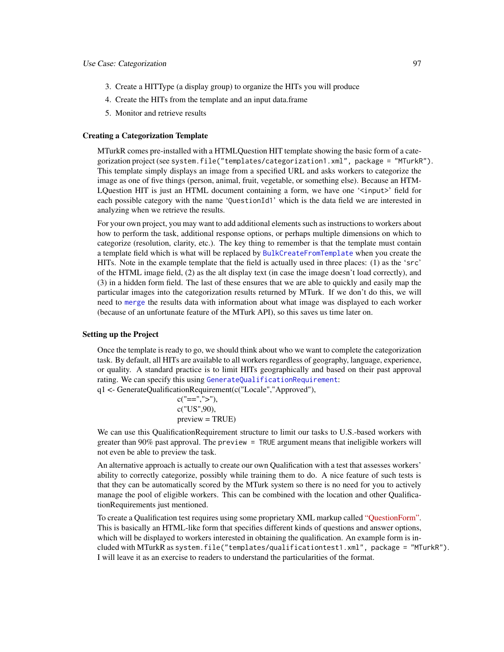- 3. Create a HITType (a display group) to organize the HITs you will produce
- 4. Create the HITs from the template and an input data.frame
- 5. Monitor and retrieve results

## Creating a Categorization Template

MTurkR comes pre-installed with a HTMLQuestion HIT template showing the basic form of a categorization project (see system.file("templates/categorization1.xml", package = "MTurkR"). This template simply displays an image from a specified URL and asks workers to categorize the image as one of five things (person, animal, fruit, vegetable, or something else). Because an HTM-LQuestion HIT is just an HTML document containing a form, we have one '<input>' field for each possible category with the name 'QuestionId1' which is the data field we are interested in analyzing when we retrieve the results.

For your own project, you may want to add additional elements such as instructions to workers about how to perform the task, additional response options, or perhaps multiple dimensions on which to categorize (resolution, clarity, etc.). The key thing to remember is that the template must contain a template field which is what will be replaced by [BulkCreateFromTemplate](#page-11-0) when you create the HITs. Note in the example template that the field is actually used in three places: (1) as the 'src' of the HTML image field, (2) as the alt display text (in case the image doesn't load correctly), and (3) in a hidden form field. The last of these ensures that we are able to quickly and easily map the particular images into the categorization results returned by MTurk. If we don't do this, we will need to [merge](#page-0-0) the results data with information about what image was displayed to each worker (because of an unfortunate feature of the MTurk API), so this saves us time later on.

#### Setting up the Project

Once the template is ready to go, we should think about who we want to complete the categorization task. By default, all HITs are available to all workers regardless of geography, language, experience, or quality. A standard practice is to limit HITs geographically and based on their past approval rating. We can specify this using [GenerateQualificationRequirement](#page-44-0): q1 <- GenerateQualificationRequirement(c("Locale","Approved"),

> $c("==", ">'")$ , c("US",90), preview = TRUE)

We can use this QualificationRequirement structure to limit our tasks to U.S.-based workers with greater than 90% past approval. The preview = TRUE argument means that ineligible workers will not even be able to preview the task.

An alternative approach is actually to create our own Qualification with a test that assesses workers' ability to correctly categorize, possibly while training them to do. A nice feature of such tests is that they can be automatically scored by the MTurk system so there is no need for you to actively manage the pool of eligible workers. This can be combined with the location and other QualificationRequirements just mentioned.

To create a Qualification test requires using some proprietary XML markup called ["QuestionForm".](http://docs.aws.amazon.com/AWSMechTurk/latest/AWSMturkAPI/ApiReference_QuestionFormDataStructureArticle.html) This is basically an HTML-like form that specifies different kinds of questions and answer options, which will be displayed to workers interested in obtaining the qualification. An example form is included with MTurkR as system.file("templates/qualificationtest1.xml", package = "MTurkR"). I will leave it as an exercise to readers to understand the particularities of the format.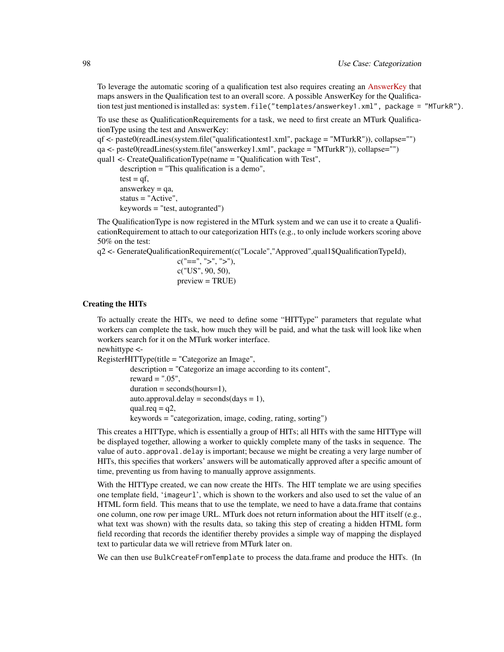To leverage the automatic scoring of a qualification test also requires creating an [AnswerKey](http://docs.aws.amazon.com/AWSMechTurk/latest/AWSMturkAPI/ApiReference_AnswerKeyDataStructureArticle.html) that maps answers in the Qualification test to an overall score. A possible AnswerKey for the Qualification test just mentioned is installed as: system.file("templates/answerkey1.xml", package = "MTurkR").

To use these as QualificationRequirements for a task, we need to first create an MTurk QualificationType using the test and AnswerKey:

qf <- paste0(readLines(system.file("qualificationtest1.xml", package = "MTurkR")), collapse="") qa <- paste0(readLines(system.file("answerkey1.xml", package = "MTurkR")), collapse="") qual1 <- CreateQualificationType(name = "Qualification with Test",

description = "This qualification is a demo",  $test = qf$ , answerkey  $= qa$ , status = "Active", keywords = "test, autogranted")

The QualificationType is now registered in the MTurk system and we can use it to create a QualificationRequirement to attach to our categorization HITs (e.g., to only include workers scoring above 50% on the test:

q2 <- GenerateQualificationRequirement(c("Locale","Approved",qual1\$QualificationTypeId),

 $c("==", ">", ">",$ c("US", 90, 50),  $preview = TRUE$ )

#### Creating the HITs

To actually create the HITs, we need to define some "HITType" parameters that regulate what workers can complete the task, how much they will be paid, and what the task will look like when workers search for it on the MTurk worker interface.

newhittype <-

RegisterHITType(title = "Categorize an Image", description = "Categorize an image according to its content", reward  $=$  ".05",  $duration = seconds(hours=1),$ auto.approval.delay =  $seconds/day = 1)$ , qual.req  $= q2$ , keywords = "categorization, image, coding, rating, sorting")

This creates a HITType, which is essentially a group of HITs; all HITs with the same HITType will be displayed together, allowing a worker to quickly complete many of the tasks in sequence. The value of auto. approval. delay is important; because we might be creating a very large number of HITs, this specifies that workers' answers will be automatically approved after a specific amount of time, preventing us from having to manually approve assignments.

With the HITType created, we can now create the HITs. The HIT template we are using specifies one template field, 'imageurl', which is shown to the workers and also used to set the value of an HTML form field. This means that to use the template, we need to have a data.frame that contains one column, one row per image URL. MTurk does not return information about the HIT itself (e.g., what text was shown) with the results data, so taking this step of creating a hidden HTML form field recording that records the identifier thereby provides a simple way of mapping the displayed text to particular data we will retrieve from MTurk later on.

We can then use BulkCreateFromTemplate to process the data.frame and produce the HITs. (In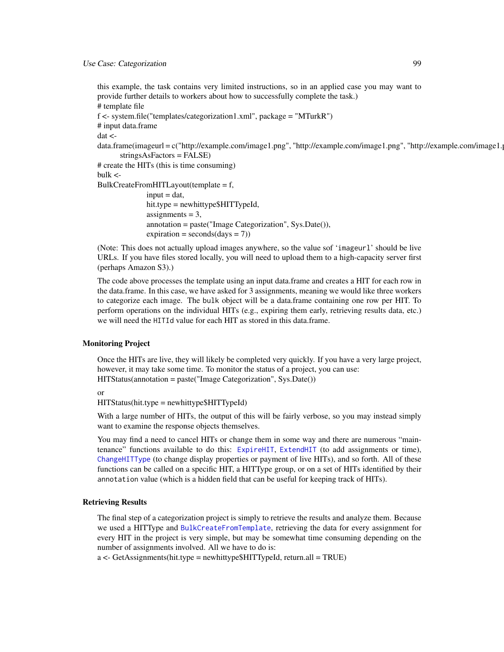this example, the task contains very limited instructions, so in an applied case you may want to provide further details to workers about how to successfully complete the task.) # template file f <- system.file("templates/categorization1.xml", package = "MTurkR") # input data.frame dat < data.frame(imageurl = c("http://example.com/image1.png", "http://example.com/image1.png", "http://example.com/image1. stringsAsFactors = FALSE) # create the HITs (this is time consuming) bulk <- BulkCreateFromHITLayout(template = f,  $input = dat$ , hit.type = newhittype\$HITTypeId, assignments  $= 3$ , annotation = paste("Image Categorization", Sys.Date()),  $expiration = seconds/day = 7)$ 

(Note: This does not actually upload images anywhere, so the value sof 'imageurl' should be live URLs. If you have files stored locally, you will need to upload them to a high-capacity server first (perhaps Amazon S3).)

The code above processes the template using an input data.frame and creates a HIT for each row in the data.frame. In this case, we have asked for 3 assignments, meaning we would like three workers to categorize each image. The bulk object will be a data.frame containing one row per HIT. To perform operations on the individual HITs (e.g., expiring them early, retrieving results data, etc.) we will need the HITId value for each HIT as stored in this data.frame.

# Monitoring Project

Once the HITs are live, they will likely be completed very quickly. If you have a very large project, however, it may take some time. To monitor the status of a project, you can use: HITStatus(annotation = paste("Image Categorization", Sys.Date())

or

HITStatus(hit.type = newhittype\$HITTypeId)

With a large number of HITs, the output of this will be fairly verbose, so you may instead simply want to examine the response objects themselves.

You may find a need to cancel HITs or change them in some way and there are numerous "maintenance" functions available to do this: [ExpireHIT](#page-31-0), [ExtendHIT](#page-33-0) (to add assignments or time), [ChangeHITType](#page-15-0) (to change display properties or payment of live HITs), and so forth. All of these functions can be called on a specific HIT, a HITType group, or on a set of HITs identified by their annotation value (which is a hidden field that can be useful for keeping track of HITs).

## Retrieving Results

The final step of a categorization project is simply to retrieve the results and analyze them. Because we used a HITType and [BulkCreateFromTemplate](#page-11-0), retrieving the data for every assignment for every HIT in the project is very simple, but may be somewhat time consuming depending on the number of assignments involved. All we have to do is:

 $a \leq$ - GetAssignments(hit.type = newhittype\$HITTypeId, return.all = TRUE)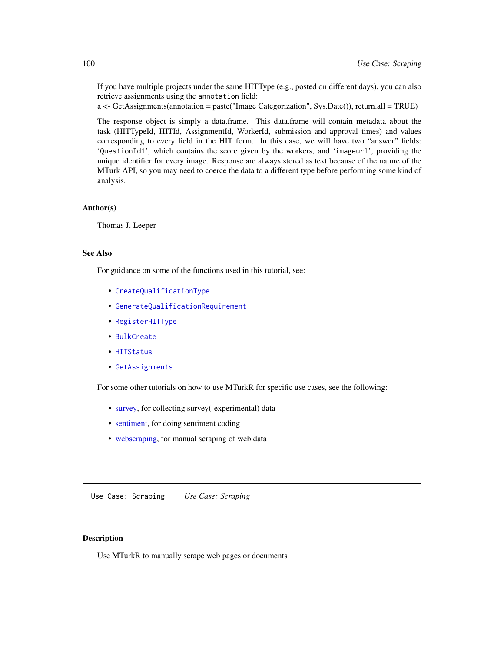If you have multiple projects under the same HITType (e.g., posted on different days), you can also retrieve assignments using the annotation field:

a <- GetAssignments(annotation = paste("Image Categorization", Sys.Date()), return.all = TRUE)

The response object is simply a data.frame. This data.frame will contain metadata about the task (HITTypeId, HITId, AssignmentId, WorkerId, submission and approval times) and values corresponding to every field in the HIT form. In this case, we will have two "answer" fields: 'QuestionId1', which contains the score given by the workers, and 'imageurl', providing the unique identifier for every image. Response are always stored as text because of the nature of the MTurk API, so you may need to coerce the data to a different type before performing some kind of analysis.

#### Author(s)

Thomas J. Leeper

## See Also

For guidance on some of the functions used in this tutorial, see:

- [CreateQualificationType](#page-23-0)
- [GenerateQualificationRequirement](#page-44-0)
- [RegisterHITType](#page-76-0)
- [BulkCreate](#page-11-1)
- [HITStatus](#page-56-1)
- [GetAssignments](#page-50-1)

For some other tutorials on how to use MTurkR for specific use cases, see the following:

- [survey,](#page-105-0) for collecting survey(-experimental) data
- [sentiment,](#page-102-0) for doing sentiment coding
- [webscraping,](#page-99-0) for manual scraping of web data

Use Case: Scraping *Use Case: Scraping*

# <span id="page-99-0"></span>Description

Use MTurkR to manually scrape web pages or documents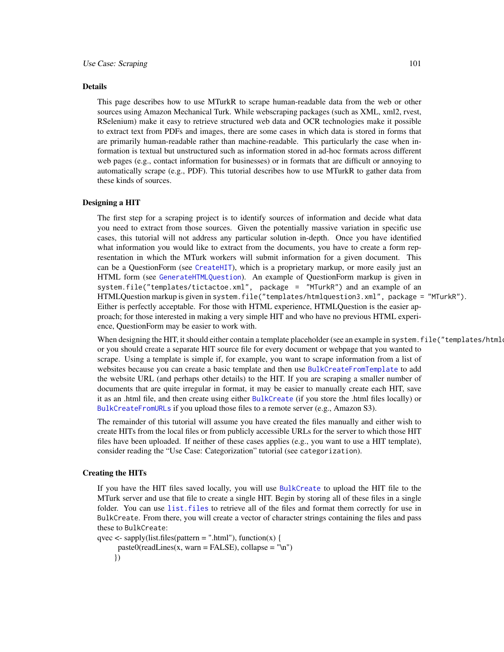#### Details

This page describes how to use MTurkR to scrape human-readable data from the web or other sources using Amazon Mechanical Turk. While webscraping packages (such as XML, xml2, rvest, RSelenium) make it easy to retrieve structured web data and OCR technologies make it possible to extract text from PDFs and images, there are some cases in which data is stored in forms that are primarily human-readable rather than machine-readable. This particularly the case when information is textual but unstructured such as information stored in ad-hoc formats across different web pages (e.g., contact information for businesses) or in formats that are difficult or annoying to automatically scrape (e.g., PDF). This tutorial describes how to use MTurkR to gather data from these kinds of sources.

# Designing a HIT

The first step for a scraping project is to identify sources of information and decide what data you need to extract from those sources. Given the potentially massive variation in specific use cases, this tutorial will not address any particular solution in-depth. Once you have identified what information you would like to extract from the documents, you have to create a form representation in which the MTurk workers will submit information for a given document. This can be a QuestionForm (see [CreateHIT](#page-19-0)), which is a proprietary markup, or more easily just an HTML form (see [GenerateHTMLQuestion](#page-41-0)). An example of QuestionForm markup is given in system.file("templates/tictactoe.xml", package = "MTurkR") and an example of an HTMLQuestion markup is given in system.file("templates/htmlquestion3.xml", package = "MTurkR"). Either is perfectly acceptable. For those with HTML experience, HTMLQuestion is the easier approach; for those interested in making a very simple HIT and who have no previous HTML experience, QuestionForm may be easier to work with.

When designing the HIT, it should either contain a template placeholder (see an example in system.file("templates/html or you should create a separate HIT source file for every document or webpage that you wanted to scrape. Using a template is simple if, for example, you want to scrape information from a list of websites because you can create a basic template and then use [BulkCreateFromTemplate](#page-11-0) to add the website URL (and perhaps other details) to the HIT. If you are scraping a smaller number of documents that are quite irregular in format, it may be easier to manually create each HIT, save it as an .html file, and then create using either [BulkCreate](#page-11-1) (if you store the .html files locally) or [BulkCreateFromURLs](#page-11-0) if you upload those files to a remote server (e.g., Amazon S3).

The remainder of this tutorial will assume you have created the files manually and either wish to create HITs from the local files or from publicly accessible URLs for the server to which those HIT files have been uploaded. If neither of these cases applies (e.g., you want to use a HIT template), consider reading the "Use Case: Categorization" tutorial (see categorization).

## Creating the HITs

If you have the HIT files saved locally, you will use [BulkCreate](#page-11-1) to upload the HIT file to the MTurk server and use that file to create a single HIT. Begin by storing all of these files in a single folder. You can use list, files to retrieve all of the files and format them correctly for use in BulkCreate. From there, you will create a vector of character strings containing the files and pass these to BulkCreate:

```
qvec <- sapply(list.files(pattern = ".html"), function(x) {
```
 $paste0(readLines(x, warn = FALSE), collapse = "\\n")$ })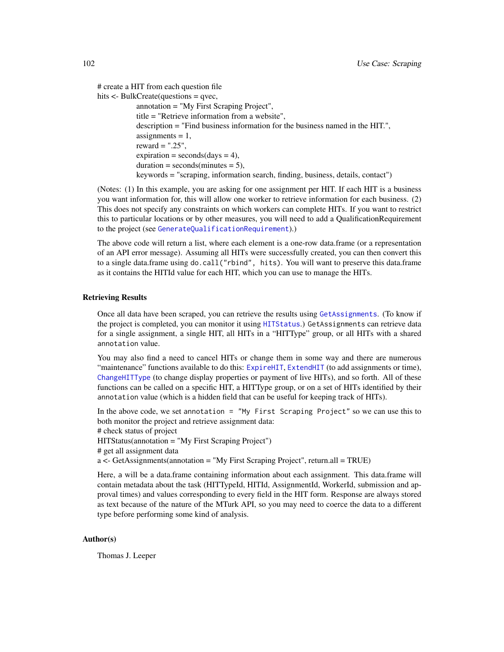# create a HIT from each question file

```
hits \leq-BulkCreate(questions = qvec,
```

```
annotation = "My First Scraping Project",
title = "Retrieve information from a website",
description = "Find business information for the business named in the HIT.",
\text{assignments} = 1,reward = ".25",
expiration = seconds/day = 4),
duration = seconds(minutes = 5),
keywords = "scraping, information search, finding, business, details, contact")
```
(Notes: (1) In this example, you are asking for one assignment per HIT. If each HIT is a business you want information for, this will allow one worker to retrieve information for each business. (2) This does not specify any constraints on which workers can complete HITs. If you want to restrict this to particular locations or by other measures, you will need to add a QualificationRequirement to the project (see [GenerateQualificationRequirement](#page-44-0)).)

The above code will return a list, where each element is a one-row data.frame (or a representation of an API error message). Assuming all HITs were successfully created, you can then convert this to a single data.frame using do.call("rbind", hits). You will want to preserve this data.frame as it contains the HITId value for each HIT, which you can use to manage the HITs.

## Retrieving Results

Once all data have been scraped, you can retrieve the results using [GetAssignments](#page-50-1). (To know if the project is completed, you can monitor it using [HITStatus](#page-56-1).) GetAssignments can retrieve data for a single assignment, a single HIT, all HITs in a "HITType" group, or all HITs with a shared annotation value.

You may also find a need to cancel HITs or change them in some way and there are numerous "maintenance" functions available to do this: [ExpireHIT](#page-31-0), [ExtendHIT](#page-33-0) (to add assignments or time), [ChangeHITType](#page-15-0) (to change display properties or payment of live HITs), and so forth. All of these functions can be called on a specific HIT, a HITType group, or on a set of HITs identified by their annotation value (which is a hidden field that can be useful for keeping track of HITs).

In the above code, we set annotation = "My First Scraping Project" so we can use this to both monitor the project and retrieve assignment data:

# check status of project

HITStatus(annotation = "My First Scraping Project")

# get all assignment data

 $a \leq$  GetAssignments(annotation = "My First Scraping Project", return.all = TRUE)

Here, a will be a data.frame containing information about each assignment. This data.frame will contain metadata about the task (HITTypeId, HITId, AssignmentId, WorkerId, submission and approval times) and values corresponding to every field in the HIT form. Response are always stored as text because of the nature of the MTurk API, so you may need to coerce the data to a different type before performing some kind of analysis.

## Author(s)

Thomas J. Leeper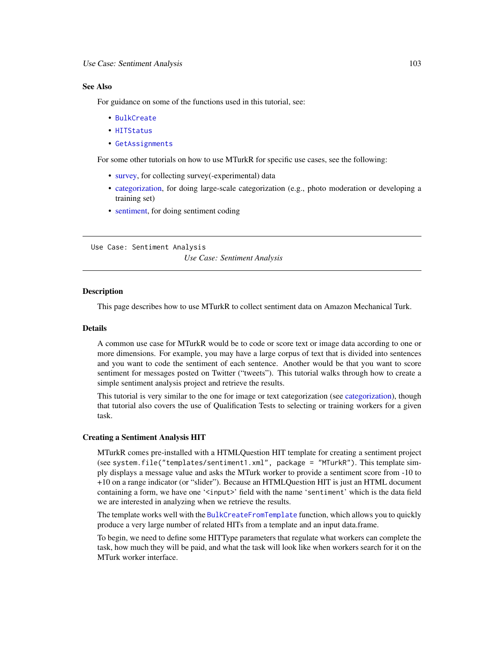## See Also

For guidance on some of the functions used in this tutorial, see:

- [BulkCreate](#page-11-1)
- [HITStatus](#page-56-1)
- [GetAssignments](#page-50-1)

For some other tutorials on how to use MTurkR for specific use cases, see the following:

- [survey,](#page-105-0) for collecting survey(-experimental) data
- [categorization,](#page-95-0) for doing large-scale categorization (e.g., photo moderation or developing a training set)
- [sentiment,](#page-102-0) for doing sentiment coding

Use Case: Sentiment Analysis *Use Case: Sentiment Analysis*

## <span id="page-102-0"></span>**Description**

This page describes how to use MTurkR to collect sentiment data on Amazon Mechanical Turk.

#### Details

A common use case for MTurkR would be to code or score text or image data according to one or more dimensions. For example, you may have a large corpus of text that is divided into sentences and you want to code the sentiment of each sentence. Another would be that you want to score sentiment for messages posted on Twitter ("tweets"). This tutorial walks through how to create a simple sentiment analysis project and retrieve the results.

This tutorial is very similar to the one for image or text categorization (see [categorization\)](#page-95-0), though that tutorial also covers the use of Qualification Tests to selecting or training workers for a given task.

# Creating a Sentiment Analysis HIT

MTurkR comes pre-installed with a HTMLQuestion HIT template for creating a sentiment project (see system.file("templates/sentiment1.xml", package = "MTurkR"). This template simply displays a message value and asks the MTurk worker to provide a sentiment score from -10 to +10 on a range indicator (or "slider"). Because an HTMLQuestion HIT is just an HTML document containing a form, we have one '<input>' field with the name 'sentiment' which is the data field we are interested in analyzing when we retrieve the results.

The template works well with the [BulkCreateFromTemplate](#page-11-0) function, which allows you to quickly produce a very large number of related HITs from a template and an input data.frame.

To begin, we need to define some HITType parameters that regulate what workers can complete the task, how much they will be paid, and what the task will look like when workers search for it on the MTurk worker interface.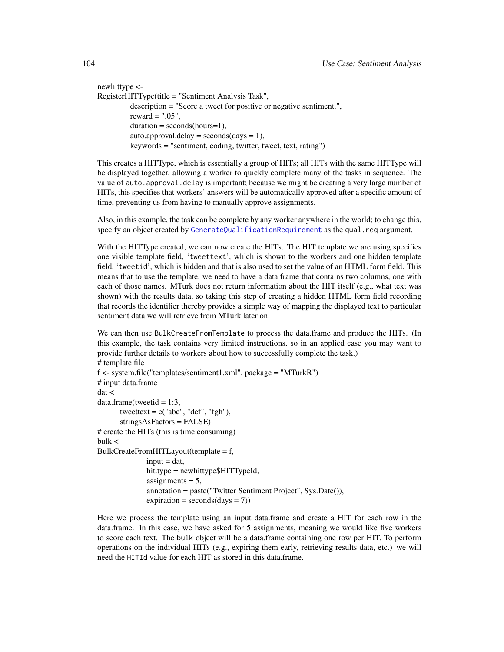newhittype <- RegisterHITType(title = "Sentiment Analysis Task", description = "Score a tweet for positive or negative sentiment.", reward  $=$  ".05",  $duration = seconds(hours=1),$ auto.approval.delay =  $seconds/day = 1)$ , keywords = "sentiment, coding, twitter, tweet, text, rating")

This creates a HITType, which is essentially a group of HITs; all HITs with the same HITType will be displayed together, allowing a worker to quickly complete many of the tasks in sequence. The value of auto. approval. delay is important; because we might be creating a very large number of HITs, this specifies that workers' answers will be automatically approved after a specific amount of time, preventing us from having to manually approve assignments.

Also, in this example, the task can be complete by any worker anywhere in the world; to change this, specify an object created by [GenerateQualificationRequirement](#page-44-0) as the qual.req argument.

With the HITType created, we can now create the HITs. The HIT template we are using specifies one visible template field, 'tweettext', which is shown to the workers and one hidden template field, 'tweetid', which is hidden and that is also used to set the value of an HTML form field. This means that to use the template, we need to have a data.frame that contains two columns, one with each of those names. MTurk does not return information about the HIT itself (e.g., what text was shown) with the results data, so taking this step of creating a hidden HTML form field recording that records the identifier thereby provides a simple way of mapping the displayed text to particular sentiment data we will retrieve from MTurk later on.

We can then use BulkCreateFromTemplate to process the data.frame and produce the HITs. (In this example, the task contains very limited instructions, so in an applied case you may want to provide further details to workers about how to successfully complete the task.) # template file f <- system.file("templates/sentiment1.xml", package = "MTurkR") # input data.frame

dat <  $data-frame(tweetid = 1:3,$ tweettext =  $c("abc", "def", "fgh"),$ stringsAsFactors = FALSE) # create the HITs (this is time consuming)  $bulk <$ BulkCreateFromHITLayout(template = f,  $input = dat$ , hit.type = newhittype\$HITTypeId, assignments  $= 5$ , annotation = paste("Twitter Sentiment Project", Sys.Date()),  $expiration = seconds/day = 7)$ 

Here we process the template using an input data.frame and create a HIT for each row in the data.frame. In this case, we have asked for 5 assignments, meaning we would like five workers to score each text. The bulk object will be a data.frame containing one row per HIT. To perform operations on the individual HITs (e.g., expiring them early, retrieving results data, etc.) we will need the HITId value for each HIT as stored in this data.frame.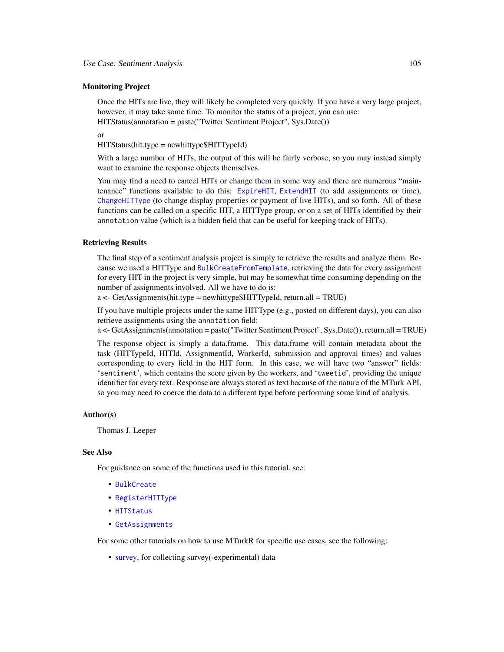## Monitoring Project

Once the HITs are live, they will likely be completed very quickly. If you have a very large project, however, it may take some time. To monitor the status of a project, you can use: HITStatus(annotation = paste("Twitter Sentiment Project", Sys.Date())

or

HITStatus(hit.type = newhittype\$HITTypeId)

With a large number of HITs, the output of this will be fairly verbose, so you may instead simply want to examine the response objects themselves.

You may find a need to cancel HITs or change them in some way and there are numerous "maintenance" functions available to do this: [ExpireHIT](#page-31-0), [ExtendHIT](#page-33-0) (to add assignments or time), [ChangeHITType](#page-15-0) (to change display properties or payment of live HITs), and so forth. All of these functions can be called on a specific HIT, a HITType group, or on a set of HITs identified by their annotation value (which is a hidden field that can be useful for keeping track of HITs).

#### Retrieving Results

The final step of a sentiment analysis project is simply to retrieve the results and analyze them. Because we used a HITType and [BulkCreateFromTemplate](#page-11-0), retrieving the data for every assignment for every HIT in the project is very simple, but may be somewhat time consuming depending on the number of assignments involved. All we have to do is:

a <- GetAssignments(hit.type = newhittype\$HITTypeId, return.all = TRUE)

If you have multiple projects under the same HITType (e.g., posted on different days), you can also retrieve assignments using the annotation field:

a <- GetAssignments(annotation = paste("Twitter Sentiment Project", Sys.Date()), return.all = TRUE)

The response object is simply a data.frame. This data.frame will contain metadata about the task (HITTypeId, HITId, AssignmentId, WorkerId, submission and approval times) and values corresponding to every field in the HIT form. In this case, we will have two "answer" fields: 'sentiment', which contains the score given by the workers, and 'tweetid', providing the unique identifier for every text. Response are always stored as text because of the nature of the MTurk API, so you may need to coerce the data to a different type before performing some kind of analysis.

#### Author(s)

Thomas J. Leeper

## See Also

For guidance on some of the functions used in this tutorial, see:

- [BulkCreate](#page-11-1)
- [RegisterHITType](#page-76-0)
- [HITStatus](#page-56-1)
- [GetAssignments](#page-50-1)

For some other tutorials on how to use MTurkR for specific use cases, see the following:

• [survey,](#page-105-0) for collecting survey(-experimental) data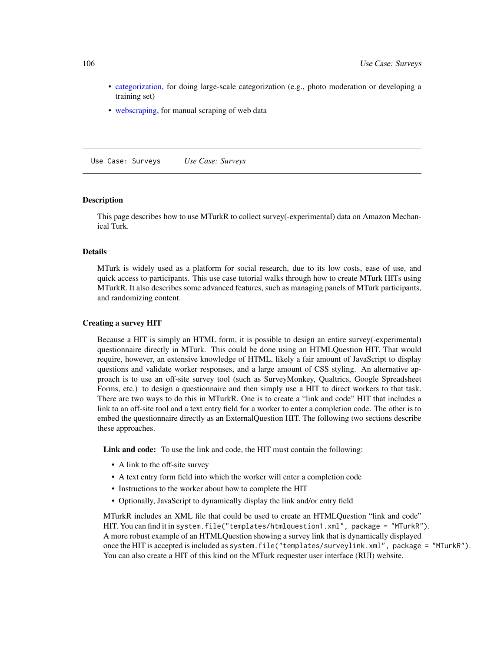- [categorization,](#page-95-0) for doing large-scale categorization (e.g., photo moderation or developing a training set)
- [webscraping,](#page-99-0) for manual scraping of web data

Use Case: Surveys *Use Case: Surveys*

# <span id="page-105-0"></span>Description

This page describes how to use MTurkR to collect survey(-experimental) data on Amazon Mechanical Turk.

#### Details

MTurk is widely used as a platform for social research, due to its low costs, ease of use, and quick access to participants. This use case tutorial walks through how to create MTurk HITs using MTurkR. It also describes some advanced features, such as managing panels of MTurk participants, and randomizing content.

#### Creating a survey HIT

Because a HIT is simply an HTML form, it is possible to design an entire survey(-experimental) questionnaire directly in MTurk. This could be done using an HTMLQuestion HIT. That would require, however, an extensive knowledge of HTML, likely a fair amount of JavaScript to display questions and validate worker responses, and a large amount of CSS styling. An alternative approach is to use an off-site survey tool (such as SurveyMonkey, Qualtrics, Google Spreadsheet Forms, etc.) to design a questionnaire and then simply use a HIT to direct workers to that task. There are two ways to do this in MTurkR. One is to create a "link and code" HIT that includes a link to an off-site tool and a text entry field for a worker to enter a completion code. The other is to embed the questionnaire directly as an ExternalQuestion HIT. The following two sections describe these approaches.

Link and code: To use the link and code, the HIT must contain the following:

- A link to the off-site survey
- A text entry form field into which the worker will enter a completion code
- Instructions to the worker about how to complete the HIT
- Optionally, JavaScript to dynamically display the link and/or entry field

MTurkR includes an XML file that could be used to create an HTMLQuestion "link and code" HIT. You can find it in system.file("templates/htmlquestion1.xml", package = "MTurkR"). A more robust example of an HTMLQuestion showing a survey link that is dynamically displayed once the HIT is accepted is included as system.file("templates/surveylink.xml", package = "MTurkR"). You can also create a HIT of this kind on the MTurk requester user interface (RUI) website.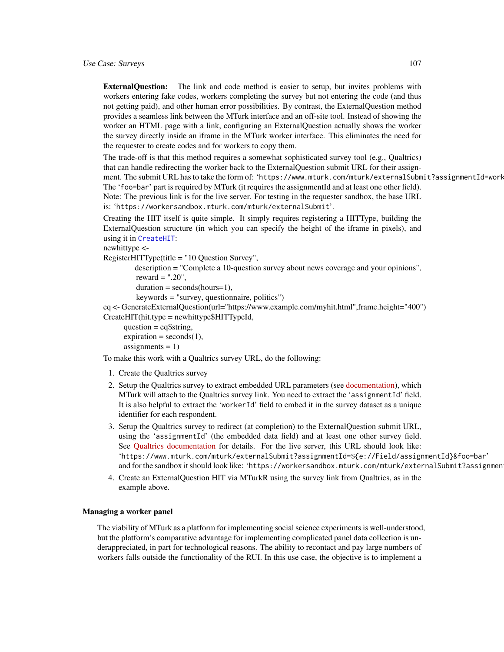ExternalQuestion: The link and code method is easier to setup, but invites problems with workers entering fake codes, workers completing the survey but not entering the code (and thus not getting paid), and other human error possibilities. By contrast, the ExternalQuestion method provides a seamless link between the MTurk interface and an off-site tool. Instead of showing the worker an HTML page with a link, configuring an ExternalQuestion actually shows the worker the survey directly inside an iframe in the MTurk worker interface. This eliminates the need for the requester to create codes and for workers to copy them.

The trade-off is that this method requires a somewhat sophisticated survey tool (e.g., Qualtrics) that can handle redirecting the worker back to the ExternalQuestion submit URL for their assignment. The submit URL has to take the form of: 'https://www.mturk.com/mturk/externalSubmit?assignmentId=work The 'foo=bar' part is required by MTurk (it requires the assignmentId and at least one other field). Note: The previous link is for the live server. For testing in the requester sandbox, the base URL is: 'https://workersandbox.mturk.com/mturk/externalSubmit'.

Creating the HIT itself is quite simple. It simply requires registering a HITType, building the ExternalQuestion structure (in which you can specify the height of the iframe in pixels), and using it in [CreateHIT](#page-19-0):

newhittype <-

RegisterHITType(title = "10 Question Survey",

description = "Complete a 10-question survey about news coverage and your opinions", reward  $=$  ".20".

```
duration = seconds(hours=1),
```
keywords = "survey, questionnaire, politics")

eq <- GenerateExternalQuestion(url="https://www.example.com/myhit.html",frame.height="400") CreateHIT(hit.type = newhittype\$HITTypeId,

question = eq\$string,  $expiration = seconds(1)$ ,  $assignments = 1)$ 

To make this work with a Qualtrics survey URL, do the following:

- 1. Create the Qualtrics survey
- 2. Setup the Qualtrics survey to extract embedded URL parameters (see [documentation\)](http://qualtrics.com/university/researchsuite/advanced-building/survey-flow/embedded-data/), which MTurk will attach to the Qualtrics survey link. You need to extract the 'assignmentId' field. It is also helpful to extract the 'workerId' field to embed it in the survey dataset as a unique identifier for each respondent.
- 3. Setup the Qualtrics survey to redirect (at completion) to the ExternalQuestion submit URL, using the 'assignmentId' (the embedded data field) and at least one other survey field. See [Qualtrics documentation](http://qualtrics.com/university/researchsuite/basic-building/basic-survey-options/survey-termination/) for details. For the live server, this URL should look like: 'https://www.mturk.com/mturk/externalSubmit?assignmentId=\${e://Field/assignmentId}&foo=bar' and for the sandbox it should look like: 'https://workersandbox.mturk.com/mturk/externalSubmit?assignmen
- 4. Create an ExternalQuestion HIT via MTurkR using the survey link from Qualtrics, as in the example above.

#### Managing a worker panel

The viability of MTurk as a platform for implementing social science experiments is well-understood, but the platform's comparative advantage for implementing complicated panel data collection is underappreciated, in part for technological reasons. The ability to recontact and pay large numbers of workers falls outside the functionality of the RUI. In this use case, the objective is to implement a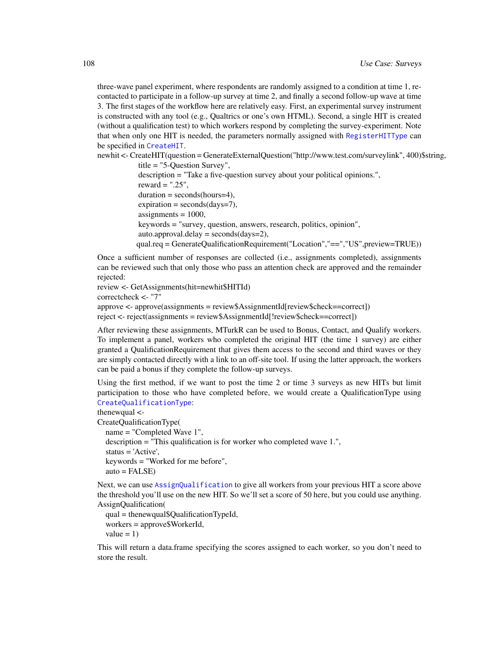three-wave panel experiment, where respondents are randomly assigned to a condition at time 1, recontacted to participate in a follow-up survey at time 2, and finally a second follow-up wave at time 3. The first stages of the workflow here are relatively easy. First, an experimental survey instrument is constructed with any tool (e.g., Qualtrics or one's own HTML). Second, a single HIT is created (without a qualification test) to which workers respond by completing the survey-experiment. Note that when only one HIT is needed, the parameters normally assigned with [RegisterHITType](#page-76-0) can be specified in [CreateHIT](#page-19-0).

newhit <- CreateHIT(question = GenerateExternalQuestion("http://www.test.com/surveylink", 400)\$string,

```
title = "5-Question Survey",
description = "Take a five-question survey about your political opinions.",
reward = ".25".
duration = seconds(hours=4),expiration = seconds/day = 7),
\text{assignments} = 1000,keywords = "survey, question, answers, research, politics, opinion",
auto.append.delay = seconds/day=2),qual.req = GenerateQualificationRequirement("Location","==","US",preview=TRUE))
```
Once a sufficient number of responses are collected (i.e., assignments completed), assignments can be reviewed such that only those who pass an attention check are approved and the remainder rejected:

```
review <- GetAssignments(hit=newhit$HITId)
correctcheck <- "7"
approve <- approve(assignments = review$AssignmentId[review$check==correct])
reject <- reject(assignments = review$AssignmentId[!review$check==correct])
```
After reviewing these assignments, MTurkR can be used to Bonus, Contact, and Qualify workers. To implement a panel, workers who completed the original HIT (the time 1 survey) are either granted a QualificationRequirement that gives them access to the second and third waves or they are simply contacted directly with a link to an off-site tool. If using the latter approach, the workers can be paid a bonus if they complete the follow-up surveys.

Using the first method, if we want to post the time 2 or time 3 surveys as new HITs but limit participation to those who have completed before, we would create a QualificationType using [CreateQualificationType](#page-23-0):

```
thenewqual <-
```
CreateQualificationType( name = "Completed Wave 1", description = "This qualification is for worker who completed wave 1.",

status = 'Active', keywords = "Worked for me before",  $auto = FALSE)$ 

Next, we can use [AssignQualification](#page-7-0) to give all workers from your previous HIT a score above the threshold you'll use on the new HIT. So we'll set a score of 50 here, but you could use anything. AssignQualification(

qual = thenewqual\$QualificationTypeId, workers = approve\$WorkerId, value  $= 1$ )

This will return a data.frame specifying the scores assigned to each worker, so you don't need to store the result.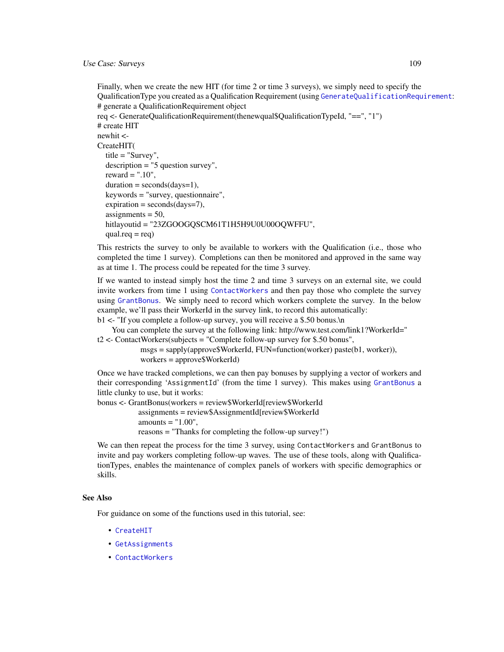<span id="page-108-0"></span>Finally, when we create the new HIT (for time 2 or time 3 surveys), we simply need to specify the QualificationType you created as a Qualification Requirement (using [GenerateQualificationRequirement](#page-44-0): # generate a QualificationRequirement object req <- GenerateQualificationRequirement(thenewqual\$QualificationTypeId, "==", "1") # create HIT newhit <- CreateHIT( title = "Survey", description = "5 question survey", reward  $=$  ".10",  $duration = seconds/day = 1)$ , keywords = "survey, questionnaire",  $expiration = seconds/day = 7)$ ,  $\text{assignments} = 50,$ hitlayoutid = "23ZGOOGQSCM61T1H5H9U0U00OQWFFU",  $qual.read = req)$ 

This restricts the survey to only be available to workers with the Qualification (i.e., those who completed the time 1 survey). Completions can then be monitored and approved in the same way as at time 1. The process could be repeated for the time 3 survey.

If we wanted to instead simply host the time 2 and time 3 surveys on an external site, we could invite workers from time 1 using [ContactWorkers](#page-17-0) and then pay those who complete the survey using [GrantBonus](#page-70-0). We simply need to record which workers complete the survey. In the below example, we'll pass their WorkerId in the survey link, to record this automatically:

b1 <- "If you complete a follow-up survey, you will receive a \$.50 bonus.\n

You can complete the survey at the following link: http://www.test.com/link1?WorkerId=" t2 <- ContactWorkers(subjects = "Complete follow-up survey for \$.50 bonus",

> msgs = sapply(approve\$WorkerId, FUN=function(worker) paste(b1, worker)), workers = approve\$WorkerId)

Once we have tracked completions, we can then pay bonuses by supplying a vector of workers and their corresponding 'AssignmentId' (from the time 1 survey). This makes using [GrantBonus](#page-70-0) a little clunky to use, but it works:

bonus <- GrantBonus(workers = review\$WorkerId[review\$WorkerId assignments = review\$AssignmentId[review\$WorkerId amounts  $=$  "1.00", reasons = "Thanks for completing the follow-up survey!")

We can then repeat the process for the time 3 survey, using ContactWorkers and GrantBonus to invite and pay workers completing follow-up waves. The use of these tools, along with QualificationTypes, enables the maintenance of complex panels of workers with specific demographics or skills.

#### See Also

For guidance on some of the functions used in this tutorial, see:

- [CreateHIT](#page-19-0)
- [GetAssignments](#page-50-0)

• [ContactWorkers](#page-17-0)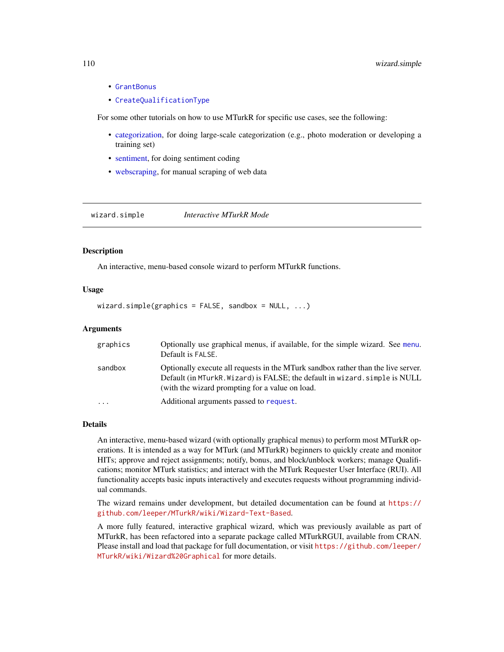- [GrantBonus](#page-70-0)
- [CreateQualificationType](#page-23-0)

For some other tutorials on how to use MTurkR for specific use cases, see the following:

- [categorization,](#page-95-0) for doing large-scale categorization (e.g., photo moderation or developing a training set)
- [sentiment,](#page-102-0) for doing sentiment coding
- [webscraping,](#page-99-0) for manual scraping of web data

wizard.simple *Interactive MTurkR Mode*

# **Description**

An interactive, menu-based console wizard to perform MTurkR functions.

## Usage

 $wizard.simple(graphics = FALSE, sandbox = NULL, ...)$ 

#### Arguments

| graphics                | Optionally use graphical menus, if available, for the simple wizard. See menu.<br>Default is FALSE.                                                                                                                  |
|-------------------------|----------------------------------------------------------------------------------------------------------------------------------------------------------------------------------------------------------------------|
| sandbox                 | Optionally execute all requests in the MTurk sandbox rather than the live server.<br>Default (in MTurkR. Wizard) is FALSE; the default in wizard. simple is NULL<br>(with the wizard prompting for a value on load.) |
| $\cdot$ $\cdot$ $\cdot$ | Additional arguments passed to request.                                                                                                                                                                              |

#### Details

An interactive, menu-based wizard (with optionally graphical menus) to perform most MTurkR operations. It is intended as a way for MTurk (and MTurkR) beginners to quickly create and monitor HITs; approve and reject assignments; notify, bonus, and block/unblock workers; manage Qualifications; monitor MTurk statistics; and interact with the MTurk Requester User Interface (RUI). All functionality accepts basic inputs interactively and executes requests without programming individual commands.

The wizard remains under development, but detailed documentation can be found at [https://](https://github.com/leeper/MTurkR/wiki/Wizard-Text-Based) [github.com/leeper/MTurkR/wiki/Wizard-Text-Based](https://github.com/leeper/MTurkR/wiki/Wizard-Text-Based).

A more fully featured, interactive graphical wizard, which was previously available as part of MTurkR, has been refactored into a separate package called MTurkRGUI, available from CRAN. Please install and load that package for full documentation, or visit [https://github.com/leeper/](https://github.com/leeper/MTurkR/wiki/Wizard%20Graphical) [MTurkR/wiki/Wizard%20Graphical](https://github.com/leeper/MTurkR/wiki/Wizard%20Graphical) for more details.

<span id="page-109-0"></span>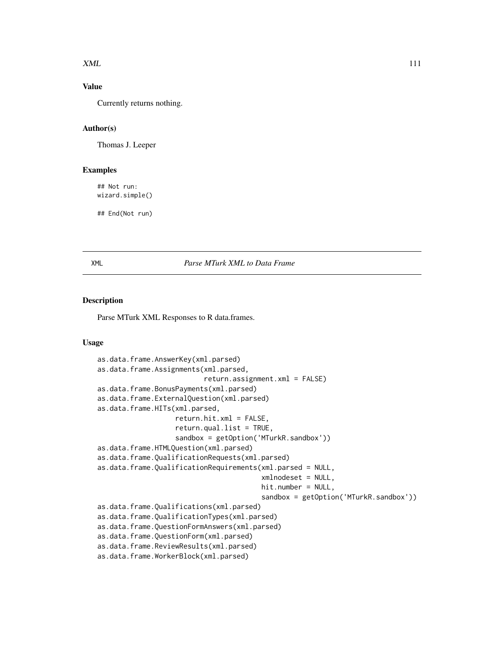#### <span id="page-110-0"></span> $XML$  111

# Value

Currently returns nothing.

## Author(s)

Thomas J. Leeper

## Examples

## Not run: wizard.simple()

## End(Not run)

#### XML *Parse MTurk XML to Data Frame*

## Description

Parse MTurk XML Responses to R data.frames.

#### Usage

```
as.data.frame.AnswerKey(xml.parsed)
as.data.frame.Assignments(xml.parsed,
                          return.assignment.xml = FALSE)
as.data.frame.BonusPayments(xml.parsed)
as.data.frame.ExternalQuestion(xml.parsed)
as.data.frame.HITs(xml.parsed,
                   return.hit.xml = FALSE,
                   return.qual.list = TRUE,
                   sandbox = getOption('MTurkR.sandbox'))
as.data.frame.HTMLQuestion(xml.parsed)
as.data.frame.QualificationRequests(xml.parsed)
as.data.frame.QualificationRequirements(xml.parsed = NULL,
                                        xmlnodeset = NULL,
                                        hit.number = NULL,
                                        sandbox = getOption('MTurkR.sandbox'))
as.data.frame.Qualifications(xml.parsed)
as.data.frame.QualificationTypes(xml.parsed)
as.data.frame.QuestionFormAnswers(xml.parsed)
as.data.frame.QuestionForm(xml.parsed)
as.data.frame.ReviewResults(xml.parsed)
as.data.frame.WorkerBlock(xml.parsed)
```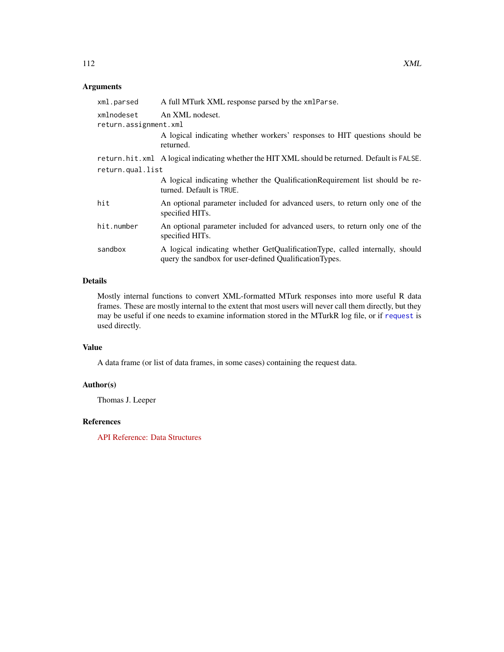# <span id="page-111-0"></span>Arguments

| A full MTurk XML response parsed by the xmlParse.                                                                                       |  |
|-----------------------------------------------------------------------------------------------------------------------------------------|--|
| An XML nodeset.<br>return.assignment.xml                                                                                                |  |
| A logical indicating whether workers' responses to HIT questions should be<br>returned.                                                 |  |
| return.hit.xml A logical indicating whether the HIT XML should be returned. Default is FALSE.                                           |  |
| return.qual.list                                                                                                                        |  |
| A logical indicating whether the Qualification Requirement list should be re-<br>turned. Default is TRUE.                               |  |
| An optional parameter included for advanced users, to return only one of the<br>specified HITs.                                         |  |
| An optional parameter included for advanced users, to return only one of the<br>specified HITs.                                         |  |
| A logical indicating whether GetQualificationType, called internally, should<br>query the sandbox for user-defined Qualification Types. |  |
|                                                                                                                                         |  |

# Details

Mostly internal functions to convert XML-formatted MTurk responses into more useful R data frames. These are mostly internal to the extent that most users will never call them directly, but they may be useful if one needs to examine information stored in the MTurkR log file, or if [request](#page-79-0) is used directly.

### Value

A data frame (or list of data frames, in some cases) containing the request data.

# Author(s)

Thomas J. Leeper

# References

[API Reference: Data Structures](http://docs.amazonwebservices.com/AWSMechTurk/latest/AWSMturkAPI/ApiReference_DataStructuresArticle.html)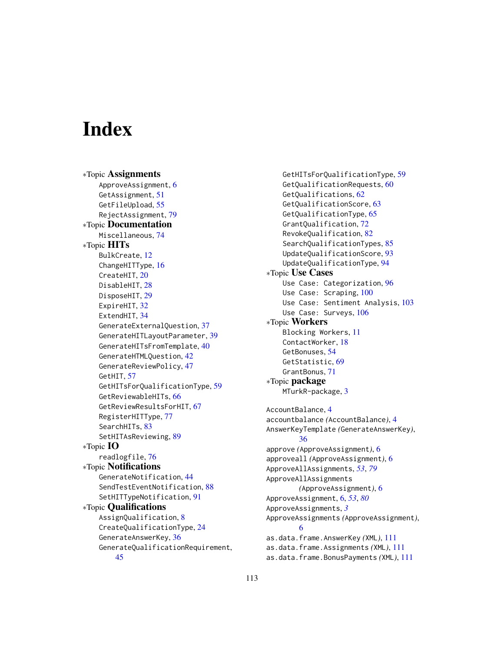# **Index**

∗Topic Assignments ApproveAssignment, [6](#page-5-0) GetAssignment, [51](#page-50-1) GetFileUpload, [55](#page-54-0) RejectAssignment, [79](#page-78-0) ∗Topic Documentation Miscellaneous, [74](#page-73-0) ∗Topic HITs BulkCreate, [12](#page-11-0) ChangeHITType, [16](#page-15-0) CreateHIT, [20](#page-19-1) DisableHIT, [28](#page-27-0) DisposeHIT, [29](#page-28-0) ExpireHIT, [32](#page-31-0) ExtendHIT, [34](#page-33-0) GenerateExternalQuestion, [37](#page-36-0) GenerateHITLayoutParameter, [39](#page-38-0) GenerateHITsFromTemplate, [40](#page-39-0) GenerateHTMLQuestion, [42](#page-41-0) GenerateReviewPolicy, [47](#page-46-0) GetHIT, [57](#page-56-0) GetHITsForQualificationType, [59](#page-58-0) GetReviewableHITs, [66](#page-65-0) GetReviewResultsForHIT, [67](#page-66-0) RegisterHITType, [77](#page-76-0) SearchHITs, [83](#page-82-0) SetHITAsReviewing, [89](#page-88-0) ∗Topic IO readlogfile, [76](#page-75-0) ∗Topic Notifications GenerateNotification, [44](#page-43-0) SendTestEventNotification, [88](#page-87-0) SetHITTypeNotification, [91](#page-90-0) ∗Topic Qualifications AssignQualification, [8](#page-7-0) CreateQualificationType, [24](#page-23-1) GenerateAnswerKey, [36](#page-35-0) GenerateQualificationRequirement, [45](#page-44-1)

GetHITsForQualificationType, [59](#page-58-0) GetQualificationRequests, [60](#page-59-0) GetQualifications, [62](#page-61-0) GetQualificationScore, [63](#page-62-0) GetQualificationType, [65](#page-64-0) GrantQualification, [72](#page-71-0) RevokeQualification, [82](#page-81-0) SearchQualificationTypes, [85](#page-84-0) UpdateQualificationScore, [93](#page-92-0) UpdateQualificationType, [94](#page-93-0) ∗Topic Use Cases Use Case: Categorization, [96](#page-95-1) Use Case: Scraping, [100](#page-99-1) Use Case: Sentiment Analysis, [103](#page-102-1) Use Case: Surveys, [106](#page-105-0) ∗Topic Workers Blocking Workers, [11](#page-10-0) ContactWorker, [18](#page-17-1) GetBonuses, [54](#page-53-0) GetStatistic, [69](#page-68-0) GrantBonus, [71](#page-70-1) ∗Topic package MTurkR-package, [3](#page-2-0) AccountBalance, [4](#page-3-0) accountbalance *(*AccountBalance*)*, [4](#page-3-0) AnswerKeyTemplate *(*GenerateAnswerKey*)*, [36](#page-35-0) approve *(*ApproveAssignment*)*, [6](#page-5-0) approveall *(*ApproveAssignment*)*, [6](#page-5-0) ApproveAllAssignments, *[53](#page-52-0)*, *[79](#page-78-0)* ApproveAllAssignments *(*ApproveAssignment*)*, [6](#page-5-0) ApproveAssignment, [6,](#page-5-0) *[53](#page-52-0)*, *[80](#page-79-1)* ApproveAssignments, *[3](#page-2-0)* ApproveAssignments *(*ApproveAssignment*)*, [6](#page-5-0) as.data.frame.AnswerKey *(*XML*)*, [111](#page-110-0) as.data.frame.Assignments *(*XML*)*, [111](#page-110-0) as.data.frame.BonusPayments *(*XML*)*, [111](#page-110-0)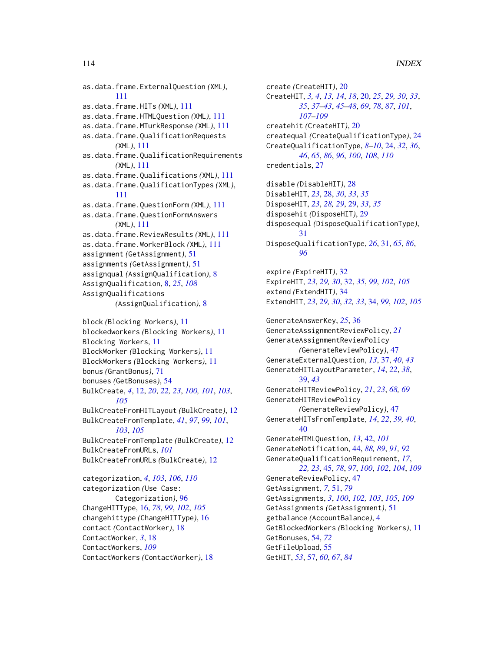as.data.frame.ExternalQuestion *(*XML*)*, [111](#page-110-0) as.data.frame.HITs *(*XML*)*, [111](#page-110-0) as.data.frame.HTMLQuestion *(*XML*)*, [111](#page-110-0) as.data.frame.MTurkResponse *(*XML*)*, [111](#page-110-0) as.data.frame.QualificationRequests *(*XML*)*, [111](#page-110-0) as.data.frame.QualificationRequirements *(*XML*)*, [111](#page-110-0) as.data.frame.Qualifications *(*XML*)*, [111](#page-110-0) as.data.frame.QualificationTypes *(*XML*)*, [111](#page-110-0) as.data.frame.QuestionForm *(*XML*)*, [111](#page-110-0) as.data.frame.QuestionFormAnswers *(*XML*)*, [111](#page-110-0) as.data.frame.ReviewResults *(*XML*)*, [111](#page-110-0) as.data.frame.WorkerBlock *(*XML*)*, [111](#page-110-0) assignment *(*GetAssignment*)*, [51](#page-50-1) assignments *(*GetAssignment*)*, [51](#page-50-1) assignqual *(*AssignQualification*)*, [8](#page-7-0) AssignQualification, [8,](#page-7-0) *[25](#page-24-0)*, *[108](#page-107-0)* AssignQualifications *(*AssignQualification*)*, [8](#page-7-0)

```
block (Blocking Workers), 11
blockedworkers (Blocking Workers), 11
Blocking Workers, 11
BlockWorker (Blocking Workers), 11
BlockWorkers (Blocking Workers), 11
bonus (GrantBonus), 71
bonuses (GetBonuses), 54
BulkCreate, 4, 12, 20, 22, 23, 100, 101, 103,
         105
BulkCreateFromHITLayout (BulkCreate), 12
BulkCreateFromTemplate, 41, 97, 99, 101,
         103, 105
BulkCreateFromTemplate (BulkCreate), 12
BulkCreateFromURLs, 101
BulkCreateFromURLs (BulkCreate), 12
categorization, 4, 103, 106, 110
```
categorization *(*Use Case: Categorization*)*, [96](#page-95-1) ChangeHITType, [16,](#page-15-0) *[78](#page-77-0)*, *[99](#page-98-0)*, *[102](#page-101-0)*, *[105](#page-104-0)* changehittype *(*ChangeHITType*)*, [16](#page-15-0) contact *(*ContactWorker*)*, [18](#page-17-1) ContactWorker, *[3](#page-2-0)*, [18](#page-17-1) ContactWorkers, *[109](#page-108-0)* ContactWorkers *(*ContactWorker*)*, [18](#page-17-1) create *(*CreateHIT*)*, [20](#page-19-1) CreateHIT, *[3,](#page-2-0) [4](#page-3-0)*, *[13,](#page-12-0) [14](#page-13-0)*, *[18](#page-17-1)*, [20,](#page-19-1) *[25](#page-24-0)*, *[29,](#page-28-0) [30](#page-29-0)*, *[33](#page-32-0)*, *[35](#page-34-0)*, *[37](#page-36-0)[–43](#page-42-0)*, *[45](#page-44-1)[–48](#page-47-0)*, *[69](#page-68-0)*, *[78](#page-77-0)*, *[87](#page-86-0)*, *[101](#page-100-0)*, *[107](#page-106-0)[–109](#page-108-0)* createhit *(*CreateHIT*)*, [20](#page-19-1) createqual *(*CreateQualificationType*)*, [24](#page-23-1) CreateQualificationType, *[8](#page-7-0)[–10](#page-9-0)*, [24,](#page-23-1) *[32](#page-31-0)*, *[36](#page-35-0)*, *[46](#page-45-0)*, *[65](#page-64-0)*, *[86](#page-85-0)*, *[96](#page-95-1)*, *[100](#page-99-1)*, *[108](#page-107-0)*, *[110](#page-109-0)* credentials, [27](#page-26-0) disable *(*DisableHIT*)*, [28](#page-27-0) DisableHIT, *[23](#page-22-0)*, [28,](#page-27-0) *[30](#page-29-0)*, *[33](#page-32-0)*, *[35](#page-34-0)* DisposeHIT, *[23](#page-22-0)*, *[28,](#page-27-0) [29](#page-28-0)*, [29,](#page-28-0) *[33](#page-32-0)*, *[35](#page-34-0)* disposehit *(*DisposeHIT*)*, [29](#page-28-0) disposequal *(*DisposeQualificationType*)*, [31](#page-30-0) DisposeQualificationType, *[26](#page-25-0)*, [31,](#page-30-0) *[65](#page-64-0)*, *[86](#page-85-0)*, *[96](#page-95-1)* expire *(*ExpireHIT*)*, [32](#page-31-0) ExpireHIT, *[23](#page-22-0)*, *[29,](#page-28-0) [30](#page-29-0)*, [32,](#page-31-0) *[35](#page-34-0)*, *[99](#page-98-0)*, *[102](#page-101-0)*, *[105](#page-104-0)* extend *(*ExtendHIT*)*, [34](#page-33-0) ExtendHIT, *[23](#page-22-0)*, *[29,](#page-28-0) [30](#page-29-0)*, *[32,](#page-31-0) [33](#page-32-0)*, [34,](#page-33-0) *[99](#page-98-0)*, *[102](#page-101-0)*, *[105](#page-104-0)* GenerateAnswerKey, *[25](#page-24-0)*, [36](#page-35-0) GenerateAssignmentReviewPolicy, *[21](#page-20-0)* GenerateAssignmentReviewPolicy *(*GenerateReviewPolicy*)*, [47](#page-46-0) GenerateExternalQuestion, *[13](#page-12-0)*, [37,](#page-36-0) *[40](#page-39-0)*, *[43](#page-42-0)* GenerateHITLayoutParameter, *[14](#page-13-0)*, *[22](#page-21-0)*, *[38](#page-37-0)*, [39,](#page-38-0) *[43](#page-42-0)* GenerateHITReviewPolicy, *[21](#page-20-0)*, *[23](#page-22-0)*, *[68,](#page-67-0) [69](#page-68-0)* GenerateHITReviewPolicy *(*GenerateReviewPolicy*)*, [47](#page-46-0) GenerateHITsFromTemplate, *[14](#page-13-0)*, *[22](#page-21-0)*, *[39,](#page-38-0) [40](#page-39-0)*, [40](#page-39-0)

GenerateHTMLQuestion, *[13](#page-12-0)*, [42,](#page-41-0) *[101](#page-100-0)* GenerateNotification, [44,](#page-43-0) *[88,](#page-87-0) [89](#page-88-0)*, *[91,](#page-90-0) [92](#page-91-0)* GenerateQualificationRequirement, *[17](#page-16-0)*, *[22,](#page-21-0) [23](#page-22-0)*, [45,](#page-44-1) *[78](#page-77-0)*, *[97](#page-96-0)*, *[100](#page-99-1)*, *[102](#page-101-0)*, *[104](#page-103-0)*, *[109](#page-108-0)* GenerateReviewPolicy, [47](#page-46-0) GetAssignment, *[7](#page-6-0)*, [51,](#page-50-1) *[79](#page-78-0)* GetAssignments, *[3](#page-2-0)*, *[100](#page-99-1)*, *[102,](#page-101-0) [103](#page-102-1)*, *[105](#page-104-0)*, *[109](#page-108-0)* GetAssignments *(*GetAssignment*)*, [51](#page-50-1) getbalance *(*AccountBalance*)*, [4](#page-3-0) GetBlockedWorkers *(*Blocking Workers*)*, [11](#page-10-0) GetBonuses, [54,](#page-53-0) *[72](#page-71-0)* GetFileUpload, [55](#page-54-0) GetHIT, *[53](#page-52-0)*, [57,](#page-56-0) *[60](#page-59-0)*, *[67](#page-66-0)*, *[84](#page-83-0)*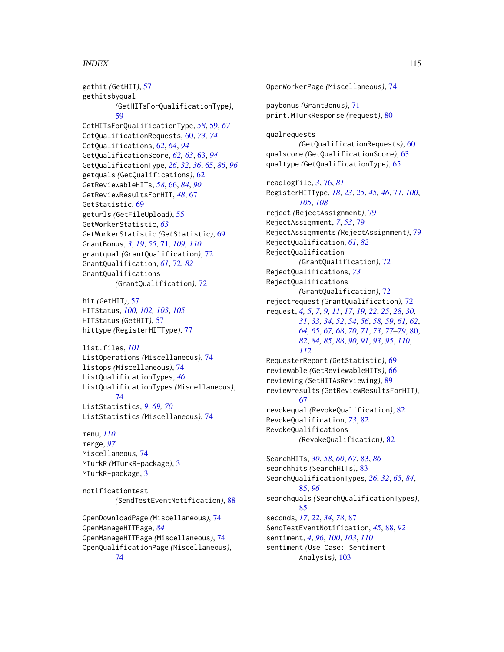## INDEX 115

gethit *(*GetHIT*)*, [57](#page-56-0) gethitsbyqual *(*GetHITsForQualificationType*)*, [59](#page-58-0) GetHITsForQualificationType, *[58](#page-57-0)*, [59,](#page-58-0) *[67](#page-66-0)* GetQualificationRequests, [60,](#page-59-0) *[73,](#page-72-0) [74](#page-73-0)* GetQualifications, [62,](#page-61-0) *[64](#page-63-0)*, *[94](#page-93-0)* GetQualificationScore, *[62,](#page-61-0) [63](#page-62-0)*, [63,](#page-62-0) *[94](#page-93-0)* GetQualificationType, *[26](#page-25-0)*, *[32](#page-31-0)*, *[36](#page-35-0)*, [65,](#page-64-0) *[86](#page-85-0)*, *[96](#page-95-1)* getquals *(*GetQualifications*)*, [62](#page-61-0) GetReviewableHITs, *[58](#page-57-0)*, [66,](#page-65-0) *[84](#page-83-0)*, *[90](#page-89-0)* GetReviewResultsForHIT, *[48](#page-47-0)*, [67](#page-66-0) GetStatistic, [69](#page-68-0) geturls *(*GetFileUpload*)*, [55](#page-54-0) GetWorkerStatistic, *[63](#page-62-0)* GetWorkerStatistic *(*GetStatistic*)*, [69](#page-68-0) GrantBonus, *[3](#page-2-0)*, *[19](#page-18-0)*, *[55](#page-54-0)*, [71,](#page-70-1) *[109,](#page-108-0) [110](#page-109-0)* grantqual *(*GrantQualification*)*, [72](#page-71-0) GrantQualification, *[61](#page-60-0)*, [72,](#page-71-0) *[82](#page-81-0)* GrantQualifications *(*GrantQualification*)*, [72](#page-71-0)

hit *(*GetHIT*)*, [57](#page-56-0) HITStatus, *[100](#page-99-1)*, *[102,](#page-101-0) [103](#page-102-1)*, *[105](#page-104-0)* HITStatus *(*GetHIT*)*, [57](#page-56-0) hittype *(*RegisterHITType*)*, [77](#page-76-0)

list.files, *[101](#page-100-0)* ListOperations *(*Miscellaneous*)*, [74](#page-73-0) listops *(*Miscellaneous*)*, [74](#page-73-0) ListQualificationTypes, *[46](#page-45-0)* ListQualificationTypes *(*Miscellaneous*)*, [74](#page-73-0) ListStatistics, *[9](#page-8-0)*, *[69,](#page-68-0) [70](#page-69-0)* ListStatistics *(*Miscellaneous*)*, [74](#page-73-0)

menu, *[110](#page-109-0)* merge, *[97](#page-96-0)* Miscellaneous, [74](#page-73-0) MTurkR *(*MTurkR-package*)*, [3](#page-2-0) MTurkR-package, [3](#page-2-0)

notificationtest *(*SendTestEventNotification*)*, [88](#page-87-0)

OpenDownloadPage *(*Miscellaneous*)*, [74](#page-73-0) OpenManageHITPage, *[84](#page-83-0)* OpenManageHITPage *(*Miscellaneous*)*, [74](#page-73-0) OpenQualificationPage *(*Miscellaneous*)*, [74](#page-73-0)

OpenWorkerPage *(*Miscellaneous*)*, [74](#page-73-0) paybonus *(*GrantBonus*)*, [71](#page-70-1) print.MTurkResponse *(*request*)*, [80](#page-79-1) qualrequests *(*GetQualificationRequests*)*, [60](#page-59-0) qualscore *(*GetQualificationScore*)*, [63](#page-62-0) qualtype *(*GetQualificationType*)*, [65](#page-64-0) readlogfile, *[3](#page-2-0)*, [76,](#page-75-0) *[81](#page-80-0)* RegisterHITType, *[18](#page-17-1)*, *[23](#page-22-0)*, *[25](#page-24-0)*, *[45,](#page-44-1) [46](#page-45-0)*, [77,](#page-76-0) *[100](#page-99-1)*, *[105](#page-104-0)*, *[108](#page-107-0)* reject *(*RejectAssignment*)*, [79](#page-78-0) RejectAssignment, *[7](#page-6-0)*, *[53](#page-52-0)*, [79](#page-78-0) RejectAssignments *(*RejectAssignment*)*, [79](#page-78-0) RejectQualification, *[61](#page-60-0)*, *[82](#page-81-0)* RejectQualification *(*GrantQualification*)*, [72](#page-71-0) RejectQualifications, *[73](#page-72-0)* RejectQualifications *(*GrantQualification*)*, [72](#page-71-0) rejectrequest *(*GrantQualification*)*, [72](#page-71-0) request, *[4,](#page-3-0) [5](#page-4-0)*, *[7](#page-6-0)*, *[9](#page-8-0)*, *[11](#page-10-0)*, *[17](#page-16-0)*, *[19](#page-18-0)*, *[22](#page-21-0)*, *[25](#page-24-0)*, *[28](#page-27-0)*, *[30,](#page-29-0) [31](#page-30-0)*, *[33,](#page-32-0) [34](#page-33-0)*, *[52](#page-51-0)*, *[54](#page-53-0)*, *[56](#page-55-0)*, *[58,](#page-57-0) [59](#page-58-0)*, *[61,](#page-60-0) [62](#page-61-0)*, *[64,](#page-63-0) [65](#page-64-0)*, *[67,](#page-66-0) [68](#page-67-0)*, *[70,](#page-69-0) [71](#page-70-1)*, *[73](#page-72-0)*, *[77](#page-76-0)[–79](#page-78-0)*, [80,](#page-79-1) *[82](#page-81-0)*, *[84,](#page-83-0) [85](#page-84-0)*, *[88](#page-87-0)*, *[90,](#page-89-0) [91](#page-90-0)*, *[93](#page-92-0)*, *[95](#page-94-0)*, *[110](#page-109-0)*, *[112](#page-111-0)* RequesterReport *(*GetStatistic*)*, [69](#page-68-0) reviewable *(*GetReviewableHITs*)*, [66](#page-65-0) reviewing *(*SetHITAsReviewing*)*, [89](#page-88-0) reviewresults *(*GetReviewResultsForHIT*)*, [67](#page-66-0) revokequal *(*RevokeQualification*)*, [82](#page-81-0) RevokeQualification, *[73](#page-72-0)*, [82](#page-81-0) RevokeQualifications *(*RevokeQualification*)*, [82](#page-81-0) SearchHITs, *[30](#page-29-0)*, *[58](#page-57-0)*, *[60](#page-59-0)*, *[67](#page-66-0)*, [83,](#page-82-0) *[86](#page-85-0)* searchhits *(*SearchHITs*)*, [83](#page-82-0) SearchQualificationTypes, *[26](#page-25-0)*, *[32](#page-31-0)*, *[65](#page-64-0)*, *[84](#page-83-0)*, [85,](#page-84-0) *[96](#page-95-1)* searchquals *(*SearchQualificationTypes*)*, [85](#page-84-0) seconds, *[17](#page-16-0)*, *[22](#page-21-0)*, *[34](#page-33-0)*, *[78](#page-77-0)*, [87](#page-86-0) SendTestEventNotification, *[45](#page-44-1)*, [88,](#page-87-0) *[92](#page-91-0)*

sentiment, *[4](#page-3-0)*, *[96](#page-95-1)*, *[100](#page-99-1)*, *[103](#page-102-1)*, *[110](#page-109-0)* sentiment *(*Use Case: Sentiment Analysis*)*, [103](#page-102-1)